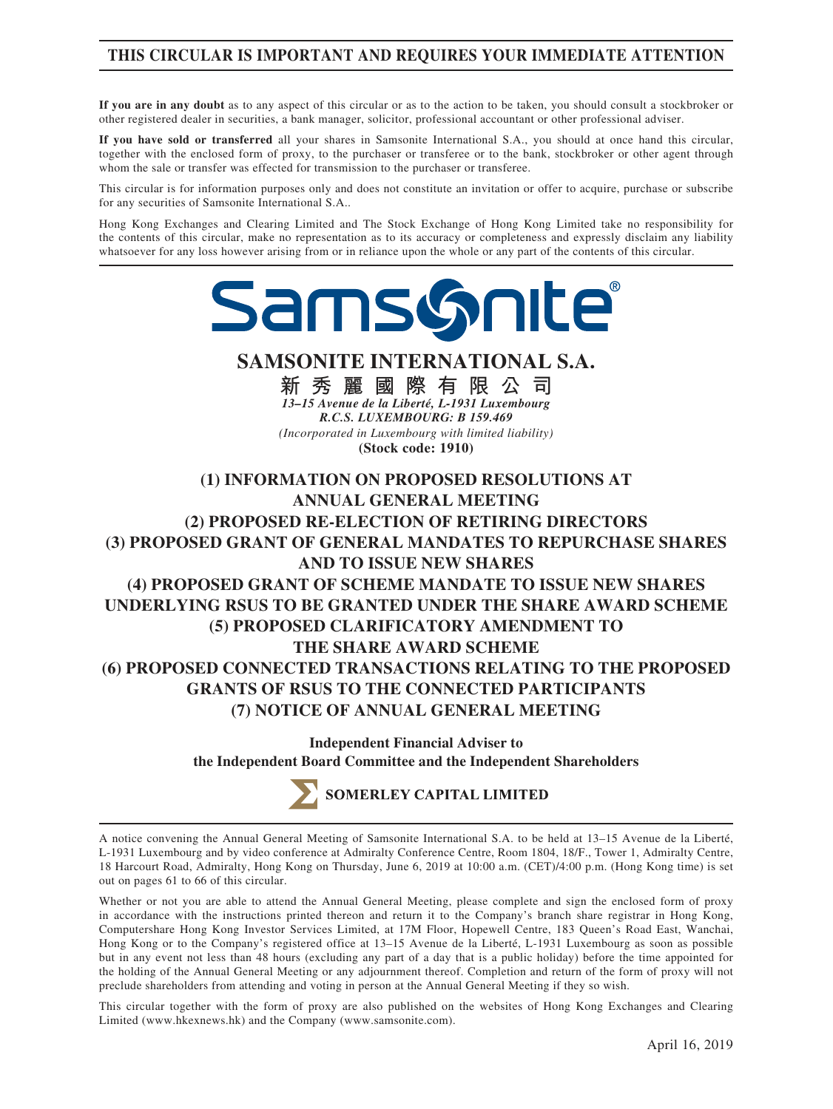# **THIS CIRCULAR IS IMPORTANT AND REQUIRES YOUR IMMEDIATE ATTENTION**

**If you are in any doubt** as to any aspect of this circular or as to the action to be taken, you should consult a stockbroker or other registered dealer in securities, a bank manager, solicitor, professional accountant or other professional adviser.

**If you have sold or transferred** all your shares in Samsonite International S.A., you should at once hand this circular, together with the enclosed form of proxy, to the purchaser or transferee or to the bank, stockbroker or other agent through whom the sale or transfer was effected for transmission to the purchaser or transferee.

This circular is for information purposes only and does not constitute an invitation or offer to acquire, purchase or subscribe for any securities of Samsonite International S.A..

Hong Kong Exchanges and Clearing Limited and The Stock Exchange of Hong Kong Limited take no responsibility for the contents of this circular, make no representation as to its accuracy or completeness and expressly disclaim any liability whatsoever for any loss however arising from or in reliance upon the whole or any part of the contents of this circular.



**SAMSONITE INTERNATIONAL S.A.**

**新秀麗國際有限公司** *13–15 Avenue de la Liberté, L-1931 Luxembourg R.C.S. LUXEMBOURG: B 159.469 (Incorporated in Luxembourg with limited liability)*

**(Stock code: 1910)**

**(1) INFORMATION ON PROPOSED RESOLUTIONS AT ANNUAL GENERAL MEETING (2) PROPOSED RE-ELECTION OF RETIRING DIRECTORS (3) PROPOSED GRANT OF GENERAL MANDATES TO REPURCHASE SHARES AND TO ISSUE NEW SHARES (4) PROPOSED GRANT OF SCHEME MANDATE TO ISSUE NEW SHARES UNDERLYING RSUS TO BE GRANTED UNDER THE SHARE AWARD SCHEME (5) PROPOSED CLARIFICATORY AMENDMENT TO THE SHARE AWARD SCHEME (6) PROPOSED CONNECTED TRANSACTIONS RELATING TO THE PROPOSED GRANTS OF RSUS TO THE CONNECTED PARTICIPANTS (7) NOTICE OF ANNUAL GENERAL MEETING**

> **Independent Financial Adviser to the Independent Board Committee and the Independent Shareholders**

> > SOMERLEY CAPITAL LIMITED

A notice convening the Annual General Meeting of Samsonite International S.A. to be held at 13–15 Avenue de la Liberté, L-1931 Luxembourg and by video conference at Admiralty Conference Centre, Room 1804, 18/F., Tower 1, Admiralty Centre, 18 Harcourt Road, Admiralty, Hong Kong on Thursday, June 6, 2019 at 10:00 a.m. (CET)/4:00 p.m. (Hong Kong time) is set out on pages 61 to 66 of this circular.

Whether or not you are able to attend the Annual General Meeting, please complete and sign the enclosed form of proxy in accordance with the instructions printed thereon and return it to the Company's branch share registrar in Hong Kong, Computershare Hong Kong Investor Services Limited, at 17M Floor, Hopewell Centre, 183 Queen's Road East, Wanchai, Hong Kong or to the Company's registered office at 13–15 Avenue de la Liberté, L-1931 Luxembourg as soon as possible but in any event not less than 48 hours (excluding any part of a day that is a public holiday) before the time appointed for the holding of the Annual General Meeting or any adjournment thereof. Completion and return of the form of proxy will not preclude shareholders from attending and voting in person at the Annual General Meeting if they so wish.

This circular together with the form of proxy are also published on the websites of Hong Kong Exchanges and Clearing Limited (www.hkexnews.hk) and the Company (www.samsonite.com).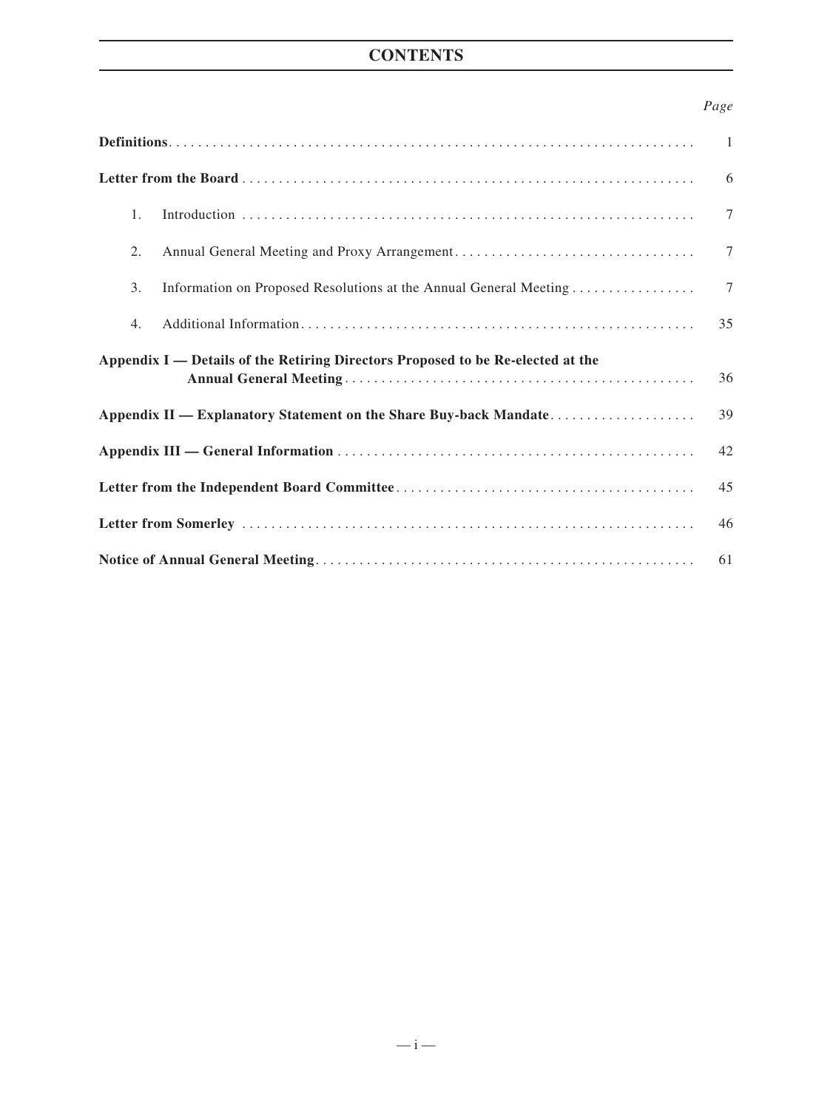# **CONTENTS**

### *Page*

|                                                                                 | $\overline{1}$ |  |  |
|---------------------------------------------------------------------------------|----------------|--|--|
|                                                                                 | 6              |  |  |
| 1.                                                                              | $\tau$         |  |  |
| 2.                                                                              | 7              |  |  |
| 3.<br>Information on Proposed Resolutions at the Annual General Meeting         | $\tau$         |  |  |
| 4.                                                                              | 35             |  |  |
| Appendix I — Details of the Retiring Directors Proposed to be Re-elected at the | 36             |  |  |
| Appendix II — Explanatory Statement on the Share Buy-back Mandate               | 39             |  |  |
|                                                                                 |                |  |  |
|                                                                                 |                |  |  |
| 46                                                                              |                |  |  |
| 61                                                                              |                |  |  |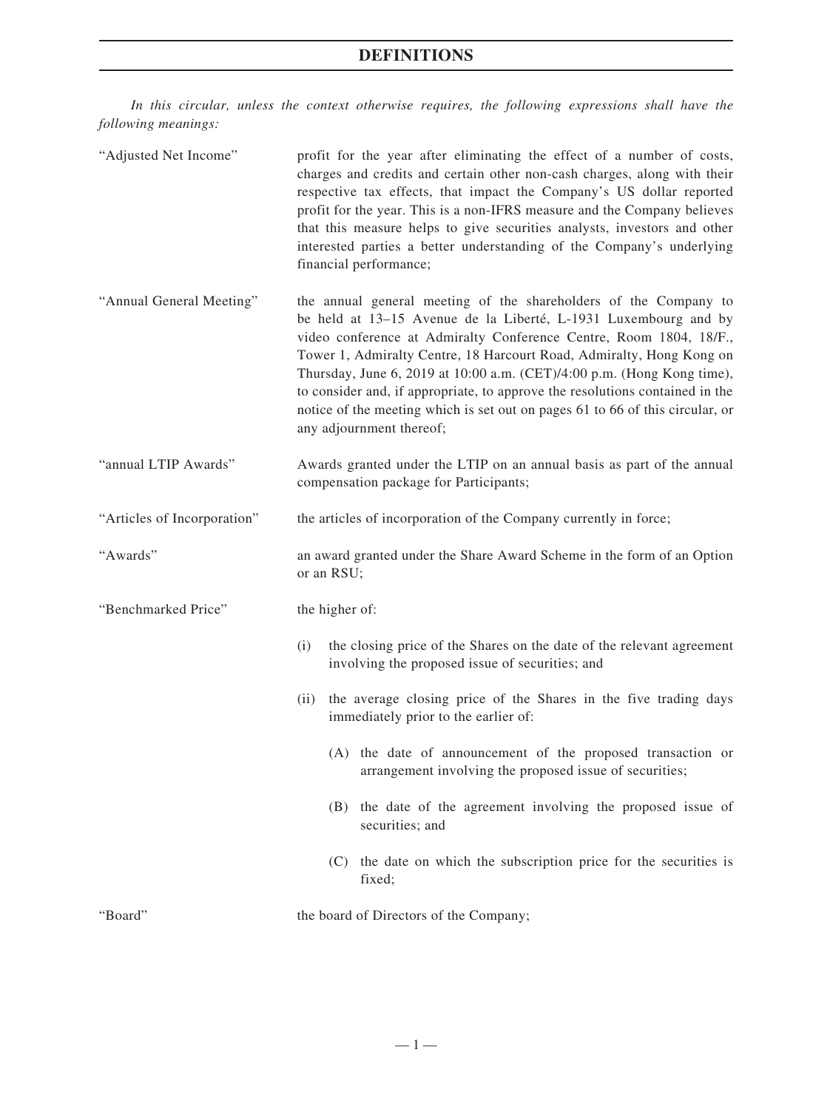*In this circular, unless the context otherwise requires, the following expressions shall have the following meanings:*

| "Adjusted Net Income"       | profit for the year after eliminating the effect of a number of costs,<br>charges and credits and certain other non-cash charges, along with their<br>respective tax effects, that impact the Company's US dollar reported<br>profit for the year. This is a non-IFRS measure and the Company believes<br>that this measure helps to give securities analysts, investors and other<br>interested parties a better understanding of the Company's underlying<br>financial performance;                                                                    |  |  |
|-----------------------------|----------------------------------------------------------------------------------------------------------------------------------------------------------------------------------------------------------------------------------------------------------------------------------------------------------------------------------------------------------------------------------------------------------------------------------------------------------------------------------------------------------------------------------------------------------|--|--|
| "Annual General Meeting"    | the annual general meeting of the shareholders of the Company to<br>be held at 13-15 Avenue de la Liberté, L-1931 Luxembourg and by<br>video conference at Admiralty Conference Centre, Room 1804, 18/F.,<br>Tower 1, Admiralty Centre, 18 Harcourt Road, Admiralty, Hong Kong on<br>Thursday, June 6, 2019 at 10:00 a.m. (CET)/4:00 p.m. (Hong Kong time),<br>to consider and, if appropriate, to approve the resolutions contained in the<br>notice of the meeting which is set out on pages 61 to 66 of this circular, or<br>any adjournment thereof; |  |  |
| "annual LTIP Awards"        | Awards granted under the LTIP on an annual basis as part of the annual<br>compensation package for Participants;                                                                                                                                                                                                                                                                                                                                                                                                                                         |  |  |
| "Articles of Incorporation" | the articles of incorporation of the Company currently in force;                                                                                                                                                                                                                                                                                                                                                                                                                                                                                         |  |  |
| "Awards"                    | an award granted under the Share Award Scheme in the form of an Option<br>or an RSU;                                                                                                                                                                                                                                                                                                                                                                                                                                                                     |  |  |
| "Benchmarked Price"         | the higher of:                                                                                                                                                                                                                                                                                                                                                                                                                                                                                                                                           |  |  |
|                             | the closing price of the Shares on the date of the relevant agreement<br>(i)<br>involving the proposed issue of securities; and                                                                                                                                                                                                                                                                                                                                                                                                                          |  |  |
|                             | (ii) the average closing price of the Shares in the five trading days<br>immediately prior to the earlier of:                                                                                                                                                                                                                                                                                                                                                                                                                                            |  |  |
|                             | (A) the date of announcement of the proposed transaction or<br>arrangement involving the proposed issue of securities;                                                                                                                                                                                                                                                                                                                                                                                                                                   |  |  |
|                             | the date of the agreement involving the proposed issue of<br>(B)<br>securities; and                                                                                                                                                                                                                                                                                                                                                                                                                                                                      |  |  |
|                             | (C) the date on which the subscription price for the securities is<br>fixed;                                                                                                                                                                                                                                                                                                                                                                                                                                                                             |  |  |
| "Board"                     | the board of Directors of the Company;                                                                                                                                                                                                                                                                                                                                                                                                                                                                                                                   |  |  |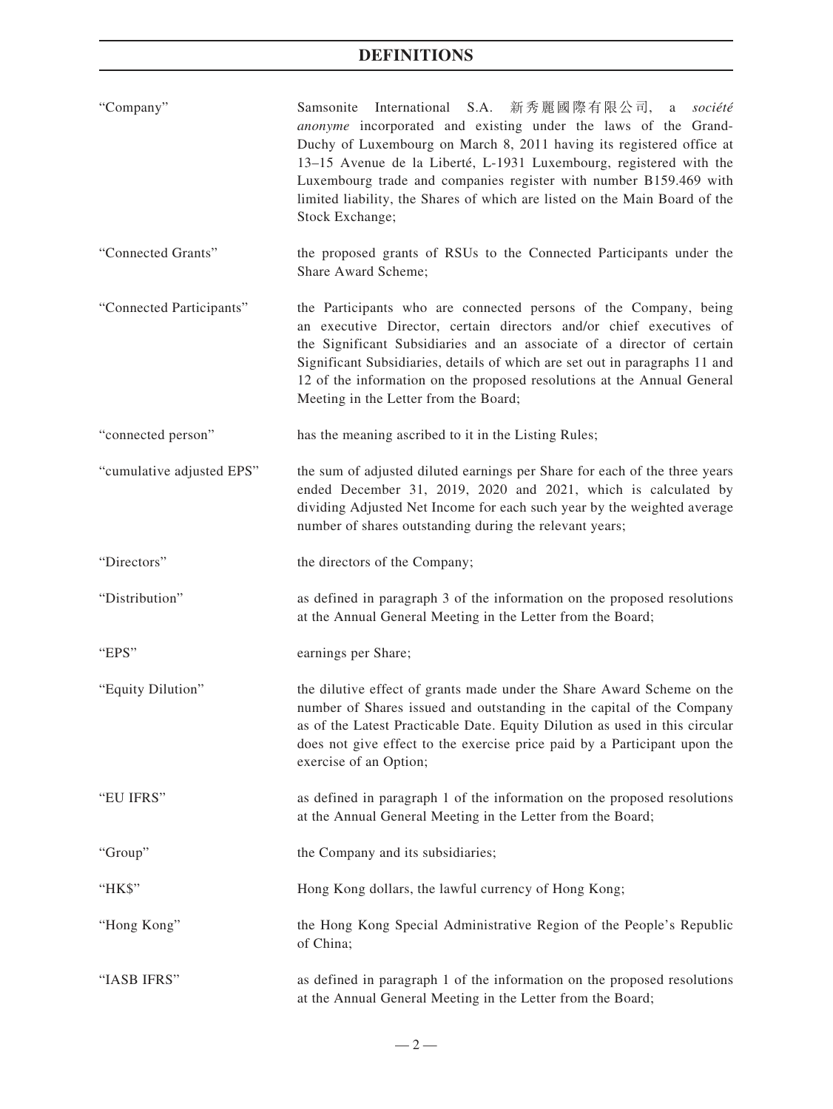| "Company" |                 | Samsonite International S.A. 新秀麗國際有限公司, a société                          |  |  |  |  |
|-----------|-----------------|----------------------------------------------------------------------------|--|--|--|--|
|           |                 | <i>anonyme</i> incorporated and existing under the laws of the Grand-      |  |  |  |  |
|           |                 | Duchy of Luxembourg on March 8, 2011 having its registered office at       |  |  |  |  |
|           |                 | 13–15 Avenue de la Liberté, L-1931 Luxembourg, registered with the         |  |  |  |  |
|           |                 | Luxembourg trade and companies register with number B159.469 with          |  |  |  |  |
|           |                 | limited liability, the Shares of which are listed on the Main Board of the |  |  |  |  |
|           | Stock Exchange: |                                                                            |  |  |  |  |

- "Connected Grants" the proposed grants of RSUs to the Connected Participants under the Share Award Scheme;
- "Connected Participants" the Participants who are connected persons of the Company, being an executive Director, certain directors and/or chief executives of the Significant Subsidiaries and an associate of a director of certain Significant Subsidiaries, details of which are set out in paragraphs 11 and 12 of the information on the proposed resolutions at the Annual General Meeting in the Letter from the Board;
- "connected person" has the meaning ascribed to it in the Listing Rules;
- "cumulative adjusted EPS" the sum of adjusted diluted earnings per Share for each of the three years ended December 31, 2019, 2020 and 2021, which is calculated by dividing Adjusted Net Income for each such year by the weighted average number of shares outstanding during the relevant years;
- "Directors" the directors of the Company;
- "Distribution" as defined in paragraph 3 of the information on the proposed resolutions at the Annual General Meeting in the Letter from the Board;
- "EPS" earnings per Share;
- "Equity Dilution" the dilutive effect of grants made under the Share Award Scheme on the number of Shares issued and outstanding in the capital of the Company as of the Latest Practicable Date. Equity Dilution as used in this circular does not give effect to the exercise price paid by a Participant upon the exercise of an Option;
- "EU IFRS" as defined in paragraph 1 of the information on the proposed resolutions at the Annual General Meeting in the Letter from the Board;

"Group" the Company and its subsidiaries;

"HK\$" Hong Kong dollars, the lawful currency of Hong Kong;

- "Hong Kong" the Hong Kong Special Administrative Region of the People's Republic of China;
- "IASB IFRS" as defined in paragraph 1 of the information on the proposed resolutions at the Annual General Meeting in the Letter from the Board;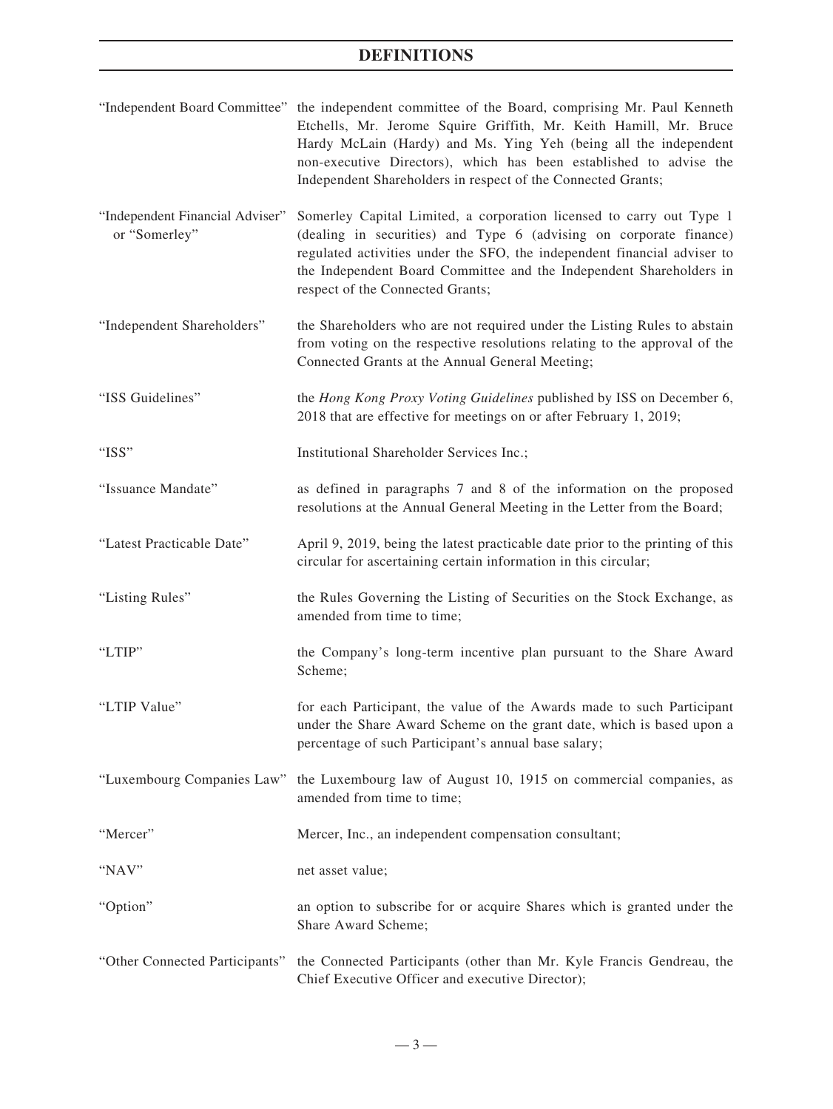| "Independent Board Committee" the independent committee of the Board, comprising Mr. Paul Kenneth |
|---------------------------------------------------------------------------------------------------|
| Etchells, Mr. Jerome Squire Griffith, Mr. Keith Hamill, Mr. Bruce                                 |
| Hardy McLain (Hardy) and Ms. Ying Yeh (being all the independent                                  |
| non-executive Directors), which has been established to advise the                                |
| Independent Shareholders in respect of the Connected Grants;                                      |

- "Independent Financial Adviser" or "Somerley" Somerley Capital Limited, a corporation licensed to carry out Type 1 (dealing in securities) and Type 6 (advising on corporate finance) regulated activities under the SFO, the independent financial adviser to the Independent Board Committee and the Independent Shareholders in respect of the Connected Grants;
- "Independent Shareholders" the Shareholders who are not required under the Listing Rules to abstain from voting on the respective resolutions relating to the approval of the Connected Grants at the Annual General Meeting;
- "ISS Guidelines" the *Hong Kong Proxy Voting Guidelines* published by ISS on December 6, 2018 that are effective for meetings on or after February 1, 2019;
- "ISS" Institutional Shareholder Services Inc.;
- "Issuance Mandate" as defined in paragraphs 7 and 8 of the information on the proposed resolutions at the Annual General Meeting in the Letter from the Board;
- "Latest Practicable Date" April 9, 2019, being the latest practicable date prior to the printing of this circular for ascertaining certain information in this circular;
- "Listing Rules" the Rules Governing the Listing of Securities on the Stock Exchange, as amended from time to time;
- "LTIP" the Company's long-term incentive plan pursuant to the Share Award Scheme;
- "LTIP Value" for each Participant, the value of the Awards made to such Participant under the Share Award Scheme on the grant date, which is based upon a percentage of such Participant's annual base salary;
- "Luxembourg Companies Law" the Luxembourg law of August 10, 1915 on commercial companies, as amended from time to time;
- "Mercer" Mercer, Inc., an independent compensation consultant;
- "NAV" net asset value;
- "Option" an option to subscribe for or acquire Shares which is granted under the Share Award Scheme;
- "Other Connected Participants" the Connected Participants (other than Mr. Kyle Francis Gendreau, the Chief Executive Officer and executive Director);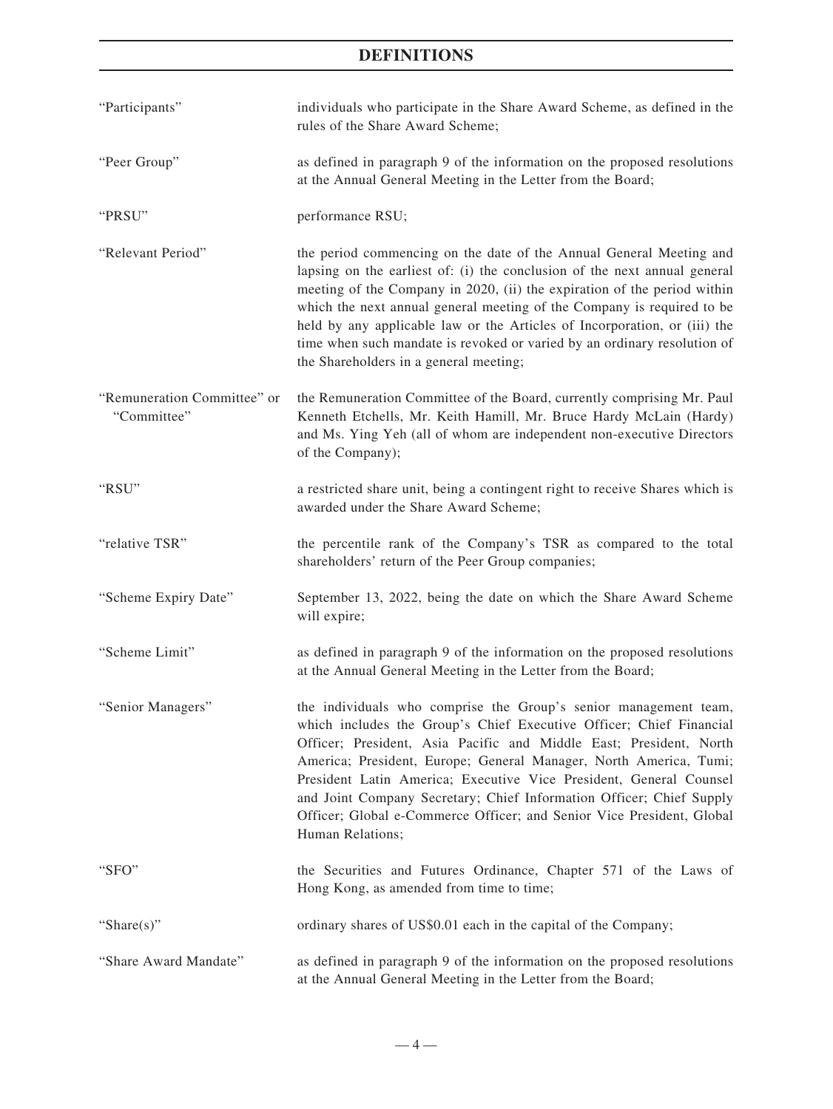| "Participants"                             | individuals who participate in the Share Award Scheme, as defined in the<br>rules of the Share Award Scheme;                                                                                                                                                                                                                                                                                                                                                                                                                  |
|--------------------------------------------|-------------------------------------------------------------------------------------------------------------------------------------------------------------------------------------------------------------------------------------------------------------------------------------------------------------------------------------------------------------------------------------------------------------------------------------------------------------------------------------------------------------------------------|
| "Peer Group"                               | as defined in paragraph 9 of the information on the proposed resolutions<br>at the Annual General Meeting in the Letter from the Board;                                                                                                                                                                                                                                                                                                                                                                                       |
| "PRSU"                                     | performance RSU;                                                                                                                                                                                                                                                                                                                                                                                                                                                                                                              |
| "Relevant Period"                          | the period commencing on the date of the Annual General Meeting and<br>lapsing on the earliest of: (i) the conclusion of the next annual general<br>meeting of the Company in 2020, (ii) the expiration of the period within<br>which the next annual general meeting of the Company is required to be<br>held by any applicable law or the Articles of Incorporation, or (iii) the<br>time when such mandate is revoked or varied by an ordinary resolution of<br>the Shareholders in a general meeting;                     |
| "Remuneration Committee" or<br>"Committee" | the Remuneration Committee of the Board, currently comprising Mr. Paul<br>Kenneth Etchells, Mr. Keith Hamill, Mr. Bruce Hardy McLain (Hardy)<br>and Ms. Ying Yeh (all of whom are independent non-executive Directors<br>of the Company);                                                                                                                                                                                                                                                                                     |
| "RSU"                                      | a restricted share unit, being a contingent right to receive Shares which is<br>awarded under the Share Award Scheme;                                                                                                                                                                                                                                                                                                                                                                                                         |
| "relative TSR"                             | the percentile rank of the Company's TSR as compared to the total<br>shareholders' return of the Peer Group companies;                                                                                                                                                                                                                                                                                                                                                                                                        |
| "Scheme Expiry Date"                       | September 13, 2022, being the date on which the Share Award Scheme<br>will expire;                                                                                                                                                                                                                                                                                                                                                                                                                                            |
| "Scheme Limit"                             | as defined in paragraph 9 of the information on the proposed resolutions<br>at the Annual General Meeting in the Letter from the Board;                                                                                                                                                                                                                                                                                                                                                                                       |
| "Senior Managers"                          | the individuals who comprise the Group's senior management team,<br>which includes the Group's Chief Executive Officer; Chief Financial<br>Officer; President, Asia Pacific and Middle East; President, North<br>America; President, Europe; General Manager, North America, Tumi;<br>President Latin America; Executive Vice President, General Counsel<br>and Joint Company Secretary; Chief Information Officer; Chief Supply<br>Officer; Global e-Commerce Officer; and Senior Vice President, Global<br>Human Relations; |
| "SFO"                                      | the Securities and Futures Ordinance, Chapter 571 of the Laws of<br>Hong Kong, as amended from time to time;                                                                                                                                                                                                                                                                                                                                                                                                                  |
| "Share $(s)$ "                             | ordinary shares of US\$0.01 each in the capital of the Company;                                                                                                                                                                                                                                                                                                                                                                                                                                                               |
| "Share Award Mandate"                      | as defined in paragraph 9 of the information on the proposed resolutions<br>at the Annual General Meeting in the Letter from the Board;                                                                                                                                                                                                                                                                                                                                                                                       |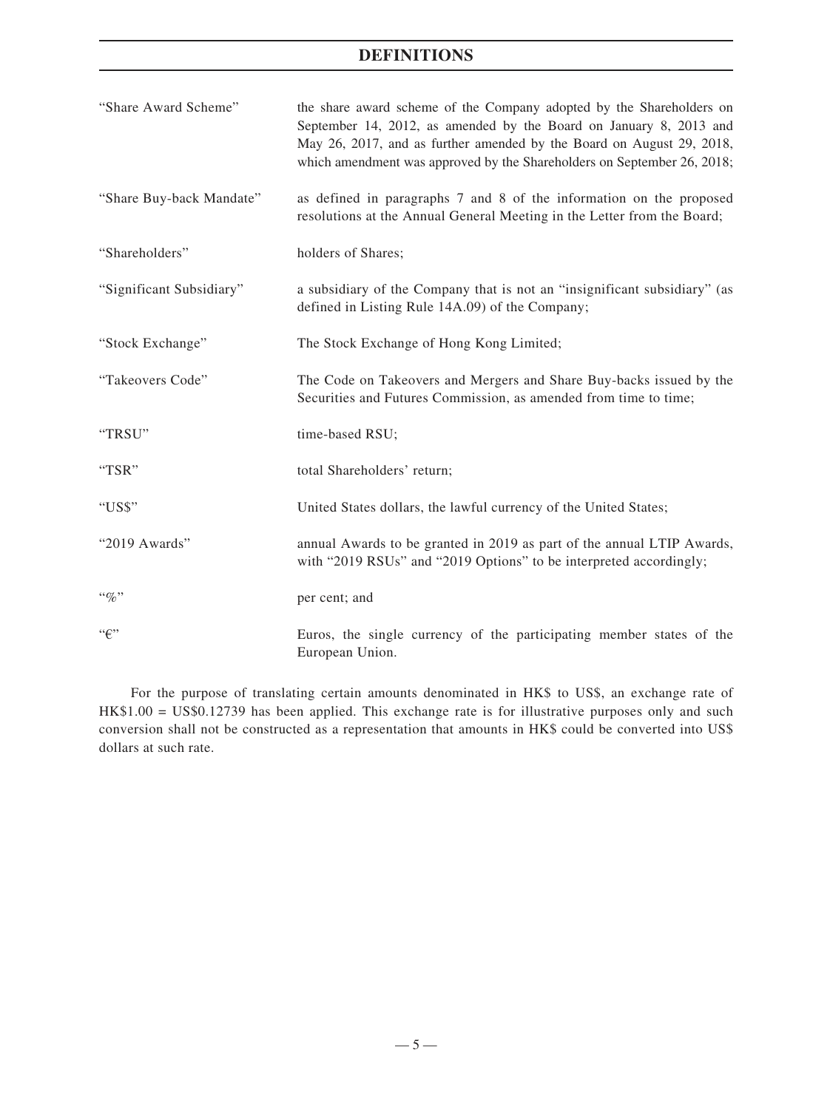| "Share Award Scheme"     | the share award scheme of the Company adopted by the Shareholders on<br>September 14, 2012, as amended by the Board on January 8, 2013 and<br>May 26, 2017, and as further amended by the Board on August 29, 2018,<br>which amendment was approved by the Shareholders on September 26, 2018; |
|--------------------------|------------------------------------------------------------------------------------------------------------------------------------------------------------------------------------------------------------------------------------------------------------------------------------------------|
| "Share Buy-back Mandate" | as defined in paragraphs 7 and 8 of the information on the proposed<br>resolutions at the Annual General Meeting in the Letter from the Board;                                                                                                                                                 |
| "Shareholders"           | holders of Shares;                                                                                                                                                                                                                                                                             |
| "Significant Subsidiary" | a subsidiary of the Company that is not an "insignificant subsidiary" (as<br>defined in Listing Rule 14A.09) of the Company;                                                                                                                                                                   |
| "Stock Exchange"         | The Stock Exchange of Hong Kong Limited;                                                                                                                                                                                                                                                       |
| "Takeovers Code"         | The Code on Takeovers and Mergers and Share Buy-backs issued by the<br>Securities and Futures Commission, as amended from time to time;                                                                                                                                                        |
| "TRSU"                   | time-based RSU;                                                                                                                                                                                                                                                                                |
| "TSR"                    | total Shareholders' return;                                                                                                                                                                                                                                                                    |
| "US\$"                   | United States dollars, the lawful currency of the United States;                                                                                                                                                                                                                               |
| "2019 Awards"            | annual Awards to be granted in 2019 as part of the annual LTIP Awards,<br>with "2019 RSUs" and "2019 Options" to be interpreted accordingly;                                                                                                                                                   |
| $``\%"$                  | per cent; and                                                                                                                                                                                                                                                                                  |
| ``f"                     | Euros, the single currency of the participating member states of the<br>European Union.                                                                                                                                                                                                        |

For the purpose of translating certain amounts denominated in HK\$ to US\$, an exchange rate of HK\$1.00 = US\$0.12739 has been applied. This exchange rate is for illustrative purposes only and such conversion shall not be constructed as a representation that amounts in HK\$ could be converted into US\$ dollars at such rate.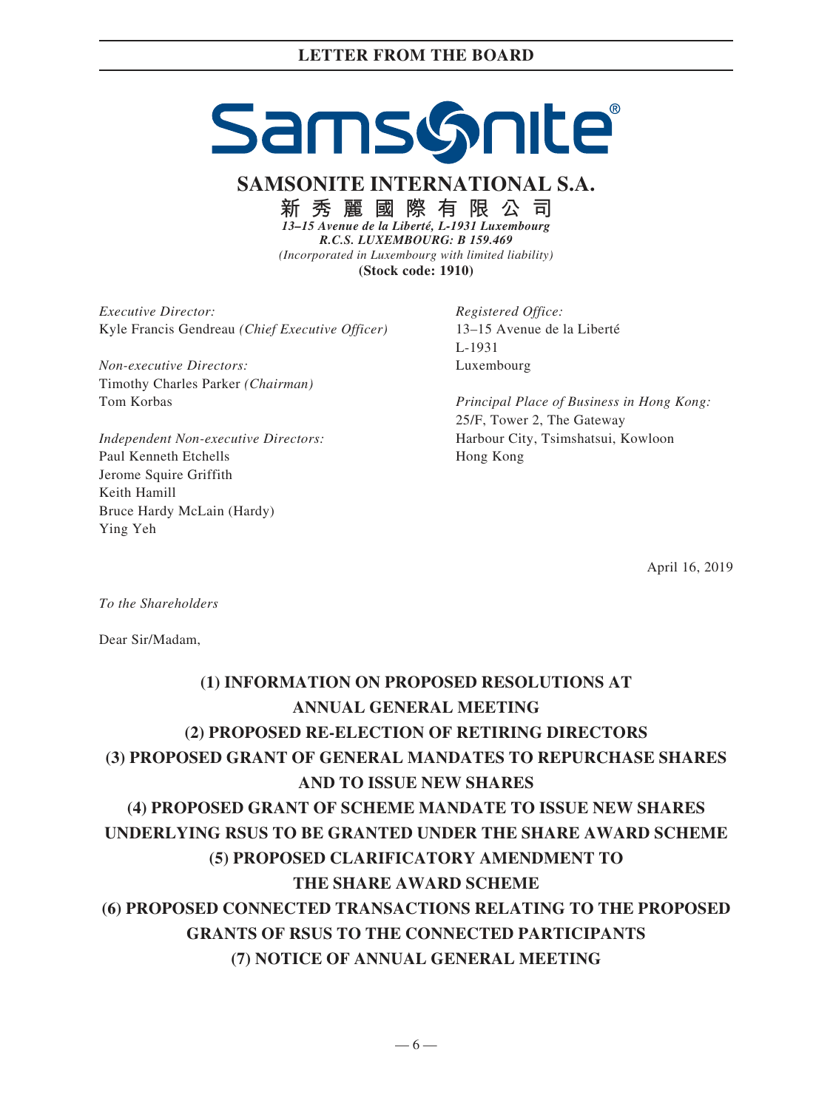# SamsGnite

**SAMSONITE INTERNATIONAL S.A.**

**新秀麗國際有限公司**

*13–15 Avenue de la Liberté, L-1931 Luxembourg R.C.S. LUXEMBOURG: B 159.469 (Incorporated in Luxembourg with limited liability)* **(Stock code: 1910)**

*Executive Director:* Kyle Francis Gendreau *(Chief Executive Officer)*

*Non-executive Directors:* Timothy Charles Parker *(Chairman)* Tom Korbas

*Independent Non-executive Directors:* Paul Kenneth Etchells Jerome Squire Griffith Keith Hamill Bruce Hardy McLain (Hardy) Ying Yeh

*Registered Office:* 13–15 Avenue de la Liberté L-1931 Luxembourg

*Principal Place of Business in Hong Kong:* 25/F, Tower 2, The Gateway Harbour City, Tsimshatsui, Kowloon Hong Kong

April 16, 2019

*To the Shareholders*

Dear Sir/Madam,

# **(1) INFORMATION ON PROPOSED RESOLUTIONS AT ANNUAL GENERAL MEETING (2) PROPOSED RE-ELECTION OF RETIRING DIRECTORS (3) PROPOSED GRANT OF GENERAL MANDATES TO REPURCHASE SHARES AND TO ISSUE NEW SHARES (4) PROPOSED GRANT OF SCHEME MANDATE TO ISSUE NEW SHARES UNDERLYING RSUS TO BE GRANTED UNDER THE SHARE AWARD SCHEME (5) PROPOSED CLARIFICATORY AMENDMENT TO THE SHARE AWARD SCHEME (6) PROPOSED CONNECTED TRANSACTIONS RELATING TO THE PROPOSED GRANTS OF RSUS TO THE CONNECTED PARTICIPANTS (7) NOTICE OF ANNUAL GENERAL MEETING**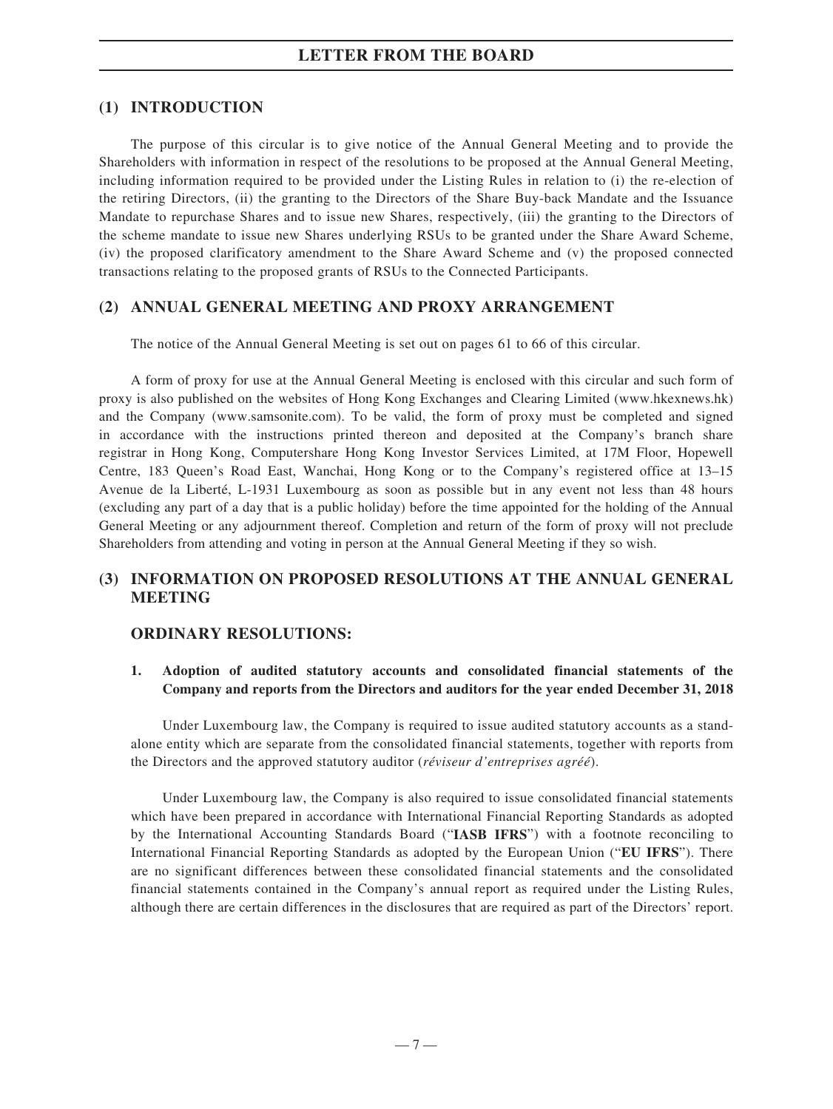# **(1) INTRODUCTION**

The purpose of this circular is to give notice of the Annual General Meeting and to provide the Shareholders with information in respect of the resolutions to be proposed at the Annual General Meeting, including information required to be provided under the Listing Rules in relation to (i) the re-election of the retiring Directors, (ii) the granting to the Directors of the Share Buy-back Mandate and the Issuance Mandate to repurchase Shares and to issue new Shares, respectively, (iii) the granting to the Directors of the scheme mandate to issue new Shares underlying RSUs to be granted under the Share Award Scheme, (iv) the proposed clarificatory amendment to the Share Award Scheme and (v) the proposed connected transactions relating to the proposed grants of RSUs to the Connected Participants.

# **(2) ANNUAL GENERAL MEETING AND PROXY ARRANGEMENT**

The notice of the Annual General Meeting is set out on pages 61 to 66 of this circular.

A form of proxy for use at the Annual General Meeting is enclosed with this circular and such form of proxy is also published on the websites of Hong Kong Exchanges and Clearing Limited (www.hkexnews.hk) and the Company (www.samsonite.com). To be valid, the form of proxy must be completed and signed in accordance with the instructions printed thereon and deposited at the Company's branch share registrar in Hong Kong, Computershare Hong Kong Investor Services Limited, at 17M Floor, Hopewell Centre, 183 Queen's Road East, Wanchai, Hong Kong or to the Company's registered office at 13–15 Avenue de la Liberté, L-1931 Luxembourg as soon as possible but in any event not less than 48 hours (excluding any part of a day that is a public holiday) before the time appointed for the holding of the Annual General Meeting or any adjournment thereof. Completion and return of the form of proxy will not preclude Shareholders from attending and voting in person at the Annual General Meeting if they so wish.

# **(3) INFORMATION ON PROPOSED RESOLUTIONS AT THE ANNUAL GENERAL MEETING**

## **ORDINARY RESOLUTIONS:**

## **1. Adoption of audited statutory accounts and consolidated financial statements of the Company and reports from the Directors and auditors for the year ended December 31, 2018**

Under Luxembourg law, the Company is required to issue audited statutory accounts as a standalone entity which are separate from the consolidated financial statements, together with reports from the Directors and the approved statutory auditor (*réviseur d'entreprises agréé*).

Under Luxembourg law, the Company is also required to issue consolidated financial statements which have been prepared in accordance with International Financial Reporting Standards as adopted by the International Accounting Standards Board ("**IASB IFRS**") with a footnote reconciling to International Financial Reporting Standards as adopted by the European Union ("**EU IFRS**"). There are no significant differences between these consolidated financial statements and the consolidated financial statements contained in the Company's annual report as required under the Listing Rules, although there are certain differences in the disclosures that are required as part of the Directors' report.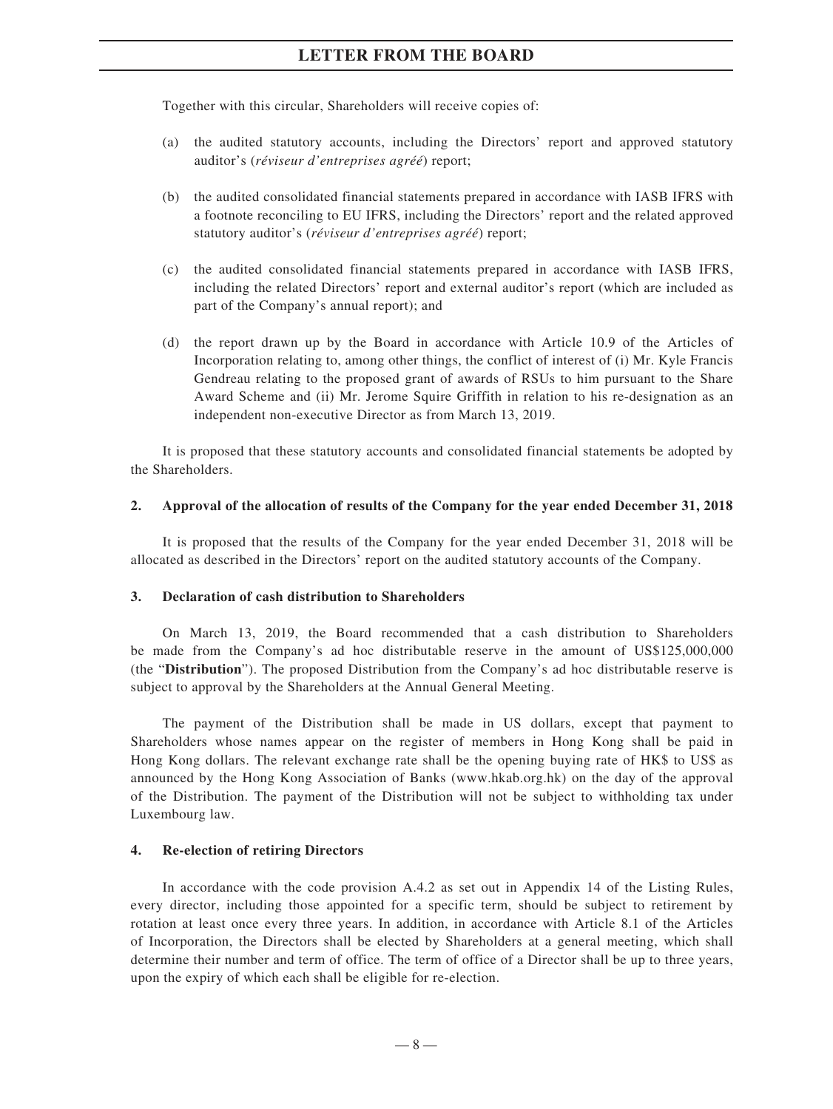Together with this circular, Shareholders will receive copies of:

- (a) the audited statutory accounts, including the Directors' report and approved statutory auditor's (*réviseur d'entreprises agréé*) report;
- (b) the audited consolidated financial statements prepared in accordance with IASB IFRS with a footnote reconciling to EU IFRS, including the Directors' report and the related approved statutory auditor's (*réviseur d'entreprises agréé*) report;
- (c) the audited consolidated financial statements prepared in accordance with IASB IFRS, including the related Directors' report and external auditor's report (which are included as part of the Company's annual report); and
- (d) the report drawn up by the Board in accordance with Article 10.9 of the Articles of Incorporation relating to, among other things, the conflict of interest of (i) Mr. Kyle Francis Gendreau relating to the proposed grant of awards of RSUs to him pursuant to the Share Award Scheme and (ii) Mr. Jerome Squire Griffith in relation to his re-designation as an independent non-executive Director as from March 13, 2019.

It is proposed that these statutory accounts and consolidated financial statements be adopted by the Shareholders.

#### **2. Approval of the allocation of results of the Company for the year ended December 31, 2018**

It is proposed that the results of the Company for the year ended December 31, 2018 will be allocated as described in the Directors' report on the audited statutory accounts of the Company.

#### **3. Declaration of cash distribution to Shareholders**

On March 13, 2019, the Board recommended that a cash distribution to Shareholders be made from the Company's ad hoc distributable reserve in the amount of US\$125,000,000 (the "**Distribution**"). The proposed Distribution from the Company's ad hoc distributable reserve is subject to approval by the Shareholders at the Annual General Meeting.

The payment of the Distribution shall be made in US dollars, except that payment to Shareholders whose names appear on the register of members in Hong Kong shall be paid in Hong Kong dollars. The relevant exchange rate shall be the opening buying rate of HK\$ to US\$ as announced by the Hong Kong Association of Banks (www.hkab.org.hk) on the day of the approval of the Distribution. The payment of the Distribution will not be subject to withholding tax under Luxembourg law.

#### **4. Re-election of retiring Directors**

In accordance with the code provision A.4.2 as set out in Appendix 14 of the Listing Rules, every director, including those appointed for a specific term, should be subject to retirement by rotation at least once every three years. In addition, in accordance with Article 8.1 of the Articles of Incorporation, the Directors shall be elected by Shareholders at a general meeting, which shall determine their number and term of office. The term of office of a Director shall be up to three years, upon the expiry of which each shall be eligible for re-election.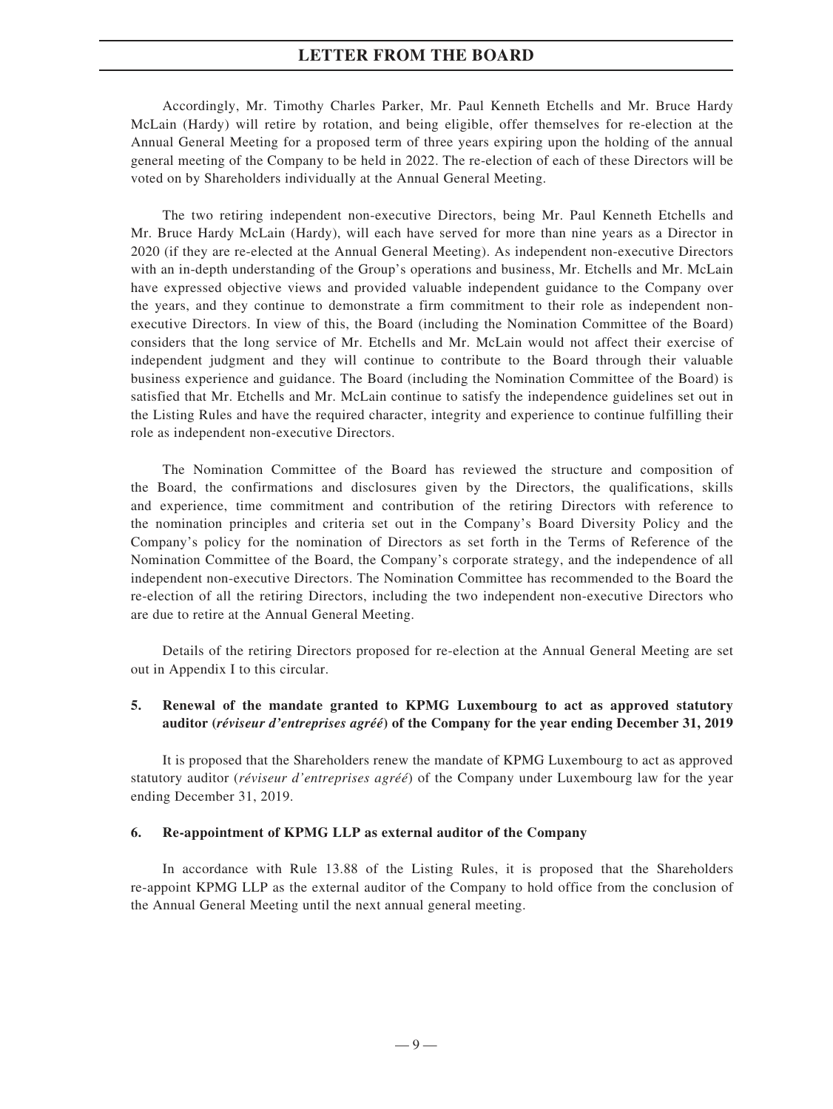Accordingly, Mr. Timothy Charles Parker, Mr. Paul Kenneth Etchells and Mr. Bruce Hardy McLain (Hardy) will retire by rotation, and being eligible, offer themselves for re-election at the Annual General Meeting for a proposed term of three years expiring upon the holding of the annual general meeting of the Company to be held in 2022. The re-election of each of these Directors will be voted on by Shareholders individually at the Annual General Meeting.

The two retiring independent non-executive Directors, being Mr. Paul Kenneth Etchells and Mr. Bruce Hardy McLain (Hardy), will each have served for more than nine years as a Director in 2020 (if they are re-elected at the Annual General Meeting). As independent non-executive Directors with an in-depth understanding of the Group's operations and business, Mr. Etchells and Mr. McLain have expressed objective views and provided valuable independent guidance to the Company over the years, and they continue to demonstrate a firm commitment to their role as independent nonexecutive Directors. In view of this, the Board (including the Nomination Committee of the Board) considers that the long service of Mr. Etchells and Mr. McLain would not affect their exercise of independent judgment and they will continue to contribute to the Board through their valuable business experience and guidance. The Board (including the Nomination Committee of the Board) is satisfied that Mr. Etchells and Mr. McLain continue to satisfy the independence guidelines set out in the Listing Rules and have the required character, integrity and experience to continue fulfilling their role as independent non-executive Directors.

The Nomination Committee of the Board has reviewed the structure and composition of the Board, the confirmations and disclosures given by the Directors, the qualifications, skills and experience, time commitment and contribution of the retiring Directors with reference to the nomination principles and criteria set out in the Company's Board Diversity Policy and the Company's policy for the nomination of Directors as set forth in the Terms of Reference of the Nomination Committee of the Board, the Company's corporate strategy, and the independence of all independent non-executive Directors. The Nomination Committee has recommended to the Board the re-election of all the retiring Directors, including the two independent non-executive Directors who are due to retire at the Annual General Meeting.

Details of the retiring Directors proposed for re-election at the Annual General Meeting are set out in Appendix I to this circular.

## **5. Renewal of the mandate granted to KPMG Luxembourg to act as approved statutory auditor (***réviseur d'entreprises agréé***) of the Company for the year ending December 31, 2019**

It is proposed that the Shareholders renew the mandate of KPMG Luxembourg to act as approved statutory auditor (*réviseur d'entreprises agréé*) of the Company under Luxembourg law for the year ending December 31, 2019.

#### **6. Re-appointment of KPMG LLP as external auditor of the Company**

In accordance with Rule 13.88 of the Listing Rules, it is proposed that the Shareholders re-appoint KPMG LLP as the external auditor of the Company to hold office from the conclusion of the Annual General Meeting until the next annual general meeting.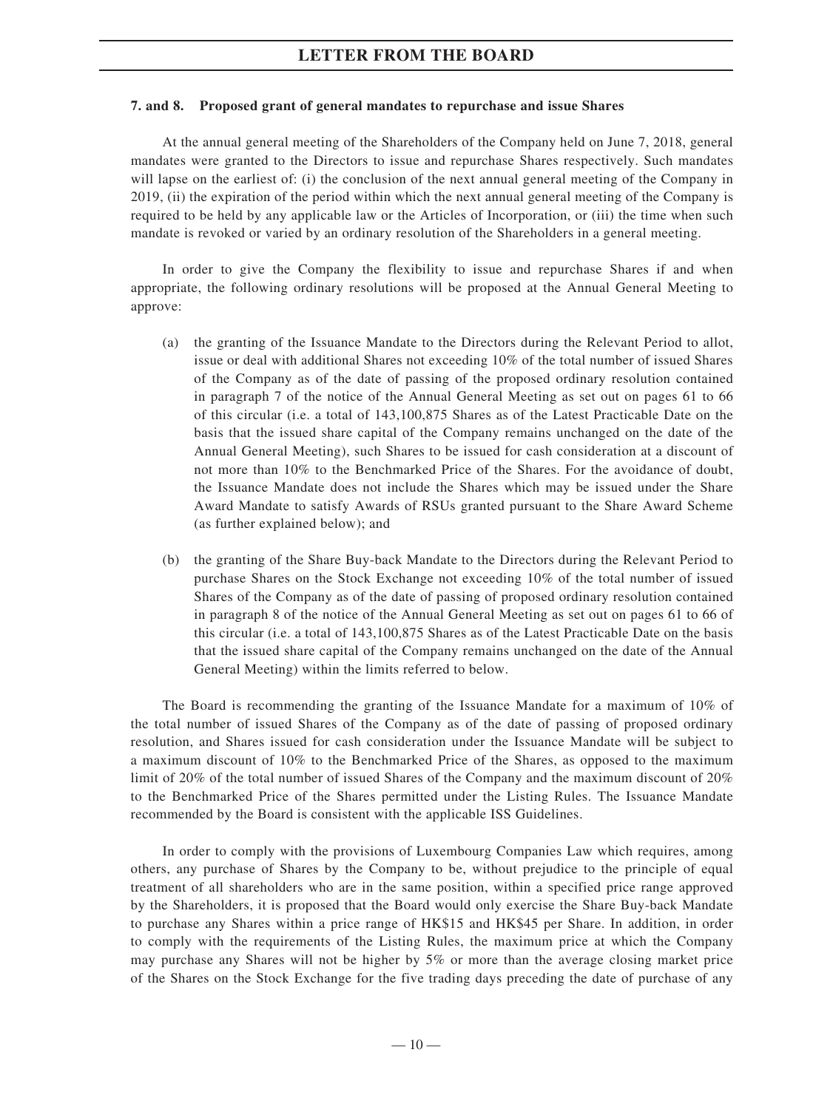#### **7. and 8. Proposed grant of general mandates to repurchase and issue Shares**

At the annual general meeting of the Shareholders of the Company held on June 7, 2018, general mandates were granted to the Directors to issue and repurchase Shares respectively. Such mandates will lapse on the earliest of: (i) the conclusion of the next annual general meeting of the Company in 2019, (ii) the expiration of the period within which the next annual general meeting of the Company is required to be held by any applicable law or the Articles of Incorporation, or (iii) the time when such mandate is revoked or varied by an ordinary resolution of the Shareholders in a general meeting.

In order to give the Company the flexibility to issue and repurchase Shares if and when appropriate, the following ordinary resolutions will be proposed at the Annual General Meeting to approve:

- (a) the granting of the Issuance Mandate to the Directors during the Relevant Period to allot, issue or deal with additional Shares not exceeding 10% of the total number of issued Shares of the Company as of the date of passing of the proposed ordinary resolution contained in paragraph 7 of the notice of the Annual General Meeting as set out on pages 61 to 66 of this circular (i.e. a total of 143,100,875 Shares as of the Latest Practicable Date on the basis that the issued share capital of the Company remains unchanged on the date of the Annual General Meeting), such Shares to be issued for cash consideration at a discount of not more than 10% to the Benchmarked Price of the Shares. For the avoidance of doubt, the Issuance Mandate does not include the Shares which may be issued under the Share Award Mandate to satisfy Awards of RSUs granted pursuant to the Share Award Scheme (as further explained below); and
- (b) the granting of the Share Buy-back Mandate to the Directors during the Relevant Period to purchase Shares on the Stock Exchange not exceeding 10% of the total number of issued Shares of the Company as of the date of passing of proposed ordinary resolution contained in paragraph 8 of the notice of the Annual General Meeting as set out on pages 61 to 66 of this circular (i.e. a total of 143,100,875 Shares as of the Latest Practicable Date on the basis that the issued share capital of the Company remains unchanged on the date of the Annual General Meeting) within the limits referred to below.

The Board is recommending the granting of the Issuance Mandate for a maximum of 10% of the total number of issued Shares of the Company as of the date of passing of proposed ordinary resolution, and Shares issued for cash consideration under the Issuance Mandate will be subject to a maximum discount of 10% to the Benchmarked Price of the Shares, as opposed to the maximum limit of 20% of the total number of issued Shares of the Company and the maximum discount of 20% to the Benchmarked Price of the Shares permitted under the Listing Rules. The Issuance Mandate recommended by the Board is consistent with the applicable ISS Guidelines.

In order to comply with the provisions of Luxembourg Companies Law which requires, among others, any purchase of Shares by the Company to be, without prejudice to the principle of equal treatment of all shareholders who are in the same position, within a specified price range approved by the Shareholders, it is proposed that the Board would only exercise the Share Buy-back Mandate to purchase any Shares within a price range of HK\$15 and HK\$45 per Share. In addition, in order to comply with the requirements of the Listing Rules, the maximum price at which the Company may purchase any Shares will not be higher by 5% or more than the average closing market price of the Shares on the Stock Exchange for the five trading days preceding the date of purchase of any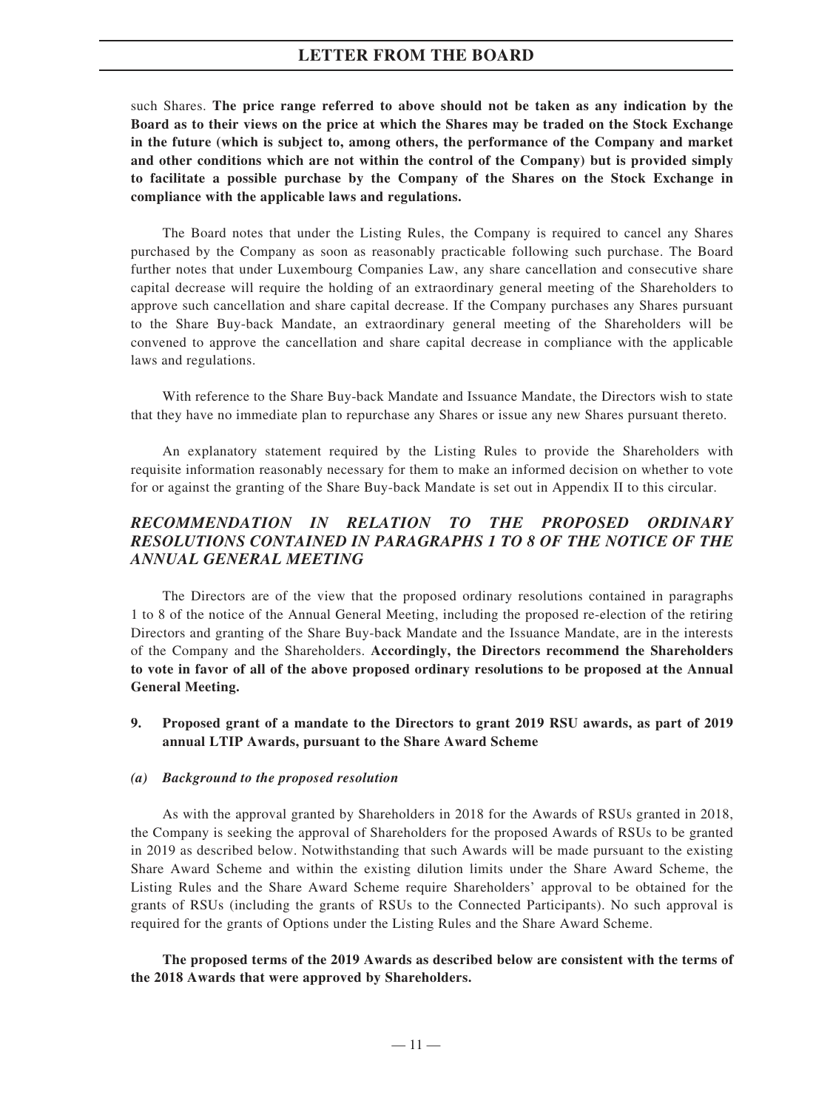such Shares. **The price range referred to above should not be taken as any indication by the Board as to their views on the price at which the Shares may be traded on the Stock Exchange in the future (which is subject to, among others, the performance of the Company and market and other conditions which are not within the control of the Company) but is provided simply to facilitate a possible purchase by the Company of the Shares on the Stock Exchange in compliance with the applicable laws and regulations.**

The Board notes that under the Listing Rules, the Company is required to cancel any Shares purchased by the Company as soon as reasonably practicable following such purchase. The Board further notes that under Luxembourg Companies Law, any share cancellation and consecutive share capital decrease will require the holding of an extraordinary general meeting of the Shareholders to approve such cancellation and share capital decrease. If the Company purchases any Shares pursuant to the Share Buy-back Mandate, an extraordinary general meeting of the Shareholders will be convened to approve the cancellation and share capital decrease in compliance with the applicable laws and regulations.

With reference to the Share Buy-back Mandate and Issuance Mandate, the Directors wish to state that they have no immediate plan to repurchase any Shares or issue any new Shares pursuant thereto.

An explanatory statement required by the Listing Rules to provide the Shareholders with requisite information reasonably necessary for them to make an informed decision on whether to vote for or against the granting of the Share Buy-back Mandate is set out in Appendix II to this circular.

# *RECOMMENDATION IN RELATION TO THE PROPOSED ORDINARY RESOLUTIONS CONTAINED IN PARAGRAPHS 1 TO 8 OF THE NOTICE OF THE ANNUAL GENERAL MEETING*

The Directors are of the view that the proposed ordinary resolutions contained in paragraphs 1 to 8 of the notice of the Annual General Meeting, including the proposed re-election of the retiring Directors and granting of the Share Buy-back Mandate and the Issuance Mandate, are in the interests of the Company and the Shareholders. **Accordingly, the Directors recommend the Shareholders to vote in favor of all of the above proposed ordinary resolutions to be proposed at the Annual General Meeting.**

**9. Proposed grant of a mandate to the Directors to grant 2019 RSU awards, as part of 2019 annual LTIP Awards, pursuant to the Share Award Scheme**

#### *(a) Background to the proposed resolution*

As with the approval granted by Shareholders in 2018 for the Awards of RSUs granted in 2018, the Company is seeking the approval of Shareholders for the proposed Awards of RSUs to be granted in 2019 as described below. Notwithstanding that such Awards will be made pursuant to the existing Share Award Scheme and within the existing dilution limits under the Share Award Scheme, the Listing Rules and the Share Award Scheme require Shareholders' approval to be obtained for the grants of RSUs (including the grants of RSUs to the Connected Participants). No such approval is required for the grants of Options under the Listing Rules and the Share Award Scheme.

**The proposed terms of the 2019 Awards as described below are consistent with the terms of the 2018 Awards that were approved by Shareholders.**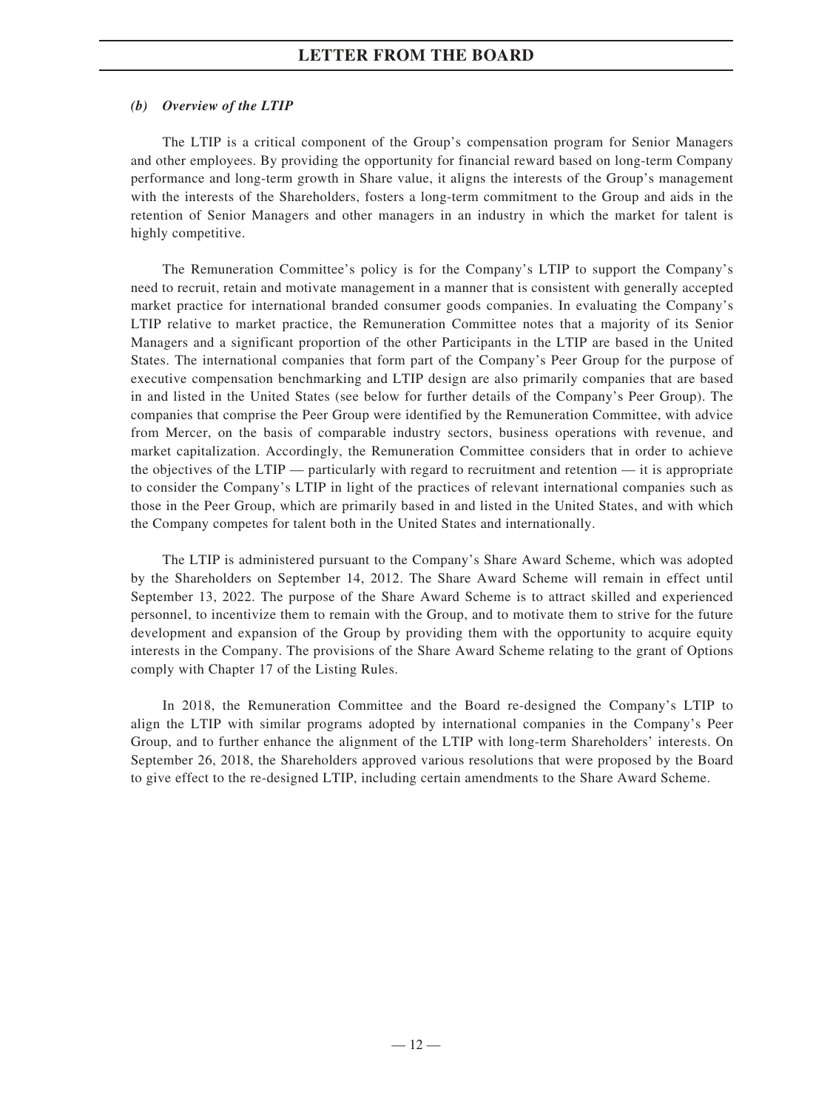## *(b) Overview of the LTIP*

The LTIP is a critical component of the Group's compensation program for Senior Managers and other employees. By providing the opportunity for financial reward based on long-term Company performance and long-term growth in Share value, it aligns the interests of the Group's management with the interests of the Shareholders, fosters a long-term commitment to the Group and aids in the retention of Senior Managers and other managers in an industry in which the market for talent is highly competitive.

The Remuneration Committee's policy is for the Company's LTIP to support the Company's need to recruit, retain and motivate management in a manner that is consistent with generally accepted market practice for international branded consumer goods companies. In evaluating the Company's LTIP relative to market practice, the Remuneration Committee notes that a majority of its Senior Managers and a significant proportion of the other Participants in the LTIP are based in the United States. The international companies that form part of the Company's Peer Group for the purpose of executive compensation benchmarking and LTIP design are also primarily companies that are based in and listed in the United States (see below for further details of the Company's Peer Group). The companies that comprise the Peer Group were identified by the Remuneration Committee, with advice from Mercer, on the basis of comparable industry sectors, business operations with revenue, and market capitalization. Accordingly, the Remuneration Committee considers that in order to achieve the objectives of the LTIP — particularly with regard to recruitment and retention — it is appropriate to consider the Company's LTIP in light of the practices of relevant international companies such as those in the Peer Group, which are primarily based in and listed in the United States, and with which the Company competes for talent both in the United States and internationally.

The LTIP is administered pursuant to the Company's Share Award Scheme, which was adopted by the Shareholders on September 14, 2012. The Share Award Scheme will remain in effect until September 13, 2022. The purpose of the Share Award Scheme is to attract skilled and experienced personnel, to incentivize them to remain with the Group, and to motivate them to strive for the future development and expansion of the Group by providing them with the opportunity to acquire equity interests in the Company. The provisions of the Share Award Scheme relating to the grant of Options comply with Chapter 17 of the Listing Rules.

In 2018, the Remuneration Committee and the Board re-designed the Company's LTIP to align the LTIP with similar programs adopted by international companies in the Company's Peer Group, and to further enhance the alignment of the LTIP with long-term Shareholders' interests. On September 26, 2018, the Shareholders approved various resolutions that were proposed by the Board to give effect to the re-designed LTIP, including certain amendments to the Share Award Scheme.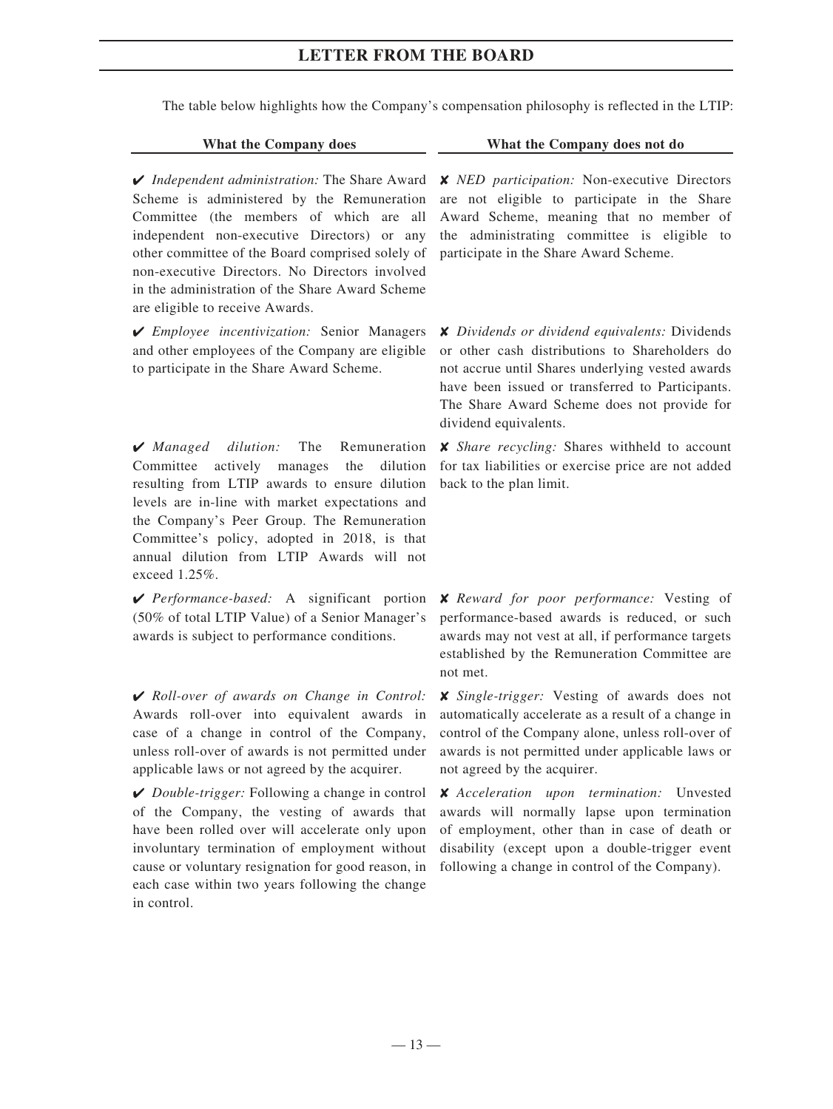The table below highlights how the Company's compensation philosophy is reflected in the LTIP:

✔ *Independent administration:* The Share Award Scheme is administered by the Remuneration Committee (the members of which are all independent non-executive Directors) or any other committee of the Board comprised solely of non-executive Directors. No Directors involved in the administration of the Share Award Scheme are eligible to receive Awards.

✔ *Employee incentivization:* Senior Managers and other employees of the Company are eligible to participate in the Share Award Scheme.

✔ *Managed dilution:* The Remuneration Committee actively manages the dilution resulting from LTIP awards to ensure dilution levels are in-line with market expectations and the Company's Peer Group. The Remuneration Committee's policy, adopted in 2018, is that annual dilution from LTIP Awards will not exceed 1.25%.

✔ *Performance-based:* A significant portion (50% of total LTIP Value) of a Senior Manager's awards is subject to performance conditions.

✔ *Roll-over of awards on Change in Control:*  Awards roll-over into equivalent awards in case of a change in control of the Company, unless roll-over of awards is not permitted under applicable laws or not agreed by the acquirer.

✔ *Double-trigger:* Following a change in control of the Company, the vesting of awards that have been rolled over will accelerate only upon involuntary termination of employment without cause or voluntary resignation for good reason, in each case within two years following the change in control.

### **What the Company does What the Company does not do**

✘ *NED participation:* Non-executive Directors are not eligible to participate in the Share Award Scheme, meaning that no member of the administrating committee is eligible to participate in the Share Award Scheme.

✘ *Dividends or dividend equivalents:* Dividends or other cash distributions to Shareholders do not accrue until Shares underlying vested awards have been issued or transferred to Participants. The Share Award Scheme does not provide for dividend equivalents.

✘ *Share recycling:* Shares withheld to account for tax liabilities or exercise price are not added back to the plan limit.

✘ *Reward for poor performance:* Vesting of performance-based awards is reduced, or such awards may not vest at all, if performance targets established by the Remuneration Committee are not met.

✘ *Single-trigger:* Vesting of awards does not automatically accelerate as a result of a change in control of the Company alone, unless roll-over of awards is not permitted under applicable laws or not agreed by the acquirer.

✘ *Acceleration upon termination:* Unvested awards will normally lapse upon termination of employment, other than in case of death or disability (except upon a double-trigger event following a change in control of the Company).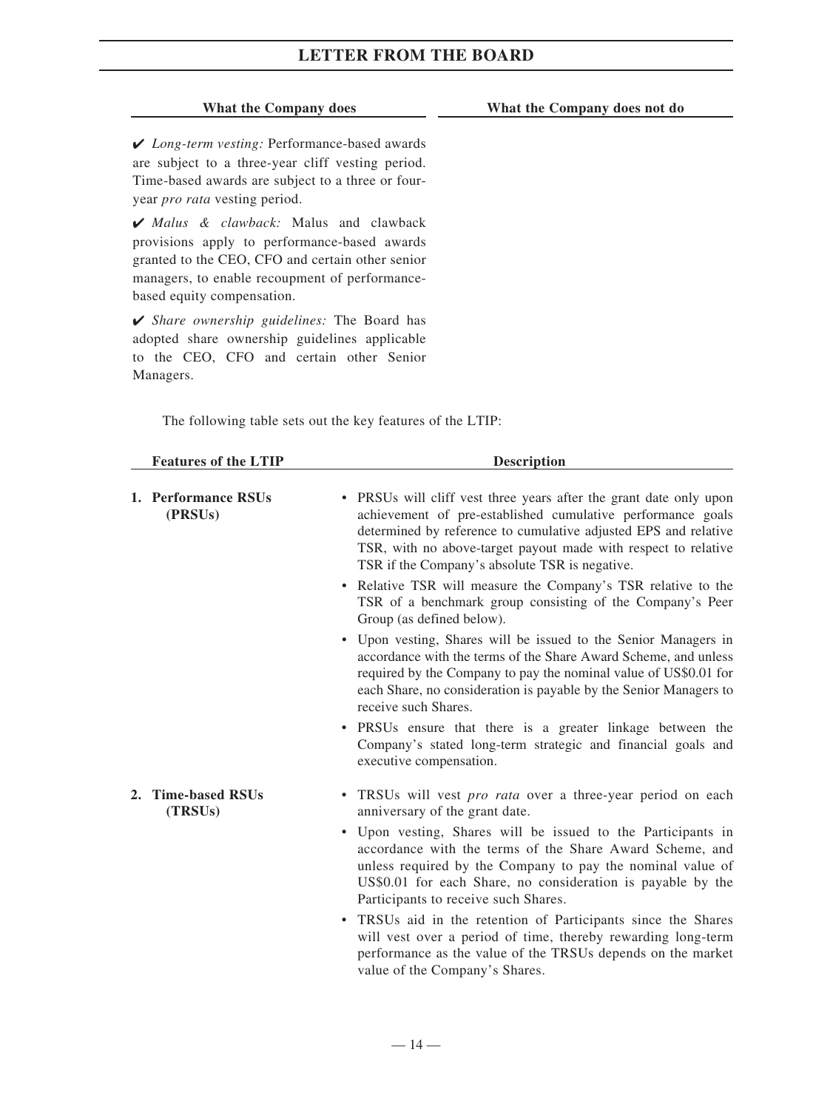#### **What the Company does What the Company does not do**

✔ *Long-term vesting:* Performance-based awards are subject to a three-year cliff vesting period. Time-based awards are subject to a three or fouryear *pro rata* vesting period.

✔ *Malus & clawback:* Malus and clawback provisions apply to performance-based awards granted to the CEO, CFO and certain other senior managers, to enable recoupment of performancebased equity compensation.

✔ *Share ownership guidelines:* The Board has adopted share ownership guidelines applicable to the CEO, CFO and certain other Senior Managers.

The following table sets out the key features of the LTIP:

| <b>Features of the LTIP</b> |                                | <b>Description</b>                                                                                                                                                                                                                                                                                                       |
|-----------------------------|--------------------------------|--------------------------------------------------------------------------------------------------------------------------------------------------------------------------------------------------------------------------------------------------------------------------------------------------------------------------|
|                             | 1. Performance RSUs<br>(PRSUs) | • PRSUs will cliff vest three years after the grant date only upon<br>achievement of pre-established cumulative performance goals<br>determined by reference to cumulative adjusted EPS and relative<br>TSR, with no above-target payout made with respect to relative<br>TSR if the Company's absolute TSR is negative. |
|                             |                                | Relative TSR will measure the Company's TSR relative to the<br>٠<br>TSR of a benchmark group consisting of the Company's Peer<br>Group (as defined below).                                                                                                                                                               |
|                             |                                | • Upon vesting, Shares will be issued to the Senior Managers in<br>accordance with the terms of the Share Award Scheme, and unless<br>required by the Company to pay the nominal value of US\$0.01 for<br>each Share, no consideration is payable by the Senior Managers to<br>receive such Shares.                      |
|                             |                                | • PRSUs ensure that there is a greater linkage between the<br>Company's stated long-term strategic and financial goals and<br>executive compensation.                                                                                                                                                                    |
|                             | 2. Time-based RSUs<br>(TRSUs)  | TRSUs will vest <i>pro rata</i> over a three-year period on each<br>$\bullet$<br>anniversary of the grant date.                                                                                                                                                                                                          |
|                             |                                | • Upon vesting, Shares will be issued to the Participants in<br>accordance with the terms of the Share Award Scheme, and<br>unless required by the Company to pay the nominal value of<br>US\$0.01 for each Share, no consideration is payable by the<br>Participants to receive such Shares.                            |
|                             |                                | TRSUs aid in the retention of Participants since the Shares<br>$\bullet$<br>will vest over a period of time, thereby rewarding long-term<br>performance as the value of the TRSUs depends on the market                                                                                                                  |

value of the Company's Shares.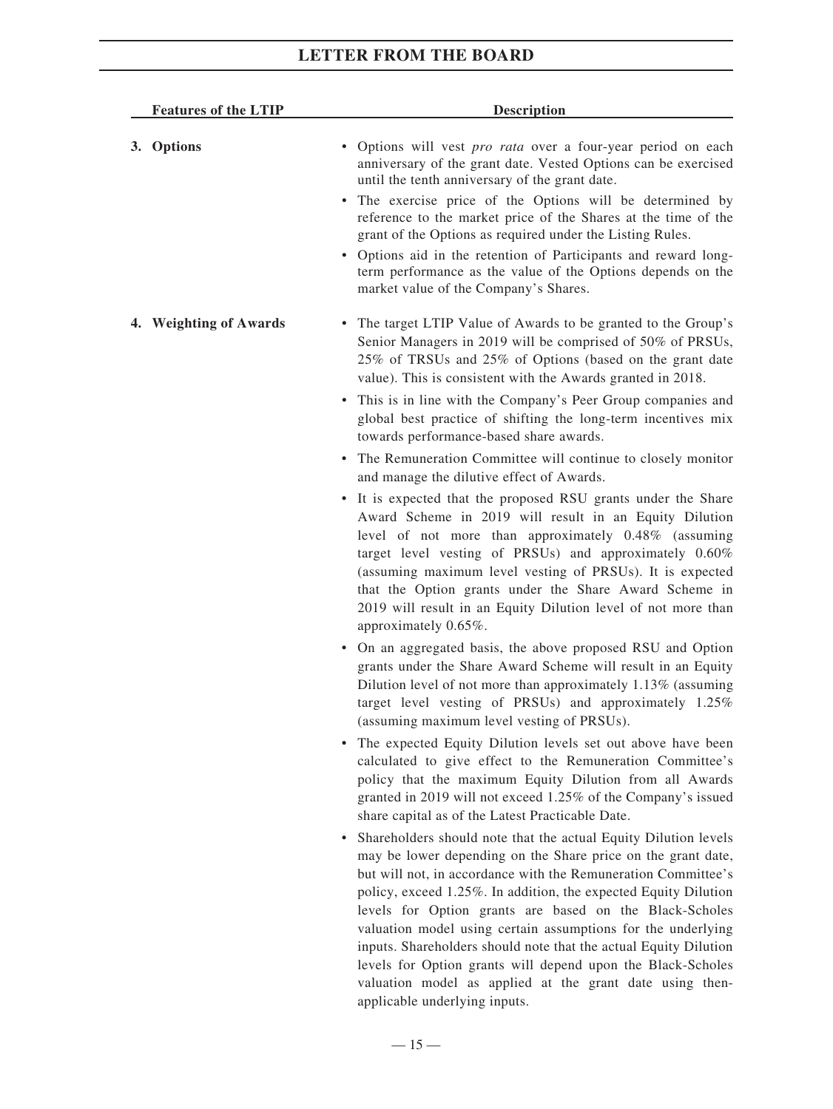| <b>Features of the LTIP</b> | Description                                                                                                                                                                                                                                                                                                                                                                                                                                                                                                                                                                                   |
|-----------------------------|-----------------------------------------------------------------------------------------------------------------------------------------------------------------------------------------------------------------------------------------------------------------------------------------------------------------------------------------------------------------------------------------------------------------------------------------------------------------------------------------------------------------------------------------------------------------------------------------------|
| 3. Options                  | · Options will vest pro rata over a four-year period on each<br>anniversary of the grant date. Vested Options can be exercised<br>until the tenth anniversary of the grant date.<br>• The exercise price of the Options will be determined by<br>reference to the market price of the Shares at the time of the<br>grant of the Options as required under the Listing Rules.<br>• Options aid in the retention of Participants and reward long-<br>term performance as the value of the Options depends on the<br>market value of the Company's Shares.                                       |
| 4. Weighting of Awards      | • The target LTIP Value of Awards to be granted to the Group's<br>Senior Managers in 2019 will be comprised of 50% of PRSUs,<br>25% of TRSUs and 25% of Options (based on the grant date<br>value). This is consistent with the Awards granted in 2018.                                                                                                                                                                                                                                                                                                                                       |
|                             | • This is in line with the Company's Peer Group companies and<br>global best practice of shifting the long-term incentives mix<br>towards performance-based share awards.                                                                                                                                                                                                                                                                                                                                                                                                                     |
|                             | • The Remuneration Committee will continue to closely monitor<br>and manage the dilutive effect of Awards.                                                                                                                                                                                                                                                                                                                                                                                                                                                                                    |
|                             | • It is expected that the proposed RSU grants under the Share<br>Award Scheme in 2019 will result in an Equity Dilution<br>level of not more than approximately 0.48% (assuming<br>target level vesting of PRSUs) and approximately 0.60%<br>(assuming maximum level vesting of PRSUs). It is expected<br>that the Option grants under the Share Award Scheme in<br>2019 will result in an Equity Dilution level of not more than<br>approximately 0.65%.                                                                                                                                     |
|                             | • On an aggregated basis, the above proposed RSU and Option<br>grants under the Share Award Scheme will result in an Equity<br>Dilution level of not more than approximately 1.13% (assuming<br>target level vesting of PRSUs) and approximately 1.25%<br>(assuming maximum level vesting of PRSUs).                                                                                                                                                                                                                                                                                          |
|                             | • The expected Equity Dilution levels set out above have been<br>calculated to give effect to the Remuneration Committee's<br>policy that the maximum Equity Dilution from all Awards<br>granted in 2019 will not exceed 1.25% of the Company's issued<br>share capital as of the Latest Practicable Date.                                                                                                                                                                                                                                                                                    |
|                             | Shareholders should note that the actual Equity Dilution levels<br>may be lower depending on the Share price on the grant date,<br>but will not, in accordance with the Remuneration Committee's<br>policy, exceed 1.25%. In addition, the expected Equity Dilution<br>levels for Option grants are based on the Black-Scholes<br>valuation model using certain assumptions for the underlying<br>inputs. Shareholders should note that the actual Equity Dilution<br>levels for Option grants will depend upon the Black-Scholes<br>valuation model as applied at the grant date using then- |

applicable underlying inputs.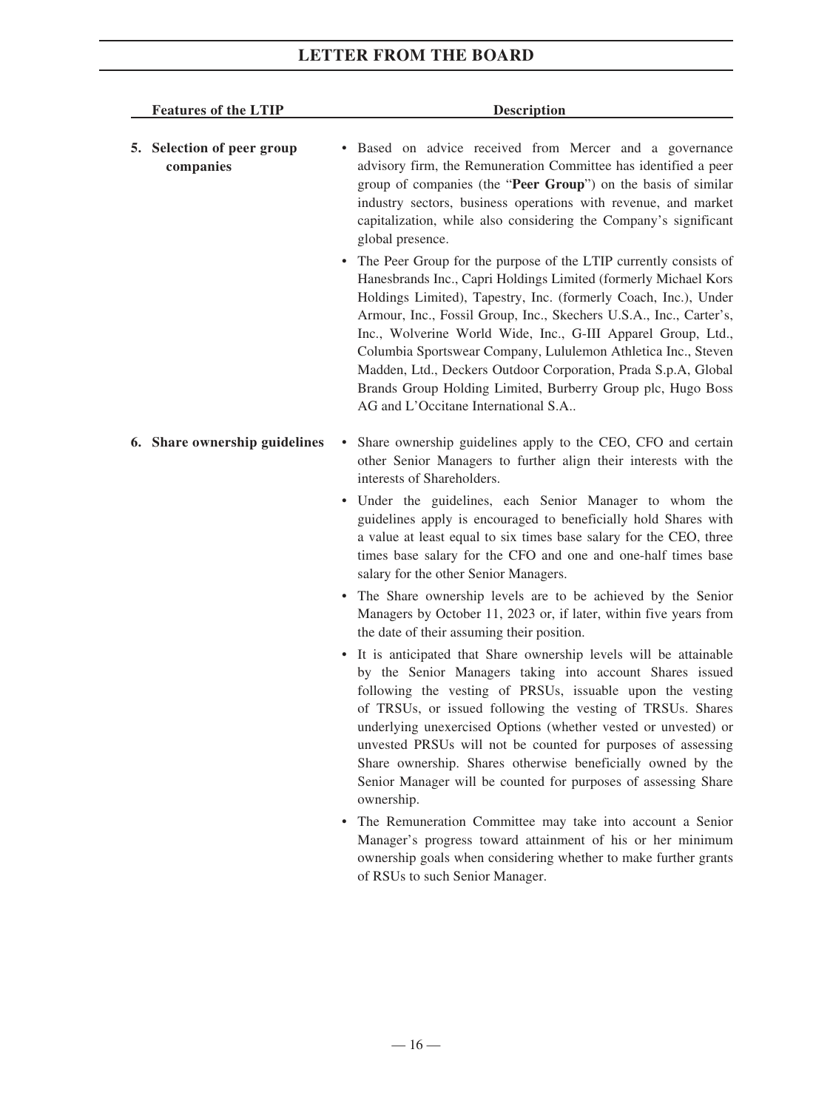| <b>Features of the LTIP</b>             | <b>Description</b>                                                                                                                                                                                                                                                                                                                                                                                                                                                                                                                                                                    |
|-----------------------------------------|---------------------------------------------------------------------------------------------------------------------------------------------------------------------------------------------------------------------------------------------------------------------------------------------------------------------------------------------------------------------------------------------------------------------------------------------------------------------------------------------------------------------------------------------------------------------------------------|
| 5. Selection of peer group<br>companies | Based on advice received from Mercer and a governance<br>advisory firm, the Remuneration Committee has identified a peer<br>group of companies (the "Peer Group") on the basis of similar<br>industry sectors, business operations with revenue, and market<br>capitalization, while also considering the Company's significant<br>global presence.                                                                                                                                                                                                                                   |
|                                         | The Peer Group for the purpose of the LTIP currently consists of<br>Hanesbrands Inc., Capri Holdings Limited (formerly Michael Kors<br>Holdings Limited), Tapestry, Inc. (formerly Coach, Inc.), Under<br>Armour, Inc., Fossil Group, Inc., Skechers U.S.A., Inc., Carter's,<br>Inc., Wolverine World Wide, Inc., G-III Apparel Group, Ltd.,<br>Columbia Sportswear Company, Lululemon Athletica Inc., Steven<br>Madden, Ltd., Deckers Outdoor Corporation, Prada S.p.A, Global<br>Brands Group Holding Limited, Burberry Group plc, Hugo Boss<br>AG and L'Occitane International S.A |
| 6. Share ownership guidelines           | Share ownership guidelines apply to the CEO, CFO and certain<br>$\bullet$<br>other Senior Managers to further align their interests with the<br>interests of Shareholders.                                                                                                                                                                                                                                                                                                                                                                                                            |
|                                         | • Under the guidelines, each Senior Manager to whom the<br>guidelines apply is encouraged to beneficially hold Shares with<br>a value at least equal to six times base salary for the CEO, three<br>times base salary for the CFO and one and one-half times base<br>salary for the other Senior Managers.                                                                                                                                                                                                                                                                            |
|                                         | The Share ownership levels are to be achieved by the Senior<br>Managers by October 11, 2023 or, if later, within five years from<br>the date of their assuming their position.                                                                                                                                                                                                                                                                                                                                                                                                        |
|                                         | • It is anticipated that Share ownership levels will be attainable<br>by the Senior Managers taking into account Shares issued<br>following the vesting of PRSUs, issuable upon the vesting<br>of TRSUs, or issued following the vesting of TRSUs. Shares<br>underlying unexercised Options (whether vested or unvested) or<br>unvested PRSUs will not be counted for purposes of assessing<br>Share ownership. Shares otherwise beneficially owned by the<br>Senior Manager will be counted for purposes of assessing Share<br>ownership.                                            |
|                                         | The Remuneration Committee may take into account a Senior<br>Manager's progress toward attainment of his or her minimum<br>ownership goals when considering whether to make further grants<br>of RSUs to such Senior Manager.                                                                                                                                                                                                                                                                                                                                                         |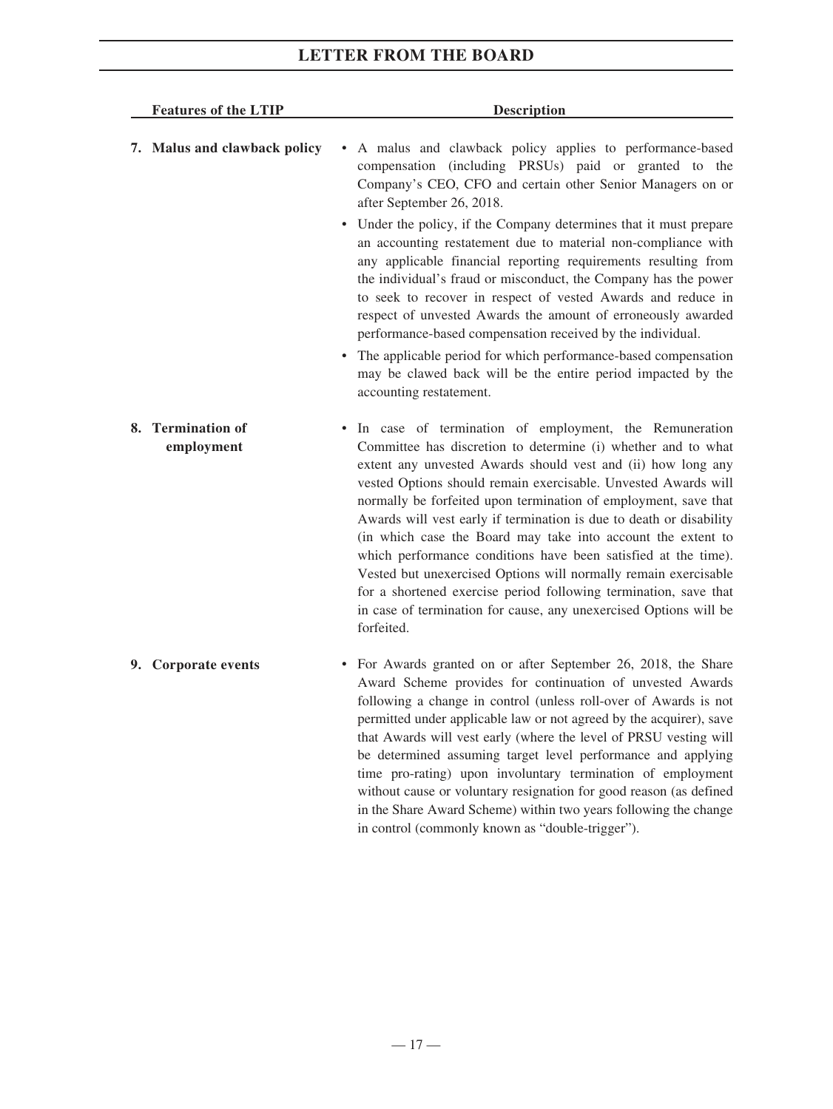| <b>Features of the LTIP</b> |                                 | <b>Description</b>                                                                                                                                                                                                                                                                                                                                                                                                                                                                                                                                                                                                                                                                                                                                                                                                                                                 |  |
|-----------------------------|---------------------------------|--------------------------------------------------------------------------------------------------------------------------------------------------------------------------------------------------------------------------------------------------------------------------------------------------------------------------------------------------------------------------------------------------------------------------------------------------------------------------------------------------------------------------------------------------------------------------------------------------------------------------------------------------------------------------------------------------------------------------------------------------------------------------------------------------------------------------------------------------------------------|--|
|                             | 7. Malus and clawback policy    | A malus and clawback policy applies to performance-based<br>$\bullet$<br>compensation (including PRSUs) paid or granted to the<br>Company's CEO, CFO and certain other Senior Managers on or<br>after September 26, 2018.<br>• Under the policy, if the Company determines that it must prepare<br>an accounting restatement due to material non-compliance with<br>any applicable financial reporting requirements resulting from<br>the individual's fraud or misconduct, the Company has the power<br>to seek to recover in respect of vested Awards and reduce in<br>respect of unvested Awards the amount of erroneously awarded<br>performance-based compensation received by the individual.<br>• The applicable period for which performance-based compensation<br>may be clawed back will be the entire period impacted by the<br>accounting restatement. |  |
|                             | 8. Termination of<br>employment | In case of termination of employment, the Remuneration<br>$\bullet$<br>Committee has discretion to determine (i) whether and to what<br>extent any unvested Awards should vest and (ii) how long any<br>vested Options should remain exercisable. Unvested Awards will<br>normally be forfeited upon termination of employment, save that<br>Awards will vest early if termination is due to death or disability<br>(in which case the Board may take into account the extent to<br>which performance conditions have been satisfied at the time).<br>Vested but unexercised Options will normally remain exercisable<br>for a shortened exercise period following termination, save that<br>in case of termination for cause, any unexercised Options will be<br>forfeited.                                                                                       |  |
|                             | 9. Corporate events             | • For Awards granted on or after September 26, 2018, the Share<br>Award Scheme provides for continuation of unvested Awards<br>following a change in control (unless roll-over of Awards is not<br>permitted under applicable law or not agreed by the acquirer), save<br>that Awards will vest early (where the level of PRSU vesting will<br>be determined assuming target level performance and applying<br>time pro-rating) upon involuntary termination of employment<br>without cause or voluntary resignation for good reason (as defined                                                                                                                                                                                                                                                                                                                   |  |

in the Share Award Scheme) within two years following the change

in control (commonly known as "double-trigger").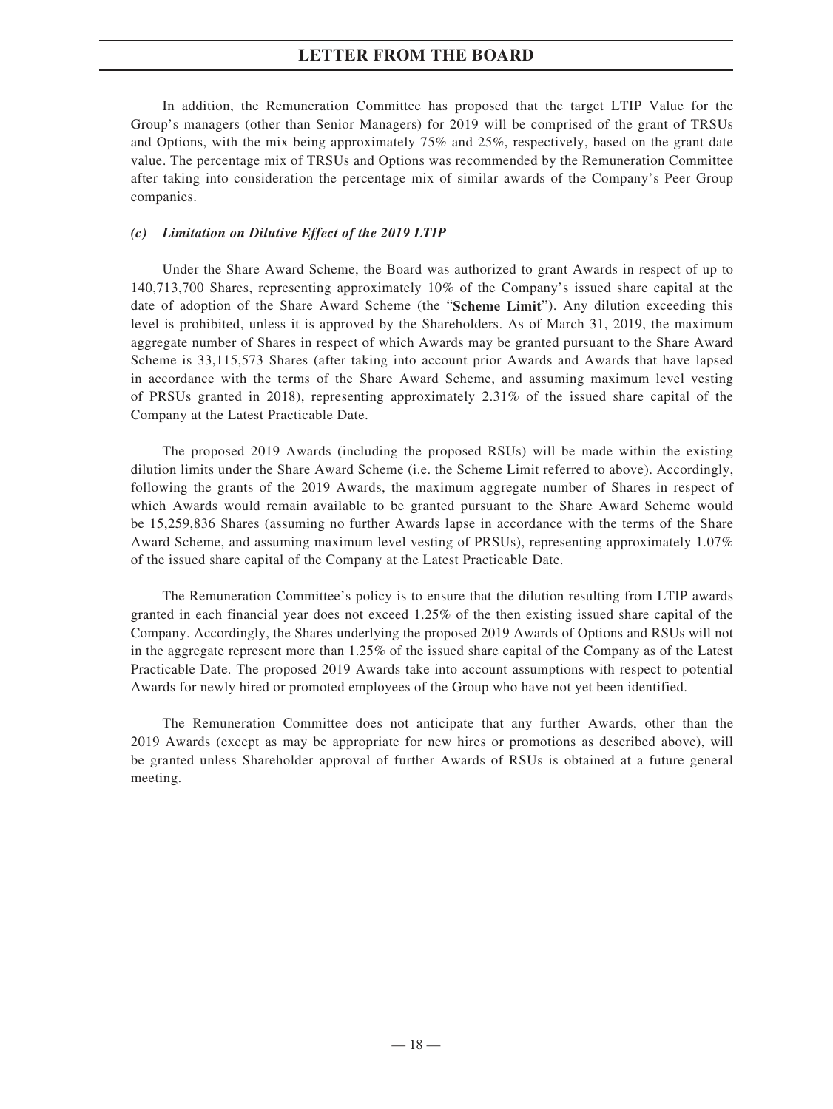In addition, the Remuneration Committee has proposed that the target LTIP Value for the Group's managers (other than Senior Managers) for 2019 will be comprised of the grant of TRSUs and Options, with the mix being approximately 75% and 25%, respectively, based on the grant date value. The percentage mix of TRSUs and Options was recommended by the Remuneration Committee after taking into consideration the percentage mix of similar awards of the Company's Peer Group companies.

### *(c) Limitation on Dilutive Effect of the 2019 LTIP*

Under the Share Award Scheme, the Board was authorized to grant Awards in respect of up to 140,713,700 Shares, representing approximately 10% of the Company's issued share capital at the date of adoption of the Share Award Scheme (the "**Scheme Limit**"). Any dilution exceeding this level is prohibited, unless it is approved by the Shareholders. As of March 31, 2019, the maximum aggregate number of Shares in respect of which Awards may be granted pursuant to the Share Award Scheme is 33,115,573 Shares (after taking into account prior Awards and Awards that have lapsed in accordance with the terms of the Share Award Scheme, and assuming maximum level vesting of PRSUs granted in 2018), representing approximately 2.31% of the issued share capital of the Company at the Latest Practicable Date.

The proposed 2019 Awards (including the proposed RSUs) will be made within the existing dilution limits under the Share Award Scheme (i.e. the Scheme Limit referred to above). Accordingly, following the grants of the 2019 Awards, the maximum aggregate number of Shares in respect of which Awards would remain available to be granted pursuant to the Share Award Scheme would be 15,259,836 Shares (assuming no further Awards lapse in accordance with the terms of the Share Award Scheme, and assuming maximum level vesting of PRSUs), representing approximately 1.07% of the issued share capital of the Company at the Latest Practicable Date.

The Remuneration Committee's policy is to ensure that the dilution resulting from LTIP awards granted in each financial year does not exceed 1.25% of the then existing issued share capital of the Company. Accordingly, the Shares underlying the proposed 2019 Awards of Options and RSUs will not in the aggregate represent more than 1.25% of the issued share capital of the Company as of the Latest Practicable Date. The proposed 2019 Awards take into account assumptions with respect to potential Awards for newly hired or promoted employees of the Group who have not yet been identified.

The Remuneration Committee does not anticipate that any further Awards, other than the 2019 Awards (except as may be appropriate for new hires or promotions as described above), will be granted unless Shareholder approval of further Awards of RSUs is obtained at a future general meeting.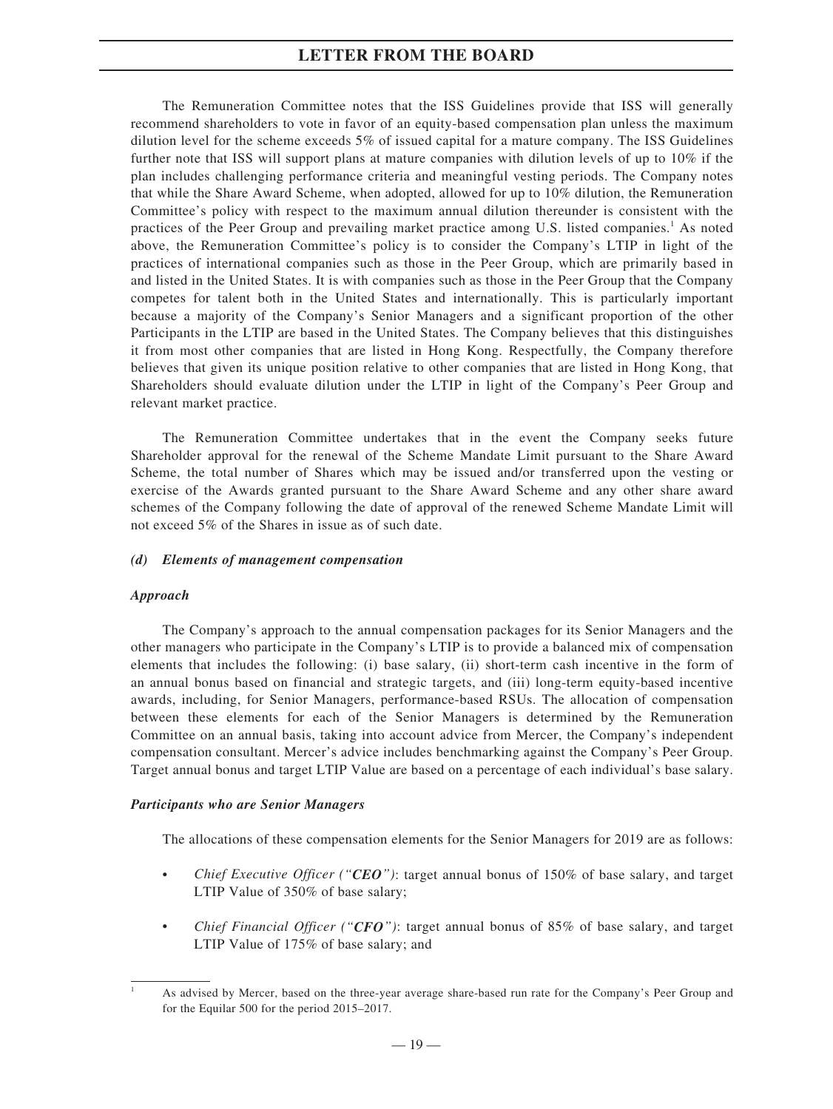The Remuneration Committee notes that the ISS Guidelines provide that ISS will generally recommend shareholders to vote in favor of an equity-based compensation plan unless the maximum dilution level for the scheme exceeds 5% of issued capital for a mature company. The ISS Guidelines further note that ISS will support plans at mature companies with dilution levels of up to 10% if the plan includes challenging performance criteria and meaningful vesting periods. The Company notes that while the Share Award Scheme, when adopted, allowed for up to 10% dilution, the Remuneration Committee's policy with respect to the maximum annual dilution thereunder is consistent with the practices of the Peer Group and prevailing market practice among U.S. listed companies.<sup>1</sup> As noted above, the Remuneration Committee's policy is to consider the Company's LTIP in light of the practices of international companies such as those in the Peer Group, which are primarily based in and listed in the United States. It is with companies such as those in the Peer Group that the Company competes for talent both in the United States and internationally. This is particularly important because a majority of the Company's Senior Managers and a significant proportion of the other Participants in the LTIP are based in the United States. The Company believes that this distinguishes it from most other companies that are listed in Hong Kong. Respectfully, the Company therefore believes that given its unique position relative to other companies that are listed in Hong Kong, that Shareholders should evaluate dilution under the LTIP in light of the Company's Peer Group and relevant market practice.

The Remuneration Committee undertakes that in the event the Company seeks future Shareholder approval for the renewal of the Scheme Mandate Limit pursuant to the Share Award Scheme, the total number of Shares which may be issued and/or transferred upon the vesting or exercise of the Awards granted pursuant to the Share Award Scheme and any other share award schemes of the Company following the date of approval of the renewed Scheme Mandate Limit will not exceed 5% of the Shares in issue as of such date.

### *(d) Elements of management compensation*

### *Approach*

The Company's approach to the annual compensation packages for its Senior Managers and the other managers who participate in the Company's LTIP is to provide a balanced mix of compensation elements that includes the following: (i) base salary, (ii) short-term cash incentive in the form of an annual bonus based on financial and strategic targets, and (iii) long-term equity-based incentive awards, including, for Senior Managers, performance-based RSUs. The allocation of compensation between these elements for each of the Senior Managers is determined by the Remuneration Committee on an annual basis, taking into account advice from Mercer, the Company's independent compensation consultant. Mercer's advice includes benchmarking against the Company's Peer Group. Target annual bonus and target LTIP Value are based on a percentage of each individual's base salary.

### *Participants who are Senior Managers*

The allocations of these compensation elements for the Senior Managers for 2019 are as follows:

- *Chief Executive Officer ("CEO")*: target annual bonus of 150% of base salary, and target LTIP Value of 350% of base salary;
- *Chief Financial Officer ("CFO")*: target annual bonus of 85% of base salary, and target LTIP Value of 175% of base salary; and

<sup>1</sup> As advised by Mercer, based on the three-year average share-based run rate for the Company's Peer Group and for the Equilar 500 for the period 2015–2017.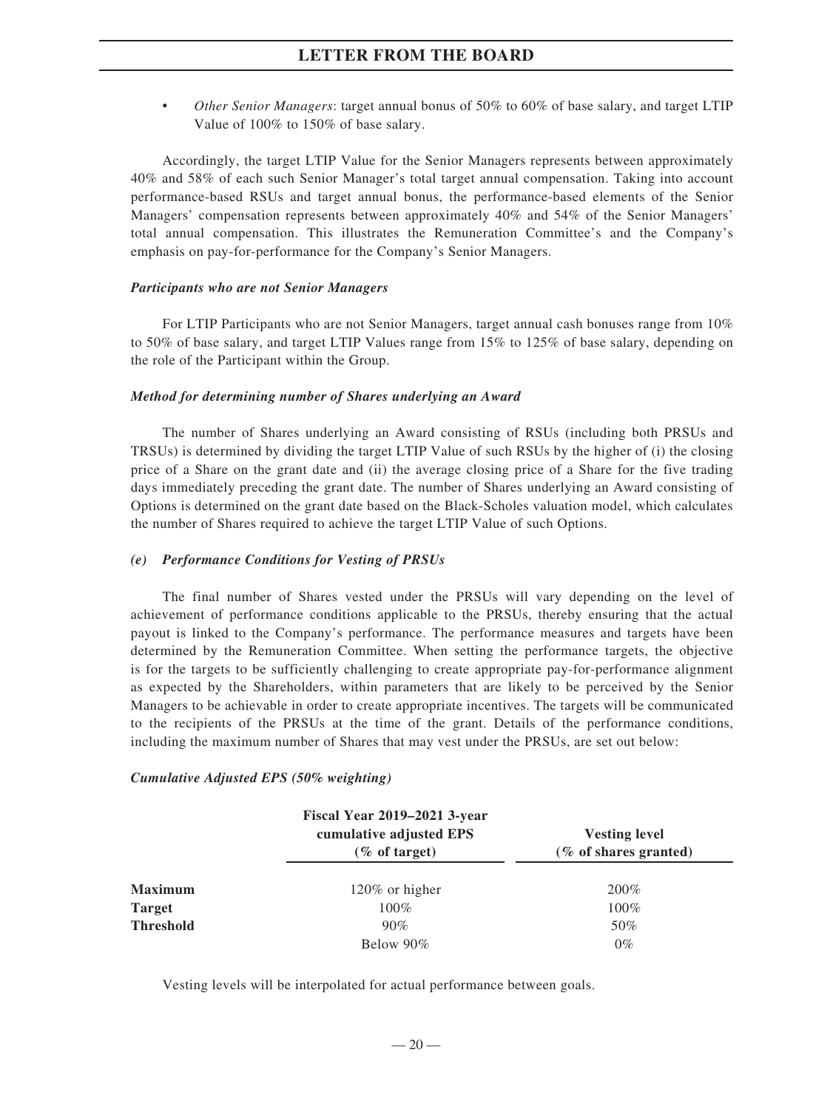• *Other Senior Managers*: target annual bonus of 50% to 60% of base salary, and target LTIP Value of 100% to 150% of base salary.

Accordingly, the target LTIP Value for the Senior Managers represents between approximately 40% and 58% of each such Senior Manager's total target annual compensation. Taking into account performance-based RSUs and target annual bonus, the performance-based elements of the Senior Managers' compensation represents between approximately 40% and 54% of the Senior Managers' total annual compensation. This illustrates the Remuneration Committee's and the Company's emphasis on pay-for-performance for the Company's Senior Managers.

#### *Participants who are not Senior Managers*

For LTIP Participants who are not Senior Managers, target annual cash bonuses range from 10% to 50% of base salary, and target LTIP Values range from 15% to 125% of base salary, depending on the role of the Participant within the Group.

#### *Method for determining number of Shares underlying an Award*

The number of Shares underlying an Award consisting of RSUs (including both PRSUs and TRSUs) is determined by dividing the target LTIP Value of such RSUs by the higher of (i) the closing price of a Share on the grant date and (ii) the average closing price of a Share for the five trading days immediately preceding the grant date. The number of Shares underlying an Award consisting of Options is determined on the grant date based on the Black-Scholes valuation model, which calculates the number of Shares required to achieve the target LTIP Value of such Options.

### *(e) Performance Conditions for Vesting of PRSUs*

The final number of Shares vested under the PRSUs will vary depending on the level of achievement of performance conditions applicable to the PRSUs, thereby ensuring that the actual payout is linked to the Company's performance. The performance measures and targets have been determined by the Remuneration Committee. When setting the performance targets, the objective is for the targets to be sufficiently challenging to create appropriate pay-for-performance alignment as expected by the Shareholders, within parameters that are likely to be perceived by the Senior Managers to be achievable in order to create appropriate incentives. The targets will be communicated to the recipients of the PRSUs at the time of the grant. Details of the performance conditions, including the maximum number of Shares that may vest under the PRSUs, are set out below:

### *Cumulative Adjusted EPS (50% weighting)*

|                  | <b>Fiscal Year 2019–2021 3-year</b>         |                                               |
|------------------|---------------------------------------------|-----------------------------------------------|
|                  | cumulative adjusted EPS<br>$(\%$ of target) | <b>Vesting level</b><br>(% of shares granted) |
| <b>Maximum</b>   | $120\%$ or higher                           | 200%                                          |
| <b>Target</b>    | $100\%$                                     | $100\%$                                       |
| <b>Threshold</b> | 90%                                         | 50%                                           |
|                  | Below 90%                                   | $0\%$                                         |

Vesting levels will be interpolated for actual performance between goals.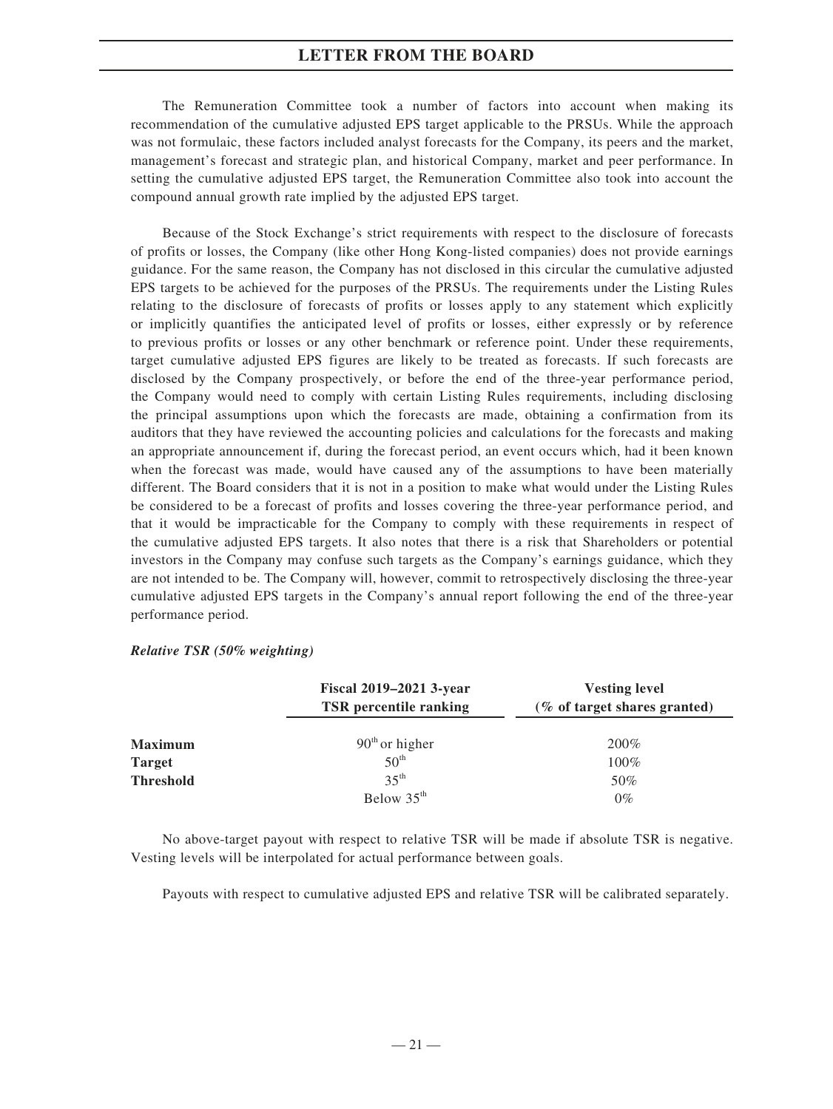The Remuneration Committee took a number of factors into account when making its recommendation of the cumulative adjusted EPS target applicable to the PRSUs. While the approach was not formulaic, these factors included analyst forecasts for the Company, its peers and the market, management's forecast and strategic plan, and historical Company, market and peer performance. In setting the cumulative adjusted EPS target, the Remuneration Committee also took into account the compound annual growth rate implied by the adjusted EPS target.

Because of the Stock Exchange's strict requirements with respect to the disclosure of forecasts of profits or losses, the Company (like other Hong Kong-listed companies) does not provide earnings guidance. For the same reason, the Company has not disclosed in this circular the cumulative adjusted EPS targets to be achieved for the purposes of the PRSUs. The requirements under the Listing Rules relating to the disclosure of forecasts of profits or losses apply to any statement which explicitly or implicitly quantifies the anticipated level of profits or losses, either expressly or by reference to previous profits or losses or any other benchmark or reference point. Under these requirements, target cumulative adjusted EPS figures are likely to be treated as forecasts. If such forecasts are disclosed by the Company prospectively, or before the end of the three-year performance period, the Company would need to comply with certain Listing Rules requirements, including disclosing the principal assumptions upon which the forecasts are made, obtaining a confirmation from its auditors that they have reviewed the accounting policies and calculations for the forecasts and making an appropriate announcement if, during the forecast period, an event occurs which, had it been known when the forecast was made, would have caused any of the assumptions to have been materially different. The Board considers that it is not in a position to make what would under the Listing Rules be considered to be a forecast of profits and losses covering the three-year performance period, and that it would be impracticable for the Company to comply with these requirements in respect of the cumulative adjusted EPS targets. It also notes that there is a risk that Shareholders or potential investors in the Company may confuse such targets as the Company's earnings guidance, which they are not intended to be. The Company will, however, commit to retrospectively disclosing the three-year cumulative adjusted EPS targets in the Company's annual report following the end of the three-year performance period.

*Relative TSR (50% weighting)*

|                  | Fiscal 2019–2021 3-year       | <b>Vesting level</b>         |
|------------------|-------------------------------|------------------------------|
|                  | <b>TSR</b> percentile ranking | (% of target shares granted) |
|                  |                               |                              |
| <b>Maximum</b>   | $90th$ or higher              | $200\%$                      |
| <b>Target</b>    | $50^{\text{th}}$              | $100\%$                      |
| <b>Threshold</b> | $35^{\text{th}}$              | 50%                          |
|                  | Below 35 <sup>th</sup>        | $0\%$                        |

No above-target payout with respect to relative TSR will be made if absolute TSR is negative. Vesting levels will be interpolated for actual performance between goals.

Payouts with respect to cumulative adjusted EPS and relative TSR will be calibrated separately.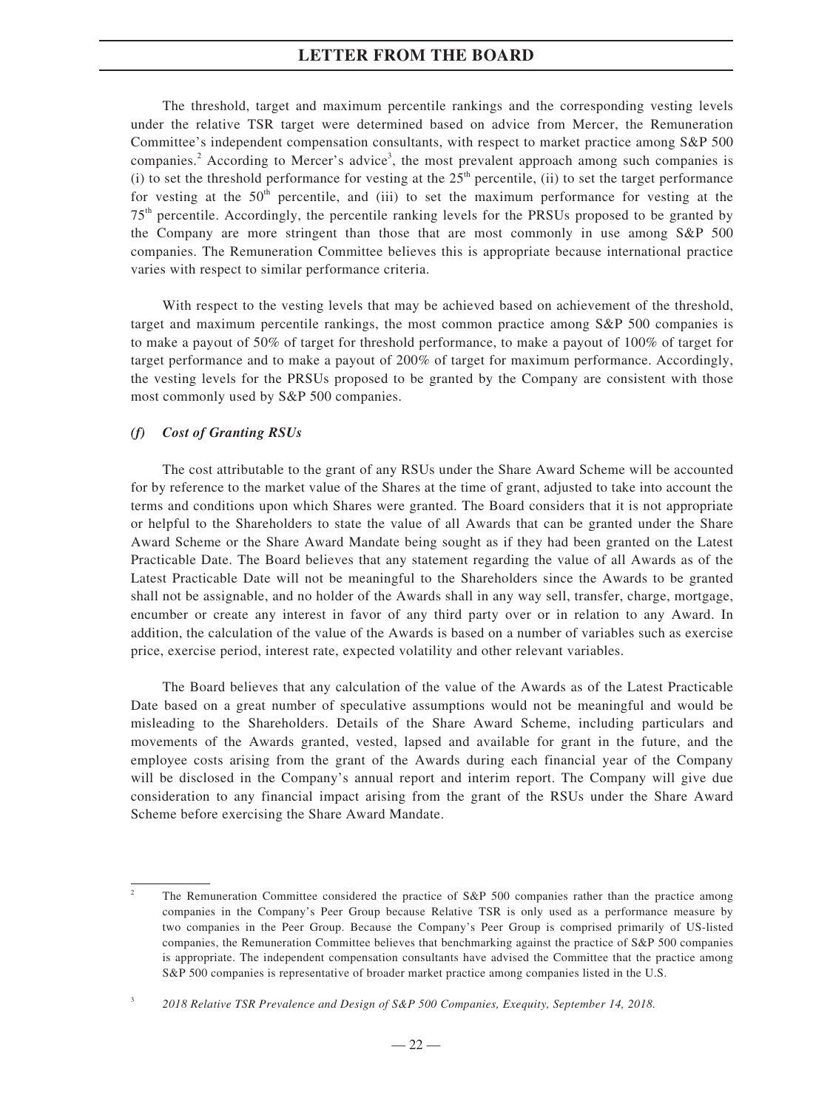The threshold, target and maximum percentile rankings and the corresponding vesting levels under the relative TSR target were determined based on advice from Mercer, the Remuneration Committee's independent compensation consultants, with respect to market practice among S&P 500 companies.<sup>2</sup> According to Mercer's advice<sup>3</sup>, the most prevalent approach among such companies is (i) to set the threshold performance for vesting at the  $25<sup>th</sup>$  percentile, (ii) to set the target performance for vesting at the  $50<sup>th</sup>$  percentile, and (iii) to set the maximum performance for vesting at the 75th percentile. Accordingly, the percentile ranking levels for the PRSUs proposed to be granted by the Company are more stringent than those that are most commonly in use among S&P 500 companies. The Remuneration Committee believes this is appropriate because international practice varies with respect to similar performance criteria.

With respect to the vesting levels that may be achieved based on achievement of the threshold, target and maximum percentile rankings, the most common practice among S&P 500 companies is to make a payout of 50% of target for threshold performance, to make a payout of 100% of target for target performance and to make a payout of 200% of target for maximum performance. Accordingly, the vesting levels for the PRSUs proposed to be granted by the Company are consistent with those most commonly used by S&P 500 companies.

#### *(f) Cost of Granting RSUs*

The cost attributable to the grant of any RSUs under the Share Award Scheme will be accounted for by reference to the market value of the Shares at the time of grant, adjusted to take into account the terms and conditions upon which Shares were granted. The Board considers that it is not appropriate or helpful to the Shareholders to state the value of all Awards that can be granted under the Share Award Scheme or the Share Award Mandate being sought as if they had been granted on the Latest Practicable Date. The Board believes that any statement regarding the value of all Awards as of the Latest Practicable Date will not be meaningful to the Shareholders since the Awards to be granted shall not be assignable, and no holder of the Awards shall in any way sell, transfer, charge, mortgage, encumber or create any interest in favor of any third party over or in relation to any Award. In addition, the calculation of the value of the Awards is based on a number of variables such as exercise price, exercise period, interest rate, expected volatility and other relevant variables.

The Board believes that any calculation of the value of the Awards as of the Latest Practicable Date based on a great number of speculative assumptions would not be meaningful and would be misleading to the Shareholders. Details of the Share Award Scheme, including particulars and movements of the Awards granted, vested, lapsed and available for grant in the future, and the employee costs arising from the grant of the Awards during each financial year of the Company will be disclosed in the Company's annual report and interim report. The Company will give due consideration to any financial impact arising from the grant of the RSUs under the Share Award Scheme before exercising the Share Award Mandate.

The Remuneration Committee considered the practice of S&P 500 companies rather than the practice among companies in the Company's Peer Group because Relative TSR is only used as a performance measure by two companies in the Peer Group. Because the Company's Peer Group is comprised primarily of US-listed companies, the Remuneration Committee believes that benchmarking against the practice of S&P 500 companies is appropriate. The independent compensation consultants have advised the Committee that the practice among S&P 500 companies is representative of broader market practice among companies listed in the U.S.

<sup>3</sup> *2018 Relative TSR Prevalence and Design of S&P 500 Companies, Exequity, September 14, 2018.*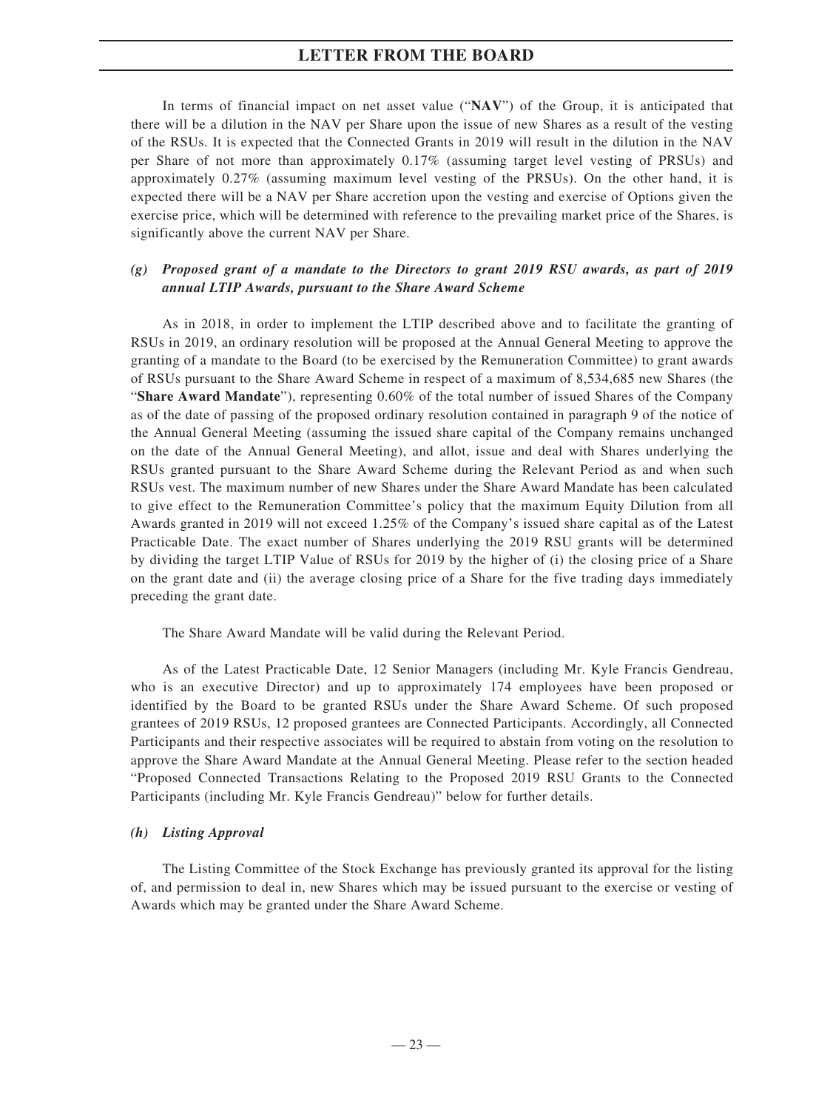In terms of financial impact on net asset value ("**NAV**") of the Group, it is anticipated that there will be a dilution in the NAV per Share upon the issue of new Shares as a result of the vesting of the RSUs. It is expected that the Connected Grants in 2019 will result in the dilution in the NAV per Share of not more than approximately 0.17% (assuming target level vesting of PRSUs) and approximately 0.27% (assuming maximum level vesting of the PRSUs). On the other hand, it is expected there will be a NAV per Share accretion upon the vesting and exercise of Options given the exercise price, which will be determined with reference to the prevailing market price of the Shares, is significantly above the current NAV per Share.

## *(g) Proposed grant of a mandate to the Directors to grant 2019 RSU awards, as part of 2019 annual LTIP Awards, pursuant to the Share Award Scheme*

As in 2018, in order to implement the LTIP described above and to facilitate the granting of RSUs in 2019, an ordinary resolution will be proposed at the Annual General Meeting to approve the granting of a mandate to the Board (to be exercised by the Remuneration Committee) to grant awards of RSUs pursuant to the Share Award Scheme in respect of a maximum of 8,534,685 new Shares (the "**Share Award Mandate**"), representing 0.60% of the total number of issued Shares of the Company as of the date of passing of the proposed ordinary resolution contained in paragraph 9 of the notice of the Annual General Meeting (assuming the issued share capital of the Company remains unchanged on the date of the Annual General Meeting), and allot, issue and deal with Shares underlying the RSUs granted pursuant to the Share Award Scheme during the Relevant Period as and when such RSUs vest. The maximum number of new Shares under the Share Award Mandate has been calculated to give effect to the Remuneration Committee's policy that the maximum Equity Dilution from all Awards granted in 2019 will not exceed 1.25% of the Company's issued share capital as of the Latest Practicable Date. The exact number of Shares underlying the 2019 RSU grants will be determined by dividing the target LTIP Value of RSUs for 2019 by the higher of (i) the closing price of a Share on the grant date and (ii) the average closing price of a Share for the five trading days immediately preceding the grant date.

The Share Award Mandate will be valid during the Relevant Period.

As of the Latest Practicable Date, 12 Senior Managers (including Mr. Kyle Francis Gendreau, who is an executive Director) and up to approximately 174 employees have been proposed or identified by the Board to be granted RSUs under the Share Award Scheme. Of such proposed grantees of 2019 RSUs, 12 proposed grantees are Connected Participants. Accordingly, all Connected Participants and their respective associates will be required to abstain from voting on the resolution to approve the Share Award Mandate at the Annual General Meeting. Please refer to the section headed "Proposed Connected Transactions Relating to the Proposed 2019 RSU Grants to the Connected Participants (including Mr. Kyle Francis Gendreau)" below for further details.

#### *(h) Listing Approval*

The Listing Committee of the Stock Exchange has previously granted its approval for the listing of, and permission to deal in, new Shares which may be issued pursuant to the exercise or vesting of Awards which may be granted under the Share Award Scheme.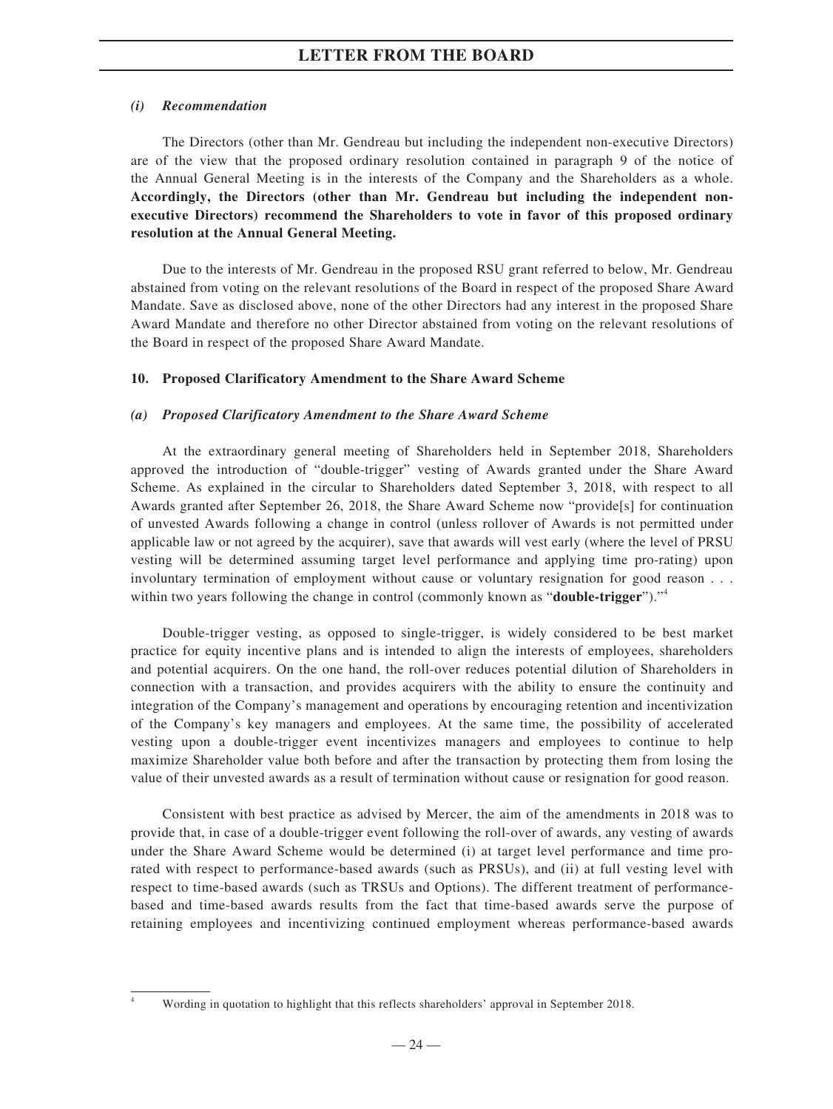## *(i) Recommendation*

The Directors (other than Mr. Gendreau but including the independent non-executive Directors) are of the view that the proposed ordinary resolution contained in paragraph 9 of the notice of the Annual General Meeting is in the interests of the Company and the Shareholders as a whole. **Accordingly, the Directors (other than Mr. Gendreau but including the independent nonexecutive Directors) recommend the Shareholders to vote in favor of this proposed ordinary resolution at the Annual General Meeting.**

Due to the interests of Mr. Gendreau in the proposed RSU grant referred to below, Mr. Gendreau abstained from voting on the relevant resolutions of the Board in respect of the proposed Share Award Mandate. Save as disclosed above, none of the other Directors had any interest in the proposed Share Award Mandate and therefore no other Director abstained from voting on the relevant resolutions of the Board in respect of the proposed Share Award Mandate.

### **10. Proposed Clarificatory Amendment to the Share Award Scheme**

### *(a) Proposed Clarificatory Amendment to the Share Award Scheme*

At the extraordinary general meeting of Shareholders held in September 2018, Shareholders approved the introduction of "double-trigger" vesting of Awards granted under the Share Award Scheme. As explained in the circular to Shareholders dated September 3, 2018, with respect to all Awards granted after September 26, 2018, the Share Award Scheme now "provide[s] for continuation of unvested Awards following a change in control (unless rollover of Awards is not permitted under applicable law or not agreed by the acquirer), save that awards will vest early (where the level of PRSU vesting will be determined assuming target level performance and applying time pro-rating) upon involuntary termination of employment without cause or voluntary resignation for good reason . . . within two years following the change in control (commonly known as "**double-trigger**")."<sup>4</sup>

Double-trigger vesting, as opposed to single-trigger, is widely considered to be best market practice for equity incentive plans and is intended to align the interests of employees, shareholders and potential acquirers. On the one hand, the roll-over reduces potential dilution of Shareholders in connection with a transaction, and provides acquirers with the ability to ensure the continuity and integration of the Company's management and operations by encouraging retention and incentivization of the Company's key managers and employees. At the same time, the possibility of accelerated vesting upon a double-trigger event incentivizes managers and employees to continue to help maximize Shareholder value both before and after the transaction by protecting them from losing the value of their unvested awards as a result of termination without cause or resignation for good reason.

Consistent with best practice as advised by Mercer, the aim of the amendments in 2018 was to provide that, in case of a double-trigger event following the roll-over of awards, any vesting of awards under the Share Award Scheme would be determined (i) at target level performance and time prorated with respect to performance-based awards (such as PRSUs), and (ii) at full vesting level with respect to time-based awards (such as TRSUs and Options). The different treatment of performancebased and time-based awards results from the fact that time-based awards serve the purpose of retaining employees and incentivizing continued employment whereas performance-based awards

<sup>4</sup> Wording in quotation to highlight that this reflects shareholders' approval in September 2018.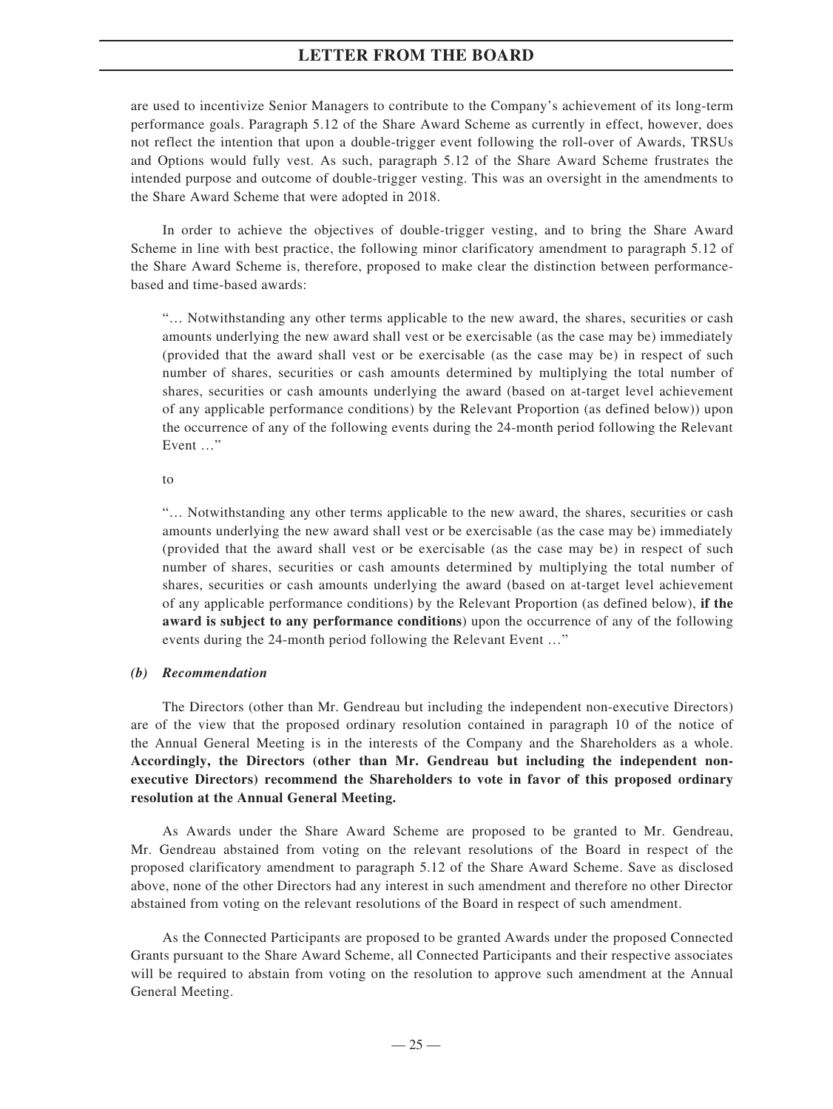are used to incentivize Senior Managers to contribute to the Company's achievement of its long-term performance goals. Paragraph 5.12 of the Share Award Scheme as currently in effect, however, does not reflect the intention that upon a double-trigger event following the roll-over of Awards, TRSUs and Options would fully vest. As such, paragraph 5.12 of the Share Award Scheme frustrates the intended purpose and outcome of double-trigger vesting. This was an oversight in the amendments to the Share Award Scheme that were adopted in 2018.

In order to achieve the objectives of double-trigger vesting, and to bring the Share Award Scheme in line with best practice, the following minor clarificatory amendment to paragraph 5.12 of the Share Award Scheme is, therefore, proposed to make clear the distinction between performancebased and time-based awards:

"… Notwithstanding any other terms applicable to the new award, the shares, securities or cash amounts underlying the new award shall vest or be exercisable (as the case may be) immediately (provided that the award shall vest or be exercisable (as the case may be) in respect of such number of shares, securities or cash amounts determined by multiplying the total number of shares, securities or cash amounts underlying the award (based on at-target level achievement of any applicable performance conditions) by the Relevant Proportion (as defined below)) upon the occurrence of any of the following events during the 24-month period following the Relevant Event …"

to

"… Notwithstanding any other terms applicable to the new award, the shares, securities or cash amounts underlying the new award shall vest or be exercisable (as the case may be) immediately (provided that the award shall vest or be exercisable (as the case may be) in respect of such number of shares, securities or cash amounts determined by multiplying the total number of shares, securities or cash amounts underlying the award (based on at-target level achievement of any applicable performance conditions) by the Relevant Proportion (as defined below), **if the award is subject to any performance conditions**) upon the occurrence of any of the following events during the 24-month period following the Relevant Event …"

#### *(b) Recommendation*

The Directors (other than Mr. Gendreau but including the independent non-executive Directors) are of the view that the proposed ordinary resolution contained in paragraph 10 of the notice of the Annual General Meeting is in the interests of the Company and the Shareholders as a whole. **Accordingly, the Directors (other than Mr. Gendreau but including the independent nonexecutive Directors) recommend the Shareholders to vote in favor of this proposed ordinary resolution at the Annual General Meeting.**

As Awards under the Share Award Scheme are proposed to be granted to Mr. Gendreau, Mr. Gendreau abstained from voting on the relevant resolutions of the Board in respect of the proposed clarificatory amendment to paragraph 5.12 of the Share Award Scheme. Save as disclosed above, none of the other Directors had any interest in such amendment and therefore no other Director abstained from voting on the relevant resolutions of the Board in respect of such amendment.

As the Connected Participants are proposed to be granted Awards under the proposed Connected Grants pursuant to the Share Award Scheme, all Connected Participants and their respective associates will be required to abstain from voting on the resolution to approve such amendment at the Annual General Meeting.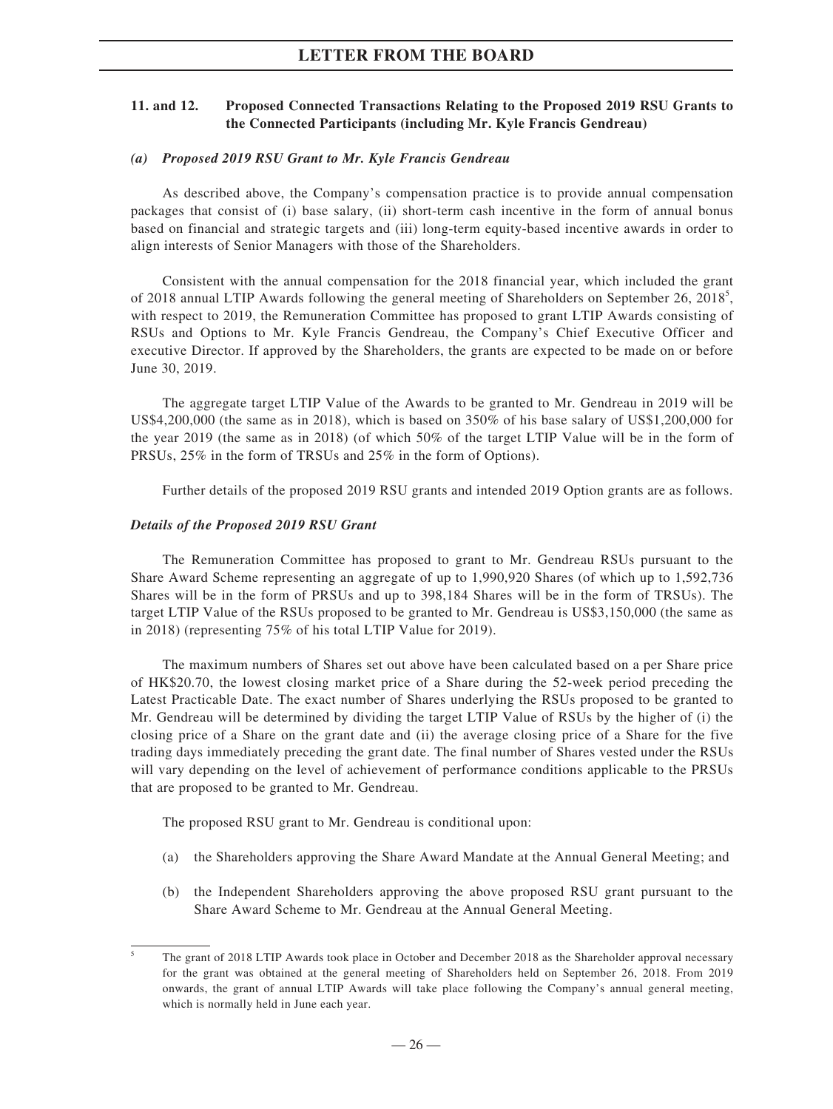### **11. and 12. Proposed Connected Transactions Relating to the Proposed 2019 RSU Grants to the Connected Participants (including Mr. Kyle Francis Gendreau)**

#### *(a) Proposed 2019 RSU Grant to Mr. Kyle Francis Gendreau*

As described above, the Company's compensation practice is to provide annual compensation packages that consist of (i) base salary, (ii) short-term cash incentive in the form of annual bonus based on financial and strategic targets and (iii) long-term equity-based incentive awards in order to align interests of Senior Managers with those of the Shareholders.

Consistent with the annual compensation for the 2018 financial year, which included the grant of 2018 annual LTIP Awards following the general meeting of Shareholders on September 26, 2018<sup>5</sup>, with respect to 2019, the Remuneration Committee has proposed to grant LTIP Awards consisting of RSUs and Options to Mr. Kyle Francis Gendreau, the Company's Chief Executive Officer and executive Director. If approved by the Shareholders, the grants are expected to be made on or before June 30, 2019.

The aggregate target LTIP Value of the Awards to be granted to Mr. Gendreau in 2019 will be US\$4,200,000 (the same as in 2018), which is based on 350% of his base salary of US\$1,200,000 for the year 2019 (the same as in 2018) (of which 50% of the target LTIP Value will be in the form of PRSUs, 25% in the form of TRSUs and 25% in the form of Options).

Further details of the proposed 2019 RSU grants and intended 2019 Option grants are as follows.

### *Details of the Proposed 2019 RSU Grant*

The Remuneration Committee has proposed to grant to Mr. Gendreau RSUs pursuant to the Share Award Scheme representing an aggregate of up to 1,990,920 Shares (of which up to 1,592,736 Shares will be in the form of PRSUs and up to 398,184 Shares will be in the form of TRSUs). The target LTIP Value of the RSUs proposed to be granted to Mr. Gendreau is US\$3,150,000 (the same as in 2018) (representing 75% of his total LTIP Value for 2019).

The maximum numbers of Shares set out above have been calculated based on a per Share price of HK\$20.70, the lowest closing market price of a Share during the 52-week period preceding the Latest Practicable Date. The exact number of Shares underlying the RSUs proposed to be granted to Mr. Gendreau will be determined by dividing the target LTIP Value of RSUs by the higher of (i) the closing price of a Share on the grant date and (ii) the average closing price of a Share for the five trading days immediately preceding the grant date. The final number of Shares vested under the RSUs will vary depending on the level of achievement of performance conditions applicable to the PRSUs that are proposed to be granted to Mr. Gendreau.

The proposed RSU grant to Mr. Gendreau is conditional upon:

- (a) the Shareholders approving the Share Award Mandate at the Annual General Meeting; and
- (b) the Independent Shareholders approving the above proposed RSU grant pursuant to the Share Award Scheme to Mr. Gendreau at the Annual General Meeting.

<sup>5</sup> The grant of 2018 LTIP Awards took place in October and December 2018 as the Shareholder approval necessary for the grant was obtained at the general meeting of Shareholders held on September 26, 2018. From 2019 onwards, the grant of annual LTIP Awards will take place following the Company's annual general meeting, which is normally held in June each year.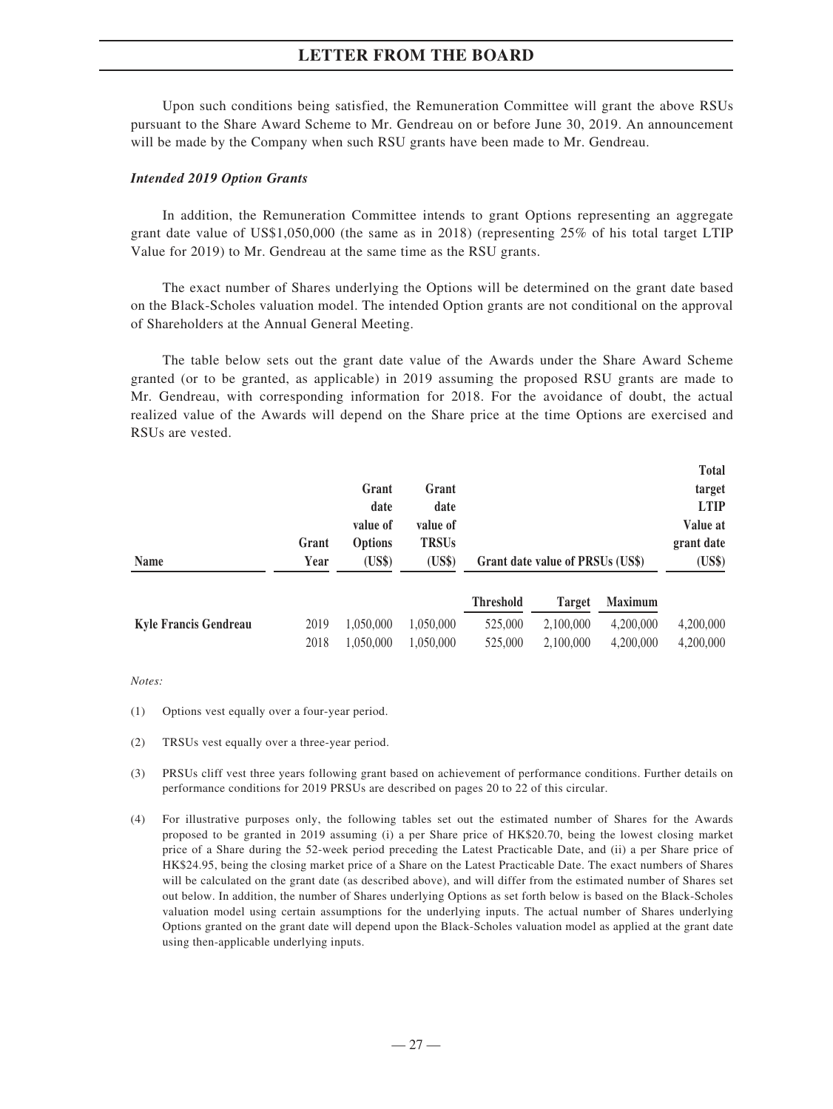Upon such conditions being satisfied, the Remuneration Committee will grant the above RSUs pursuant to the Share Award Scheme to Mr. Gendreau on or before June 30, 2019. An announcement will be made by the Company when such RSU grants have been made to Mr. Gendreau.

#### *Intended 2019 Option Grants*

In addition, the Remuneration Committee intends to grant Options representing an aggregate grant date value of US\$1,050,000 (the same as in 2018) (representing 25% of his total target LTIP Value for 2019) to Mr. Gendreau at the same time as the RSU grants.

The exact number of Shares underlying the Options will be determined on the grant date based on the Black-Scholes valuation model. The intended Option grants are not conditional on the approval of Shareholders at the Annual General Meeting.

The table below sets out the grant date value of the Awards under the Share Award Scheme granted (or to be granted, as applicable) in 2019 assuming the proposed RSU grants are made to Mr. Gendreau, with corresponding information for 2018. For the avoidance of doubt, the actual realized value of the Awards will depend on the Share price at the time Options are exercised and RSUs are vested.

|                              |       |                |              |                  |                                  |                | <b>Total</b> |
|------------------------------|-------|----------------|--------------|------------------|----------------------------------|----------------|--------------|
|                              |       | Grant          | Grant        |                  |                                  |                | target       |
|                              |       | date           | date         |                  |                                  |                | <b>LTIP</b>  |
|                              |       | value of       | value of     |                  |                                  |                | Value at     |
|                              | Grant | <b>Options</b> | <b>TRSUs</b> |                  |                                  |                | grant date   |
| <b>Name</b>                  | Year  | (US\$)         | (US\$)       |                  | Grant date value of PRSUs (US\$) |                | (US\$)       |
|                              |       |                |              | <b>Threshold</b> | <b>Target</b>                    | <b>Maximum</b> |              |
| <b>Kyle Francis Gendreau</b> | 2019  | 1,050,000      | 1,050,000    | 525,000          | 2,100,000                        | 4,200,000      | 4,200,000    |
|                              | 2018  | 1,050,000      | 1,050,000    | 525,000          | 2,100,000                        | 4,200,000      | 4,200,000    |

*Notes:*

- (1) Options vest equally over a four-year period.
- (2) TRSUs vest equally over a three-year period.
- (3) PRSUs cliff vest three years following grant based on achievement of performance conditions. Further details on performance conditions for 2019 PRSUs are described on pages 20 to 22 of this circular.
- (4) For illustrative purposes only, the following tables set out the estimated number of Shares for the Awards proposed to be granted in 2019 assuming (i) a per Share price of HK\$20.70, being the lowest closing market price of a Share during the 52-week period preceding the Latest Practicable Date, and (ii) a per Share price of HK\$24.95, being the closing market price of a Share on the Latest Practicable Date. The exact numbers of Shares will be calculated on the grant date (as described above), and will differ from the estimated number of Shares set out below. In addition, the number of Shares underlying Options as set forth below is based on the Black-Scholes valuation model using certain assumptions for the underlying inputs. The actual number of Shares underlying Options granted on the grant date will depend upon the Black-Scholes valuation model as applied at the grant date using then-applicable underlying inputs.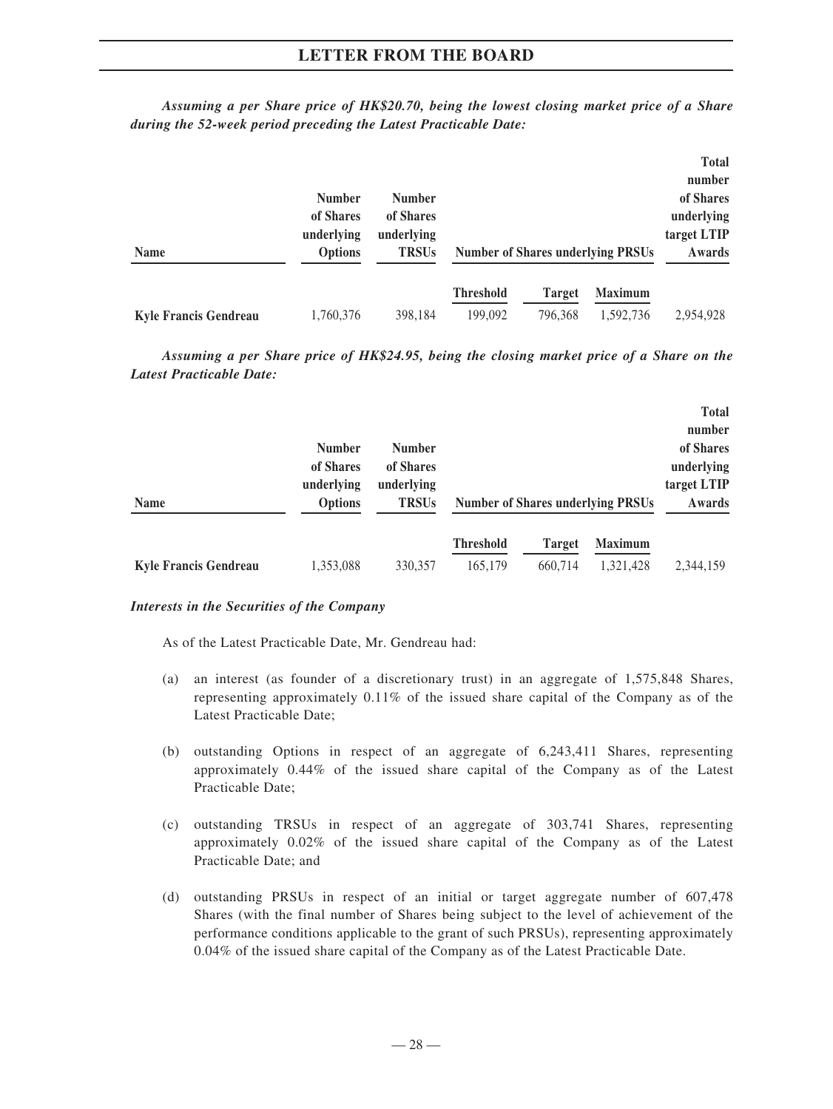|                              | <b>Number</b><br>of Shares<br>underlying | <b>Number</b><br>of Shares<br>underlying |                  |         |                                          | <b>Total</b><br>number<br>of Shares<br>underlying<br>target LTIP |
|------------------------------|------------------------------------------|------------------------------------------|------------------|---------|------------------------------------------|------------------------------------------------------------------|
| <b>Name</b>                  | <b>Options</b>                           | <b>TRSUs</b>                             |                  |         | <b>Number of Shares underlying PRSUs</b> | Awards                                                           |
|                              |                                          |                                          | <b>Threshold</b> | Target  | <b>Maximum</b>                           |                                                                  |
| <b>Kyle Francis Gendreau</b> | 1,760,376                                | 398.184                                  | 199,092          | 796.368 | 1,592,736                                | 2,954,928                                                        |

*Assuming a per Share price of HK\$20.70, being the lowest closing market price of a Share during the 52-week period preceding the Latest Practicable Date:*

*Assuming a per Share price of HK\$24.95, being the closing market price of a Share on the Latest Practicable Date:*

| <b>Name</b>                  | <b>Number</b><br>of Shares<br>underlying<br><b>Options</b> | <b>Number</b><br>of Shares<br>underlying<br><b>TRSUs</b> |                             |                          | <b>Number of Shares underlying PRSUs</b> | <b>Total</b><br>number<br>of Shares<br>underlying<br>target LTIP<br>Awards |
|------------------------------|------------------------------------------------------------|----------------------------------------------------------|-----------------------------|--------------------------|------------------------------------------|----------------------------------------------------------------------------|
| <b>Kyle Francis Gendreau</b> | 1,353,088                                                  | 330,357                                                  | <b>Threshold</b><br>165,179 | <b>Target</b><br>660.714 | <b>Maximum</b><br>1,321,428              | 2,344,159                                                                  |

### *Interests in the Securities of the Company*

As of the Latest Practicable Date, Mr. Gendreau had:

- (a) an interest (as founder of a discretionary trust) in an aggregate of 1,575,848 Shares, representing approximately 0.11% of the issued share capital of the Company as of the Latest Practicable Date;
- (b) outstanding Options in respect of an aggregate of 6,243,411 Shares, representing approximately 0.44% of the issued share capital of the Company as of the Latest Practicable Date;
- (c) outstanding TRSUs in respect of an aggregate of 303,741 Shares, representing approximately 0.02% of the issued share capital of the Company as of the Latest Practicable Date; and
- (d) outstanding PRSUs in respect of an initial or target aggregate number of 607,478 Shares (with the final number of Shares being subject to the level of achievement of the performance conditions applicable to the grant of such PRSUs), representing approximately 0.04% of the issued share capital of the Company as of the Latest Practicable Date.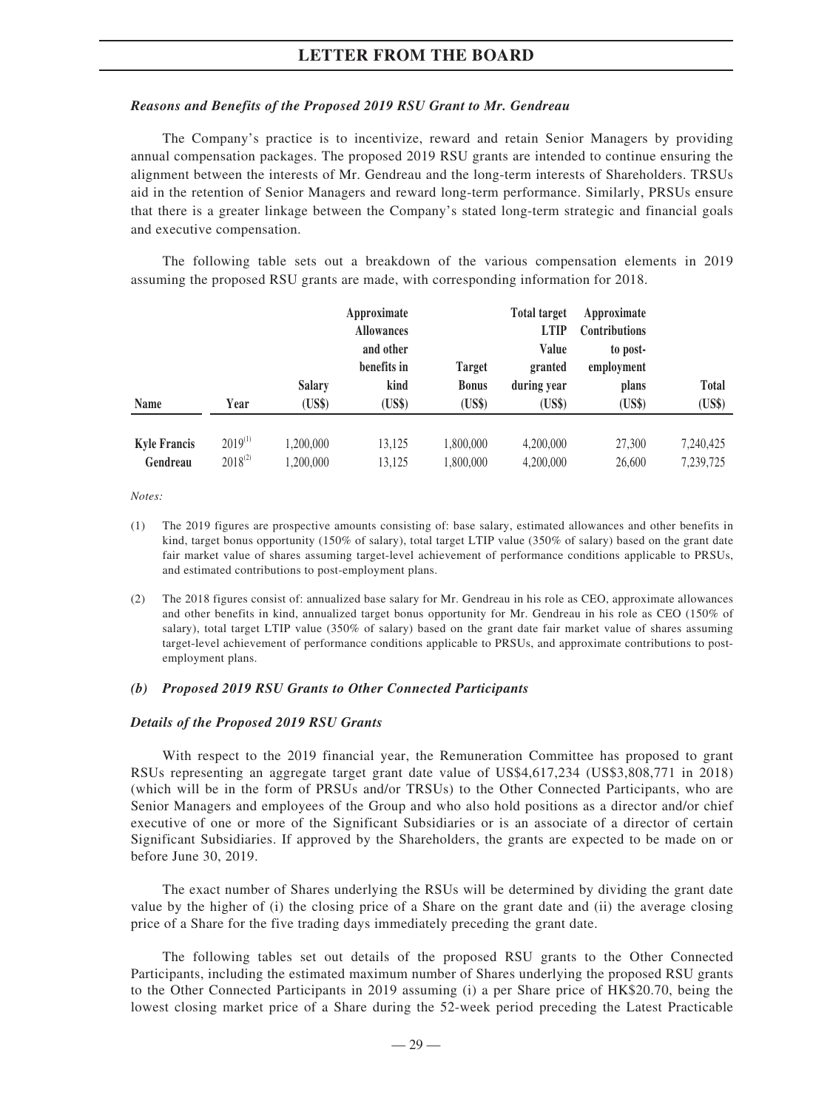#### *Reasons and Benefits of the Proposed 2019 RSU Grant to Mr. Gendreau*

The Company's practice is to incentivize, reward and retain Senior Managers by providing annual compensation packages. The proposed 2019 RSU grants are intended to continue ensuring the alignment between the interests of Mr. Gendreau and the long-term interests of Shareholders. TRSUs aid in the retention of Senior Managers and reward long-term performance. Similarly, PRSUs ensure that there is a greater linkage between the Company's stated long-term strategic and financial goals and executive compensation.

The following table sets out a breakdown of the various compensation elements in 2019 assuming the proposed RSU grants are made, with corresponding information for 2018.

|                                 |                              |                         | Approximate<br><b>Allowances</b><br>and other |                                         | <b>Total target</b><br><b>LTIP</b><br>Value | Approximate<br><b>Contributions</b><br>to post- |                        |
|---------------------------------|------------------------------|-------------------------|-----------------------------------------------|-----------------------------------------|---------------------------------------------|-------------------------------------------------|------------------------|
| <b>Name</b>                     | Year                         | <b>Salary</b><br>(US\$) | benefits in<br>kind<br>(US\$)                 | <b>Target</b><br><b>Bonus</b><br>(US\$) | granted<br>during year<br>(US\$)            | employment<br>plans<br>(US\$)                   | <b>Total</b><br>(US\$) |
| <b>Kyle Francis</b><br>Gendreau | $2019^{(1)}$<br>$2018^{(2)}$ | 1,200,000<br>1,200,000  | 13,125<br>13,125                              | 1,800,000<br>1,800,000                  | 4,200,000<br>4,200,000                      | 27,300<br>26,600                                | 7,240,425<br>7,239,725 |

*Notes:*

- (1) The 2019 figures are prospective amounts consisting of: base salary, estimated allowances and other benefits in kind, target bonus opportunity (150% of salary), total target LTIP value (350% of salary) based on the grant date fair market value of shares assuming target-level achievement of performance conditions applicable to PRSUs, and estimated contributions to post-employment plans.
- (2) The 2018 figures consist of: annualized base salary for Mr. Gendreau in his role as CEO, approximate allowances and other benefits in kind, annualized target bonus opportunity for Mr. Gendreau in his role as CEO (150% of salary), total target LTIP value (350% of salary) based on the grant date fair market value of shares assuming target-level achievement of performance conditions applicable to PRSUs, and approximate contributions to postemployment plans.

#### *(b) Proposed 2019 RSU Grants to Other Connected Participants*

#### *Details of the Proposed 2019 RSU Grants*

With respect to the 2019 financial year, the Remuneration Committee has proposed to grant RSUs representing an aggregate target grant date value of US\$4,617,234 (US\$3,808,771 in 2018) (which will be in the form of PRSUs and/or TRSUs) to the Other Connected Participants, who are Senior Managers and employees of the Group and who also hold positions as a director and/or chief executive of one or more of the Significant Subsidiaries or is an associate of a director of certain Significant Subsidiaries. If approved by the Shareholders, the grants are expected to be made on or before June 30, 2019.

The exact number of Shares underlying the RSUs will be determined by dividing the grant date value by the higher of (i) the closing price of a Share on the grant date and (ii) the average closing price of a Share for the five trading days immediately preceding the grant date.

The following tables set out details of the proposed RSU grants to the Other Connected Participants, including the estimated maximum number of Shares underlying the proposed RSU grants to the Other Connected Participants in 2019 assuming (i) a per Share price of HK\$20.70, being the lowest closing market price of a Share during the 52-week period preceding the Latest Practicable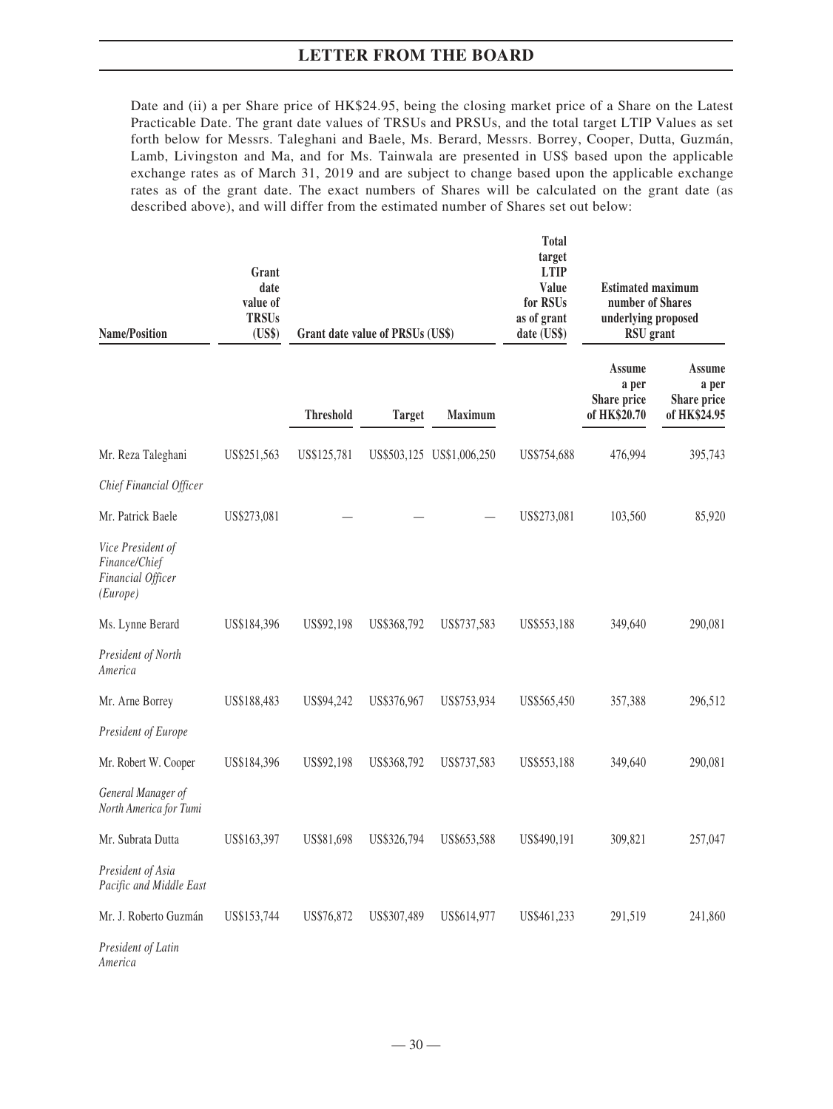Date and (ii) a per Share price of HK\$24.95, being the closing market price of a Share on the Latest Practicable Date. The grant date values of TRSUs and PRSUs, and the total target LTIP Values as set forth below for Messrs. Taleghani and Baele, Ms. Berard, Messrs. Borrey, Cooper, Dutta, Guzmán, Lamb, Livingston and Ma, and for Ms. Tainwala are presented in US\$ based upon the applicable exchange rates as of March 31, 2019 and are subject to change based upon the applicable exchange rates as of the grant date. The exact numbers of Shares will be calculated on the grant date (as described above), and will differ from the estimated number of Shares set out below:

| <b>Name/Position</b>                                                | Grant<br>date<br>value of<br><b>TRSUs</b><br>(US\$) |                  | Grant date value of PRSUs (US\$) |                           | <b>Total</b><br>target<br><b>LTIP</b><br>Value<br>for RSUs<br>as of grant<br>date (US\$) | <b>Estimated maximum</b><br>number of Shares<br>underlying proposed<br><b>RSU</b> grant |                                                |
|---------------------------------------------------------------------|-----------------------------------------------------|------------------|----------------------------------|---------------------------|------------------------------------------------------------------------------------------|-----------------------------------------------------------------------------------------|------------------------------------------------|
|                                                                     |                                                     | <b>Threshold</b> | <b>Target</b>                    | Maximum                   |                                                                                          | <b>Assume</b><br>a per<br>Share price<br>of HK\$20.70                                   | Assume<br>a per<br>Share price<br>of HK\$24.95 |
| Mr. Reza Taleghani                                                  | US\$251,563                                         | US\$125,781      |                                  | US\$503,125 US\$1,006,250 | US\$754,688                                                                              | 476,994                                                                                 | 395,743                                        |
| Chief Financial Officer                                             |                                                     |                  |                                  |                           |                                                                                          |                                                                                         |                                                |
| Mr. Patrick Baele                                                   | US\$273,081                                         |                  |                                  |                           | US\$273,081                                                                              | 103,560                                                                                 | 85,920                                         |
| Vice President of<br>Finance/Chief<br>Financial Officer<br>(Europe) |                                                     |                  |                                  |                           |                                                                                          |                                                                                         |                                                |
| Ms. Lynne Berard                                                    | US\$184,396                                         | US\$92,198       | US\$368,792                      | US\$737,583               | US\$553,188                                                                              | 349,640                                                                                 | 290,081                                        |
| President of North<br>America                                       |                                                     |                  |                                  |                           |                                                                                          |                                                                                         |                                                |
| Mr. Arne Borrey                                                     | US\$188,483                                         | US\$94,242       | US\$376,967                      | US\$753,934               | US\$565,450                                                                              | 357,388                                                                                 | 296,512                                        |
| President of Europe                                                 |                                                     |                  |                                  |                           |                                                                                          |                                                                                         |                                                |
| Mr. Robert W. Cooper                                                | US\$184,396                                         | US\$92,198       | US\$368,792                      | US\$737,583               | US\$553,188                                                                              | 349,640                                                                                 | 290,081                                        |
| General Manager of<br>North America for Tumi                        |                                                     |                  |                                  |                           |                                                                                          |                                                                                         |                                                |
| Mr. Subrata Dutta                                                   | US\$163,397                                         | US\$81,698       | US\$326,794                      | US\$653,588               | US\$490,191                                                                              | 309,821                                                                                 | 257,047                                        |
| President of Asia<br>Pacific and Middle East                        |                                                     |                  |                                  |                           |                                                                                          |                                                                                         |                                                |
| Mr. J. Roberto Guzmán                                               | US\$153,744                                         | US\$76,872       | US\$307,489                      | US\$614,977               | US\$461,233                                                                              | 291,519                                                                                 | 241,860                                        |
| President of Latin<br>America                                       |                                                     |                  |                                  |                           |                                                                                          |                                                                                         |                                                |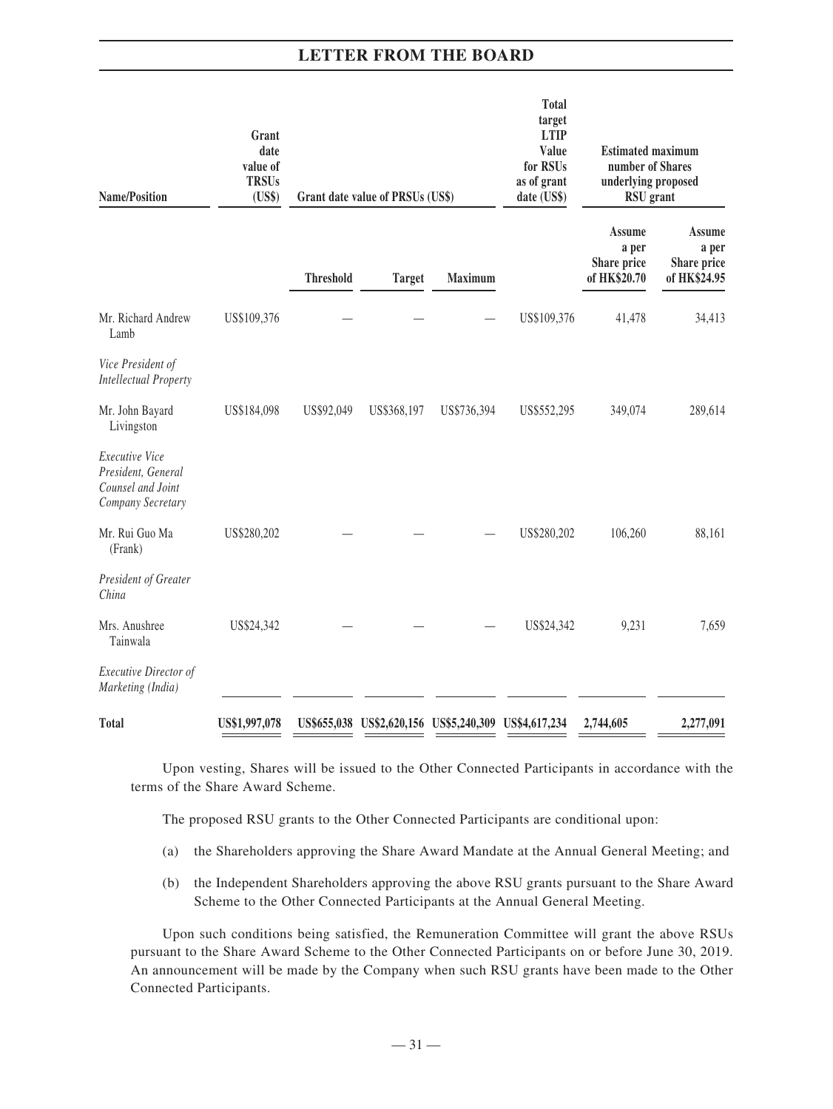| <b>Name/Position</b>                                                           | Grant<br>date<br>value of<br><b>TRSUs</b><br>(US\$) |                  | Grant date value of PRSUs (US\$)                      |             | <b>Total</b><br>target<br><b>LTIP</b><br>Value<br>for RSUs<br>as of grant<br>date (US\$) | <b>Estimated maximum</b><br>number of Shares<br>underlying proposed<br>RSU grant |                                                       |
|--------------------------------------------------------------------------------|-----------------------------------------------------|------------------|-------------------------------------------------------|-------------|------------------------------------------------------------------------------------------|----------------------------------------------------------------------------------|-------------------------------------------------------|
|                                                                                |                                                     | <b>Threshold</b> | <b>Target</b>                                         | Maximum     |                                                                                          | Assume<br>a per<br>Share price<br>of HK\$20.70                                   | <b>Assume</b><br>a per<br>Share price<br>of HK\$24.95 |
| Mr. Richard Andrew<br>Lamb                                                     | US\$109,376                                         |                  |                                                       |             | US\$109,376                                                                              | 41,478                                                                           | 34,413                                                |
| Vice President of<br><b>Intellectual Property</b>                              |                                                     |                  |                                                       |             |                                                                                          |                                                                                  |                                                       |
| Mr. John Bayard<br>Livingston                                                  | US\$184,098                                         | US\$92,049       | US\$368,197                                           | US\$736,394 | US\$552,295                                                                              | 349,074                                                                          | 289,614                                               |
| Executive Vice<br>President, General<br>Counsel and Joint<br>Company Secretary |                                                     |                  |                                                       |             |                                                                                          |                                                                                  |                                                       |
| Mr. Rui Guo Ma<br>(Frank)                                                      | US\$280,202                                         |                  |                                                       |             | US\$280,202                                                                              | 106,260                                                                          | 88,161                                                |
| President of Greater<br>China                                                  |                                                     |                  |                                                       |             |                                                                                          |                                                                                  |                                                       |
| Mrs. Anushree<br>Tainwala                                                      | US\$24,342                                          |                  |                                                       |             | US\$24,342                                                                               | 9,231                                                                            | 7,659                                                 |
| <b>Executive Director of</b><br>Marketing (India)                              |                                                     |                  |                                                       |             |                                                                                          |                                                                                  |                                                       |
| <b>Total</b>                                                                   | US\$1,997,078                                       |                  | US\$655,038 US\$2,620,156 US\$5,240,309 US\$4,617,234 |             |                                                                                          | 2,744,605                                                                        | 2,277,091                                             |

Upon vesting, Shares will be issued to the Other Connected Participants in accordance with the terms of the Share Award Scheme.

The proposed RSU grants to the Other Connected Participants are conditional upon:

- (a) the Shareholders approving the Share Award Mandate at the Annual General Meeting; and
- (b) the Independent Shareholders approving the above RSU grants pursuant to the Share Award Scheme to the Other Connected Participants at the Annual General Meeting.

Upon such conditions being satisfied, the Remuneration Committee will grant the above RSUs pursuant to the Share Award Scheme to the Other Connected Participants on or before June 30, 2019. An announcement will be made by the Company when such RSU grants have been made to the Other Connected Participants.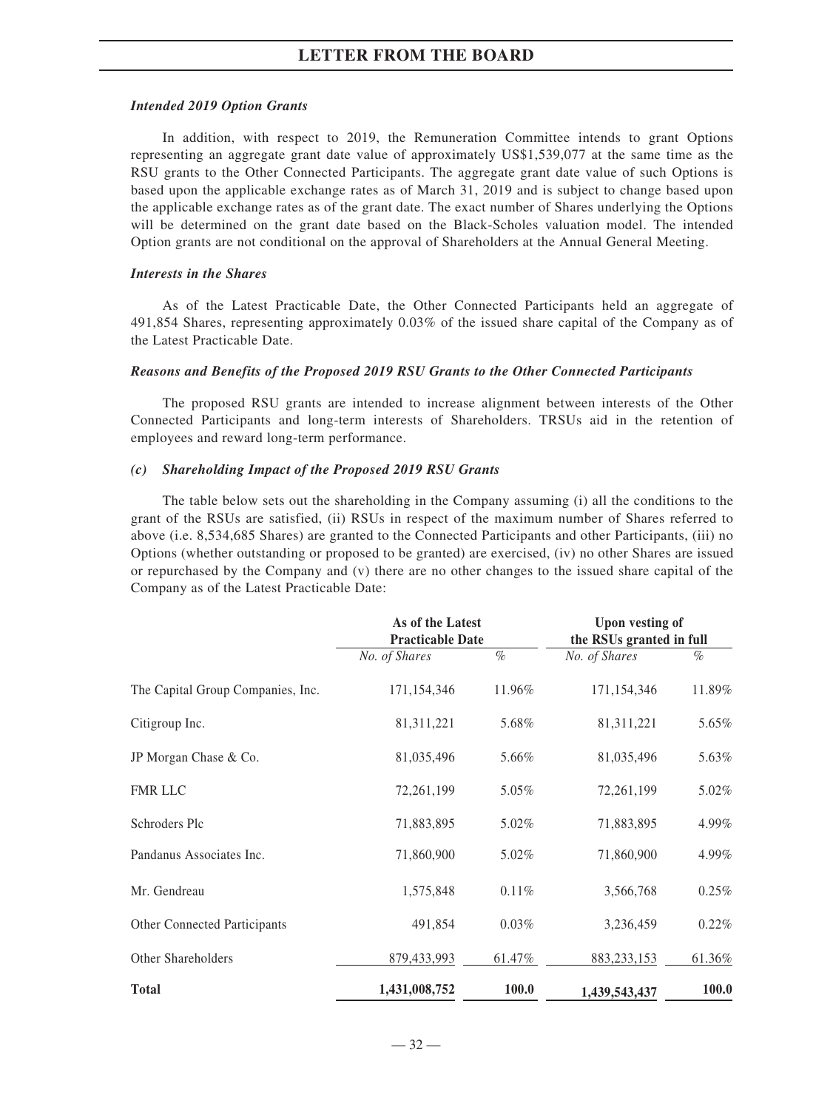#### *Intended 2019 Option Grants*

In addition, with respect to 2019, the Remuneration Committee intends to grant Options representing an aggregate grant date value of approximately US\$1,539,077 at the same time as the RSU grants to the Other Connected Participants. The aggregate grant date value of such Options is based upon the applicable exchange rates as of March 31, 2019 and is subject to change based upon the applicable exchange rates as of the grant date. The exact number of Shares underlying the Options will be determined on the grant date based on the Black-Scholes valuation model. The intended Option grants are not conditional on the approval of Shareholders at the Annual General Meeting.

#### *Interests in the Shares*

As of the Latest Practicable Date, the Other Connected Participants held an aggregate of 491,854 Shares, representing approximately 0.03% of the issued share capital of the Company as of the Latest Practicable Date.

#### *Reasons and Benefits of the Proposed 2019 RSU Grants to the Other Connected Participants*

The proposed RSU grants are intended to increase alignment between interests of the Other Connected Participants and long-term interests of Shareholders. TRSUs aid in the retention of employees and reward long-term performance.

#### *(c) Shareholding Impact of the Proposed 2019 RSU Grants*

The table below sets out the shareholding in the Company assuming (i) all the conditions to the grant of the RSUs are satisfied, (ii) RSUs in respect of the maximum number of Shares referred to above (i.e. 8,534,685 Shares) are granted to the Connected Participants and other Participants, (iii) no Options (whether outstanding or proposed to be granted) are exercised, (iv) no other Shares are issued or repurchased by the Company and (v) there are no other changes to the issued share capital of the Company as of the Latest Practicable Date:

|                                   | As of the Latest<br><b>Practicable Date</b> |          | <b>Upon vesting of</b><br>the RSUs granted in full |              |
|-----------------------------------|---------------------------------------------|----------|----------------------------------------------------|--------------|
|                                   | No. of Shares                               | $\%$     | No. of Shares                                      | $\%$         |
| The Capital Group Companies, Inc. | 171,154,346                                 | 11.96%   | 171,154,346                                        | 11.89%       |
| Citigroup Inc.                    | 81,311,221                                  | 5.68%    | 81,311,221                                         | 5.65%        |
| JP Morgan Chase & Co.             | 81,035,496                                  | 5.66%    | 81,035,496                                         | 5.63%        |
| <b>FMR LLC</b>                    | 72,261,199                                  | 5.05%    | 72,261,199                                         | 5.02%        |
| Schroders Plc                     | 71,883,895                                  | 5.02%    | 71,883,895                                         | 4.99%        |
| Pandanus Associates Inc.          | 71,860,900                                  | 5.02%    | 71,860,900                                         | 4.99%        |
| Mr. Gendreau                      | 1,575,848                                   | 0.11%    | 3,566,768                                          | 0.25%        |
| Other Connected Participants      | 491,854                                     | $0.03\%$ | 3,236,459                                          | $0.22\%$     |
| Other Shareholders                | 879,433,993                                 | 61.47%   | 883, 233, 153                                      | 61.36%       |
| <b>Total</b>                      | 1,431,008,752                               | 100.0    | 1,439,543,437                                      | <b>100.0</b> |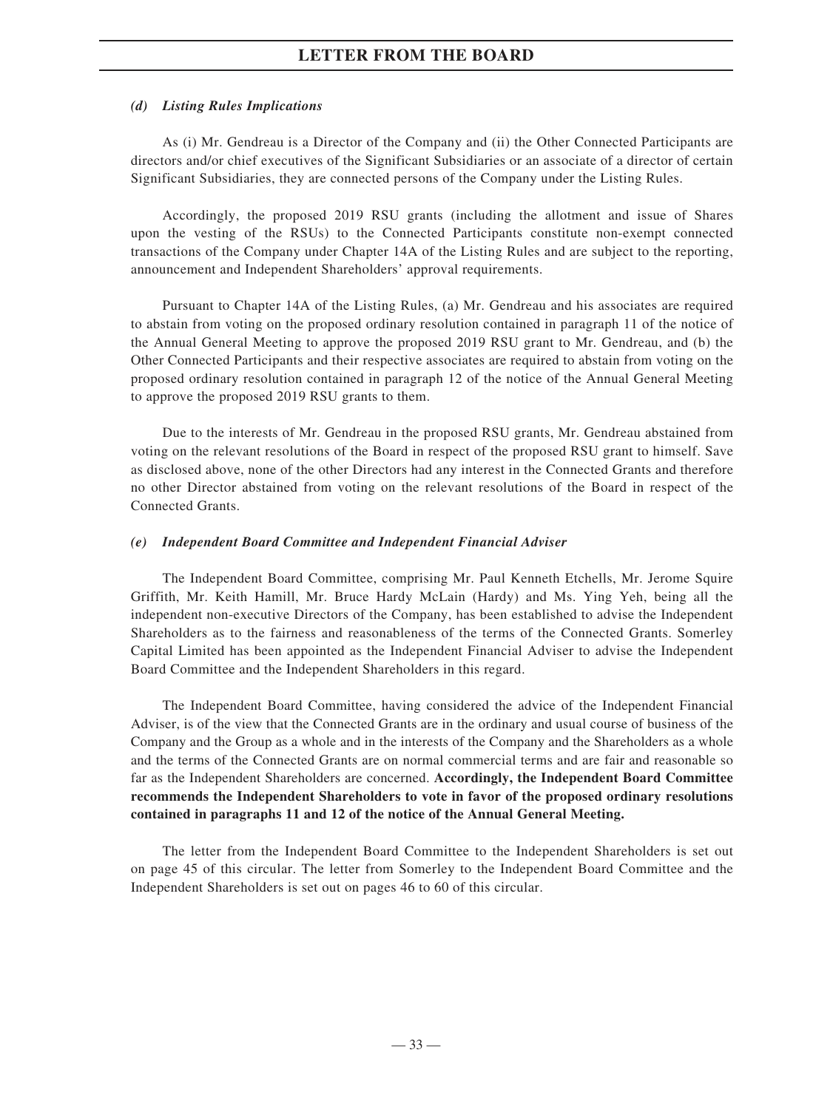#### *(d) Listing Rules Implications*

As (i) Mr. Gendreau is a Director of the Company and (ii) the Other Connected Participants are directors and/or chief executives of the Significant Subsidiaries or an associate of a director of certain Significant Subsidiaries, they are connected persons of the Company under the Listing Rules.

Accordingly, the proposed 2019 RSU grants (including the allotment and issue of Shares upon the vesting of the RSUs) to the Connected Participants constitute non-exempt connected transactions of the Company under Chapter 14A of the Listing Rules and are subject to the reporting, announcement and Independent Shareholders' approval requirements.

Pursuant to Chapter 14A of the Listing Rules, (a) Mr. Gendreau and his associates are required to abstain from voting on the proposed ordinary resolution contained in paragraph 11 of the notice of the Annual General Meeting to approve the proposed 2019 RSU grant to Mr. Gendreau, and (b) the Other Connected Participants and their respective associates are required to abstain from voting on the proposed ordinary resolution contained in paragraph 12 of the notice of the Annual General Meeting to approve the proposed 2019 RSU grants to them.

Due to the interests of Mr. Gendreau in the proposed RSU grants, Mr. Gendreau abstained from voting on the relevant resolutions of the Board in respect of the proposed RSU grant to himself. Save as disclosed above, none of the other Directors had any interest in the Connected Grants and therefore no other Director abstained from voting on the relevant resolutions of the Board in respect of the Connected Grants.

#### *(e) Independent Board Committee and Independent Financial Adviser*

The Independent Board Committee, comprising Mr. Paul Kenneth Etchells, Mr. Jerome Squire Griffith, Mr. Keith Hamill, Mr. Bruce Hardy McLain (Hardy) and Ms. Ying Yeh, being all the independent non-executive Directors of the Company, has been established to advise the Independent Shareholders as to the fairness and reasonableness of the terms of the Connected Grants. Somerley Capital Limited has been appointed as the Independent Financial Adviser to advise the Independent Board Committee and the Independent Shareholders in this regard.

The Independent Board Committee, having considered the advice of the Independent Financial Adviser, is of the view that the Connected Grants are in the ordinary and usual course of business of the Company and the Group as a whole and in the interests of the Company and the Shareholders as a whole and the terms of the Connected Grants are on normal commercial terms and are fair and reasonable so far as the Independent Shareholders are concerned. **Accordingly, the Independent Board Committee recommends the Independent Shareholders to vote in favor of the proposed ordinary resolutions contained in paragraphs 11 and 12 of the notice of the Annual General Meeting.**

The letter from the Independent Board Committee to the Independent Shareholders is set out on page 45 of this circular. The letter from Somerley to the Independent Board Committee and the Independent Shareholders is set out on pages 46 to 60 of this circular.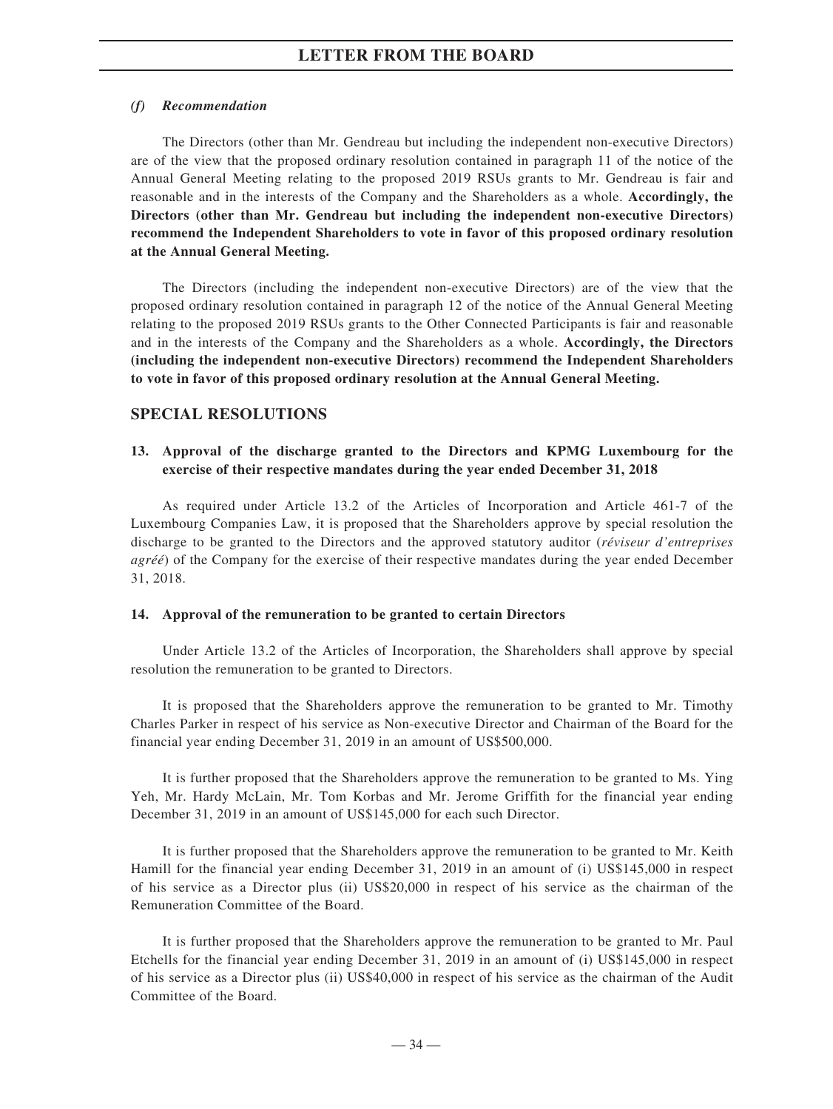#### *(f) Recommendation*

The Directors (other than Mr. Gendreau but including the independent non-executive Directors) are of the view that the proposed ordinary resolution contained in paragraph 11 of the notice of the Annual General Meeting relating to the proposed 2019 RSUs grants to Mr. Gendreau is fair and reasonable and in the interests of the Company and the Shareholders as a whole. **Accordingly, the Directors (other than Mr. Gendreau but including the independent non-executive Directors) recommend the Independent Shareholders to vote in favor of this proposed ordinary resolution at the Annual General Meeting.**

The Directors (including the independent non-executive Directors) are of the view that the proposed ordinary resolution contained in paragraph 12 of the notice of the Annual General Meeting relating to the proposed 2019 RSUs grants to the Other Connected Participants is fair and reasonable and in the interests of the Company and the Shareholders as a whole. **Accordingly, the Directors (including the independent non-executive Directors) recommend the Independent Shareholders to vote in favor of this proposed ordinary resolution at the Annual General Meeting.**

### **SPECIAL RESOLUTIONS**

# **13. Approval of the discharge granted to the Directors and KPMG Luxembourg for the exercise of their respective mandates during the year ended December 31, 2018**

As required under Article 13.2 of the Articles of Incorporation and Article 461-7 of the Luxembourg Companies Law, it is proposed that the Shareholders approve by special resolution the discharge to be granted to the Directors and the approved statutory auditor (*réviseur d'entreprises agréé*) of the Company for the exercise of their respective mandates during the year ended December 31, 2018.

#### **14. Approval of the remuneration to be granted to certain Directors**

Under Article 13.2 of the Articles of Incorporation, the Shareholders shall approve by special resolution the remuneration to be granted to Directors.

It is proposed that the Shareholders approve the remuneration to be granted to Mr. Timothy Charles Parker in respect of his service as Non-executive Director and Chairman of the Board for the financial year ending December 31, 2019 in an amount of US\$500,000.

It is further proposed that the Shareholders approve the remuneration to be granted to Ms. Ying Yeh, Mr. Hardy McLain, Mr. Tom Korbas and Mr. Jerome Griffith for the financial year ending December 31, 2019 in an amount of US\$145,000 for each such Director.

It is further proposed that the Shareholders approve the remuneration to be granted to Mr. Keith Hamill for the financial year ending December 31, 2019 in an amount of (i) US\$145,000 in respect of his service as a Director plus (ii) US\$20,000 in respect of his service as the chairman of the Remuneration Committee of the Board.

It is further proposed that the Shareholders approve the remuneration to be granted to Mr. Paul Etchells for the financial year ending December 31, 2019 in an amount of (i) US\$145,000 in respect of his service as a Director plus (ii) US\$40,000 in respect of his service as the chairman of the Audit Committee of the Board.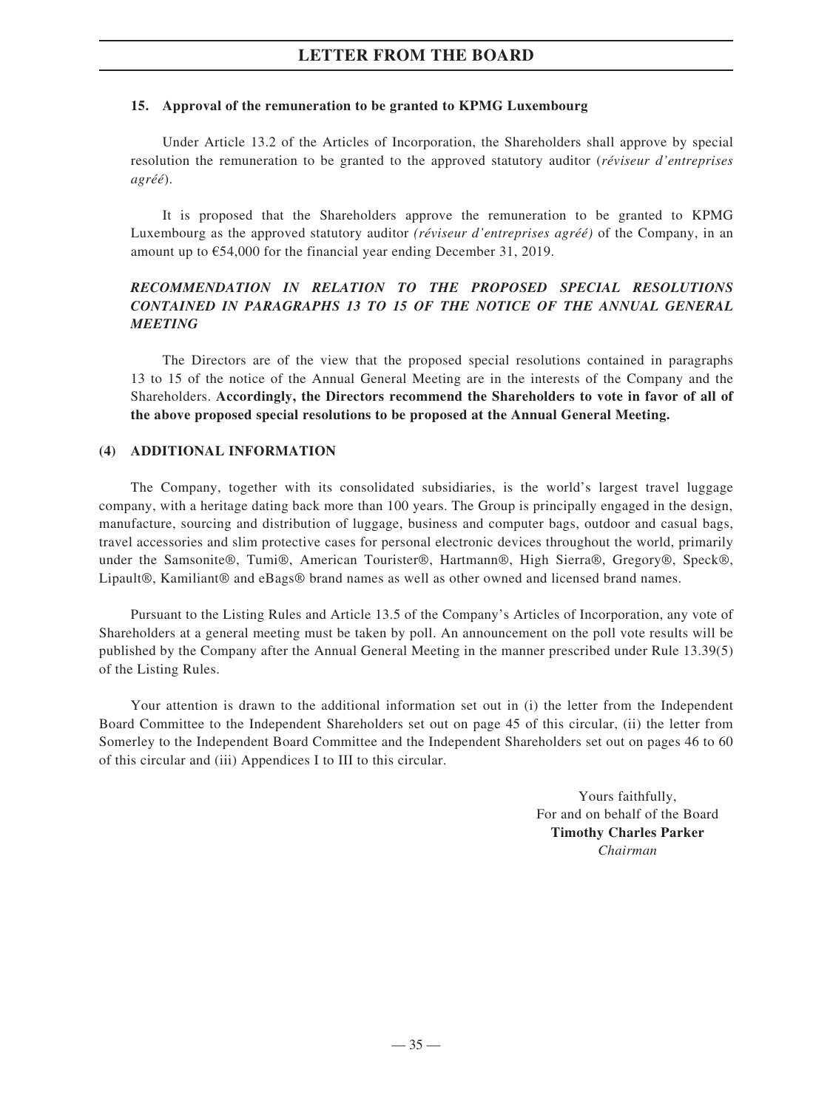#### **15. Approval of the remuneration to be granted to KPMG Luxembourg**

Under Article 13.2 of the Articles of Incorporation, the Shareholders shall approve by special resolution the remuneration to be granted to the approved statutory auditor (*réviseur d'entreprises agréé*).

It is proposed that the Shareholders approve the remuneration to be granted to KPMG Luxembourg as the approved statutory auditor *(réviseur d'entreprises agréé)* of the Company, in an amount up to €54,000 for the financial year ending December 31, 2019.

# *RECOMMENDATION IN RELATION TO THE PROPOSED SPECIAL RESOLUTIONS CONTAINED IN PARAGRAPHS 13 TO 15 OF THE NOTICE OF THE ANNUAL GENERAL MEETING*

The Directors are of the view that the proposed special resolutions contained in paragraphs 13 to 15 of the notice of the Annual General Meeting are in the interests of the Company and the Shareholders. **Accordingly, the Directors recommend the Shareholders to vote in favor of all of the above proposed special resolutions to be proposed at the Annual General Meeting.**

#### **(4) ADDITIONAL INFORMATION**

The Company, together with its consolidated subsidiaries, is the world's largest travel luggage company, with a heritage dating back more than 100 years. The Group is principally engaged in the design, manufacture, sourcing and distribution of luggage, business and computer bags, outdoor and casual bags, travel accessories and slim protective cases for personal electronic devices throughout the world, primarily under the Samsonite®, Tumi®, American Tourister®, Hartmann®, High Sierra®, Gregory®, Speck®, Lipault®, Kamiliant® and eBags® brand names as well as other owned and licensed brand names.

Pursuant to the Listing Rules and Article 13.5 of the Company's Articles of Incorporation, any vote of Shareholders at a general meeting must be taken by poll. An announcement on the poll vote results will be published by the Company after the Annual General Meeting in the manner prescribed under Rule 13.39(5) of the Listing Rules.

Your attention is drawn to the additional information set out in (i) the letter from the Independent Board Committee to the Independent Shareholders set out on page 45 of this circular, (ii) the letter from Somerley to the Independent Board Committee and the Independent Shareholders set out on pages 46 to 60 of this circular and (iii) Appendices I to III to this circular.

> Yours faithfully, For and on behalf of the Board **Timothy Charles Parker** *Chairman*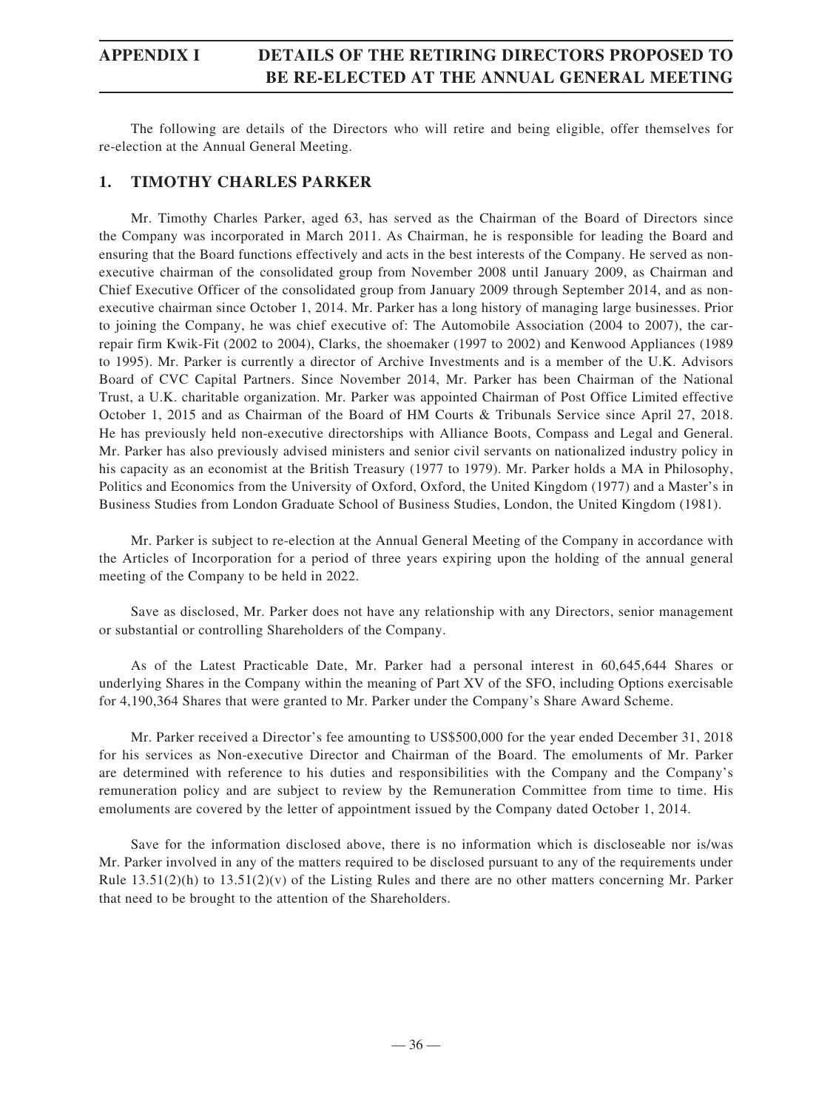# **APPENDIX I DETAILS OF THE RETIRING DIRECTORS PROPOSED TO BE RE-ELECTED AT THE ANNUAL GENERAL MEETING**

The following are details of the Directors who will retire and being eligible, offer themselves for re-election at the Annual General Meeting.

# **1. TIMOTHY CHARLES PARKER**

Mr. Timothy Charles Parker, aged 63, has served as the Chairman of the Board of Directors since the Company was incorporated in March 2011. As Chairman, he is responsible for leading the Board and ensuring that the Board functions effectively and acts in the best interests of the Company. He served as nonexecutive chairman of the consolidated group from November 2008 until January 2009, as Chairman and Chief Executive Officer of the consolidated group from January 2009 through September 2014, and as nonexecutive chairman since October 1, 2014. Mr. Parker has a long history of managing large businesses. Prior to joining the Company, he was chief executive of: The Automobile Association (2004 to 2007), the carrepair firm Kwik-Fit (2002 to 2004), Clarks, the shoemaker (1997 to 2002) and Kenwood Appliances (1989 to 1995). Mr. Parker is currently a director of Archive Investments and is a member of the U.K. Advisors Board of CVC Capital Partners. Since November 2014, Mr. Parker has been Chairman of the National Trust, a U.K. charitable organization. Mr. Parker was appointed Chairman of Post Office Limited effective October 1, 2015 and as Chairman of the Board of HM Courts & Tribunals Service since April 27, 2018. He has previously held non-executive directorships with Alliance Boots, Compass and Legal and General. Mr. Parker has also previously advised ministers and senior civil servants on nationalized industry policy in his capacity as an economist at the British Treasury (1977 to 1979). Mr. Parker holds a MA in Philosophy, Politics and Economics from the University of Oxford, Oxford, the United Kingdom (1977) and a Master's in Business Studies from London Graduate School of Business Studies, London, the United Kingdom (1981).

Mr. Parker is subject to re-election at the Annual General Meeting of the Company in accordance with the Articles of Incorporation for a period of three years expiring upon the holding of the annual general meeting of the Company to be held in 2022.

Save as disclosed, Mr. Parker does not have any relationship with any Directors, senior management or substantial or controlling Shareholders of the Company.

As of the Latest Practicable Date, Mr. Parker had a personal interest in 60,645,644 Shares or underlying Shares in the Company within the meaning of Part XV of the SFO, including Options exercisable for 4,190,364 Shares that were granted to Mr. Parker under the Company's Share Award Scheme.

Mr. Parker received a Director's fee amounting to US\$500,000 for the year ended December 31, 2018 for his services as Non-executive Director and Chairman of the Board. The emoluments of Mr. Parker are determined with reference to his duties and responsibilities with the Company and the Company's remuneration policy and are subject to review by the Remuneration Committee from time to time. His emoluments are covered by the letter of appointment issued by the Company dated October 1, 2014.

Save for the information disclosed above, there is no information which is discloseable nor is/was Mr. Parker involved in any of the matters required to be disclosed pursuant to any of the requirements under Rule  $13.51(2)(h)$  to  $13.51(2)(v)$  of the Listing Rules and there are no other matters concerning Mr. Parker that need to be brought to the attention of the Shareholders.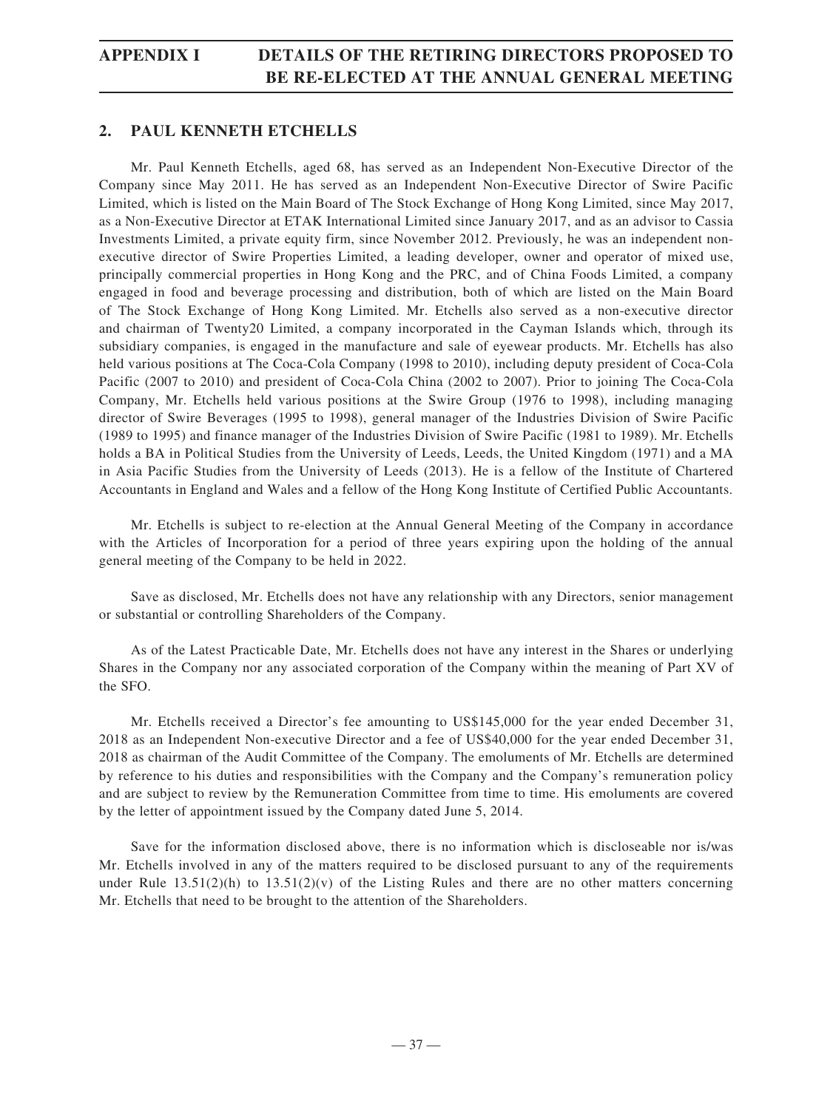# **APPENDIX I DETAILS OF THE RETIRING DIRECTORS PROPOSED TO BE RE-ELECTED AT THE ANNUAL GENERAL MEETING**

# **2. PAUL KENNETH ETCHELLS**

Mr. Paul Kenneth Etchells, aged 68, has served as an Independent Non-Executive Director of the Company since May 2011. He has served as an Independent Non-Executive Director of Swire Pacific Limited, which is listed on the Main Board of The Stock Exchange of Hong Kong Limited, since May 2017, as a Non-Executive Director at ETAK International Limited since January 2017, and as an advisor to Cassia Investments Limited, a private equity firm, since November 2012. Previously, he was an independent nonexecutive director of Swire Properties Limited, a leading developer, owner and operator of mixed use, principally commercial properties in Hong Kong and the PRC, and of China Foods Limited, a company engaged in food and beverage processing and distribution, both of which are listed on the Main Board of The Stock Exchange of Hong Kong Limited. Mr. Etchells also served as a non-executive director and chairman of Twenty20 Limited, a company incorporated in the Cayman Islands which, through its subsidiary companies, is engaged in the manufacture and sale of eyewear products. Mr. Etchells has also held various positions at The Coca-Cola Company (1998 to 2010), including deputy president of Coca-Cola Pacific (2007 to 2010) and president of Coca-Cola China (2002 to 2007). Prior to joining The Coca-Cola Company, Mr. Etchells held various positions at the Swire Group (1976 to 1998), including managing director of Swire Beverages (1995 to 1998), general manager of the Industries Division of Swire Pacific (1989 to 1995) and finance manager of the Industries Division of Swire Pacific (1981 to 1989). Mr. Etchells holds a BA in Political Studies from the University of Leeds, Leeds, the United Kingdom (1971) and a MA in Asia Pacific Studies from the University of Leeds (2013). He is a fellow of the Institute of Chartered Accountants in England and Wales and a fellow of the Hong Kong Institute of Certified Public Accountants.

Mr. Etchells is subject to re-election at the Annual General Meeting of the Company in accordance with the Articles of Incorporation for a period of three years expiring upon the holding of the annual general meeting of the Company to be held in 2022.

Save as disclosed, Mr. Etchells does not have any relationship with any Directors, senior management or substantial or controlling Shareholders of the Company.

As of the Latest Practicable Date, Mr. Etchells does not have any interest in the Shares or underlying Shares in the Company nor any associated corporation of the Company within the meaning of Part XV of the SFO.

Mr. Etchells received a Director's fee amounting to US\$145,000 for the year ended December 31, 2018 as an Independent Non-executive Director and a fee of US\$40,000 for the year ended December 31, 2018 as chairman of the Audit Committee of the Company. The emoluments of Mr. Etchells are determined by reference to his duties and responsibilities with the Company and the Company's remuneration policy and are subject to review by the Remuneration Committee from time to time. His emoluments are covered by the letter of appointment issued by the Company dated June 5, 2014.

Save for the information disclosed above, there is no information which is discloseable nor is/was Mr. Etchells involved in any of the matters required to be disclosed pursuant to any of the requirements under Rule  $13.51(2)(h)$  to  $13.51(2)(v)$  of the Listing Rules and there are no other matters concerning Mr. Etchells that need to be brought to the attention of the Shareholders.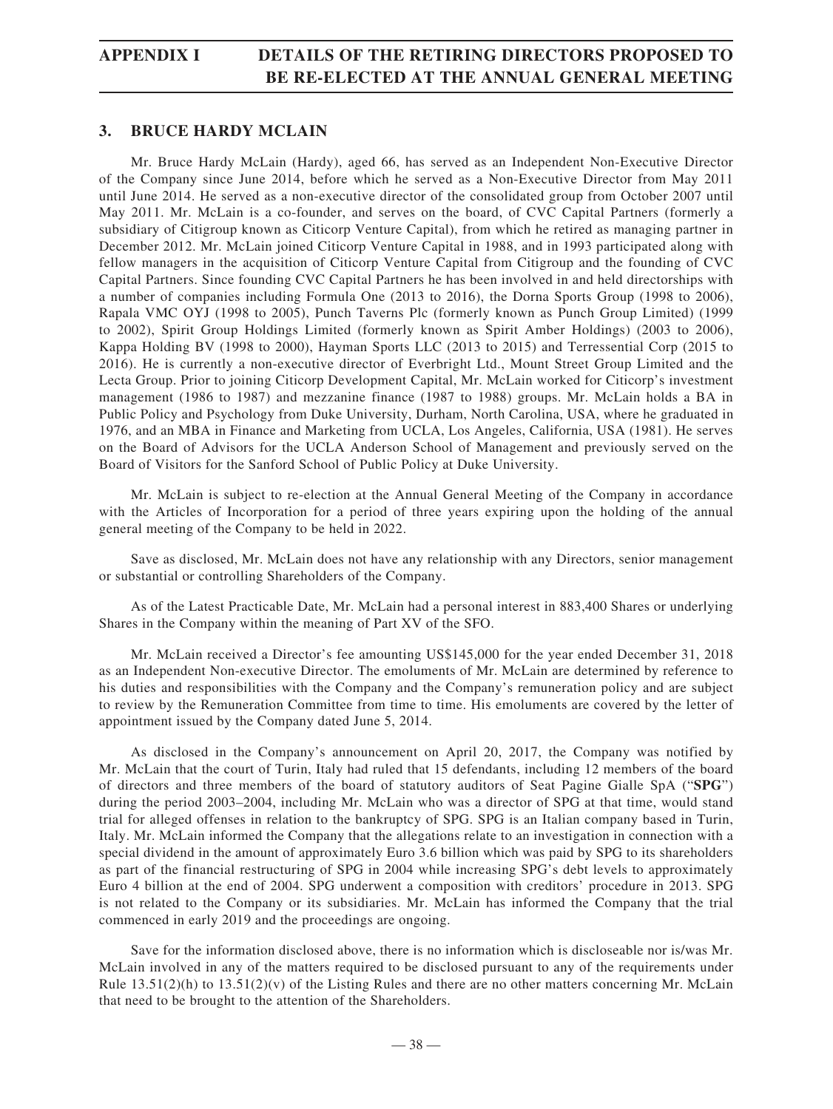# **APPENDIX I DETAILS OF THE RETIRING DIRECTORS PROPOSED TO BE RE-ELECTED AT THE ANNUAL GENERAL MEETING**

# **3. BRUCE HARDY MCLAIN**

Mr. Bruce Hardy McLain (Hardy), aged 66, has served as an Independent Non-Executive Director of the Company since June 2014, before which he served as a Non-Executive Director from May 2011 until June 2014. He served as a non-executive director of the consolidated group from October 2007 until May 2011. Mr. McLain is a co-founder, and serves on the board, of CVC Capital Partners (formerly a subsidiary of Citigroup known as Citicorp Venture Capital), from which he retired as managing partner in December 2012. Mr. McLain joined Citicorp Venture Capital in 1988, and in 1993 participated along with fellow managers in the acquisition of Citicorp Venture Capital from Citigroup and the founding of CVC Capital Partners. Since founding CVC Capital Partners he has been involved in and held directorships with a number of companies including Formula One (2013 to 2016), the Dorna Sports Group (1998 to 2006), Rapala VMC OYJ (1998 to 2005), Punch Taverns Plc (formerly known as Punch Group Limited) (1999 to 2002), Spirit Group Holdings Limited (formerly known as Spirit Amber Holdings) (2003 to 2006), Kappa Holding BV (1998 to 2000), Hayman Sports LLC (2013 to 2015) and Terressential Corp (2015 to 2016). He is currently a non-executive director of Everbright Ltd., Mount Street Group Limited and the Lecta Group. Prior to joining Citicorp Development Capital, Mr. McLain worked for Citicorp's investment management (1986 to 1987) and mezzanine finance (1987 to 1988) groups. Mr. McLain holds a BA in Public Policy and Psychology from Duke University, Durham, North Carolina, USA, where he graduated in 1976, and an MBA in Finance and Marketing from UCLA, Los Angeles, California, USA (1981). He serves on the Board of Advisors for the UCLA Anderson School of Management and previously served on the Board of Visitors for the Sanford School of Public Policy at Duke University.

Mr. McLain is subject to re-election at the Annual General Meeting of the Company in accordance with the Articles of Incorporation for a period of three years expiring upon the holding of the annual general meeting of the Company to be held in 2022.

Save as disclosed, Mr. McLain does not have any relationship with any Directors, senior management or substantial or controlling Shareholders of the Company.

As of the Latest Practicable Date, Mr. McLain had a personal interest in 883,400 Shares or underlying Shares in the Company within the meaning of Part XV of the SFO.

Mr. McLain received a Director's fee amounting US\$145,000 for the year ended December 31, 2018 as an Independent Non-executive Director. The emoluments of Mr. McLain are determined by reference to his duties and responsibilities with the Company and the Company's remuneration policy and are subject to review by the Remuneration Committee from time to time. His emoluments are covered by the letter of appointment issued by the Company dated June 5, 2014.

As disclosed in the Company's announcement on April 20, 2017, the Company was notified by Mr. McLain that the court of Turin, Italy had ruled that 15 defendants, including 12 members of the board of directors and three members of the board of statutory auditors of Seat Pagine Gialle SpA ("**SPG**") during the period 2003–2004, including Mr. McLain who was a director of SPG at that time, would stand trial for alleged offenses in relation to the bankruptcy of SPG. SPG is an Italian company based in Turin, Italy. Mr. McLain informed the Company that the allegations relate to an investigation in connection with a special dividend in the amount of approximately Euro 3.6 billion which was paid by SPG to its shareholders as part of the financial restructuring of SPG in 2004 while increasing SPG's debt levels to approximately Euro 4 billion at the end of 2004. SPG underwent a composition with creditors' procedure in 2013. SPG is not related to the Company or its subsidiaries. Mr. McLain has informed the Company that the trial commenced in early 2019 and the proceedings are ongoing.

Save for the information disclosed above, there is no information which is discloseable nor is/was Mr. McLain involved in any of the matters required to be disclosed pursuant to any of the requirements under Rule  $13.51(2)(h)$  to  $13.51(2)(v)$  of the Listing Rules and there are no other matters concerning Mr. McLain that need to be brought to the attention of the Shareholders.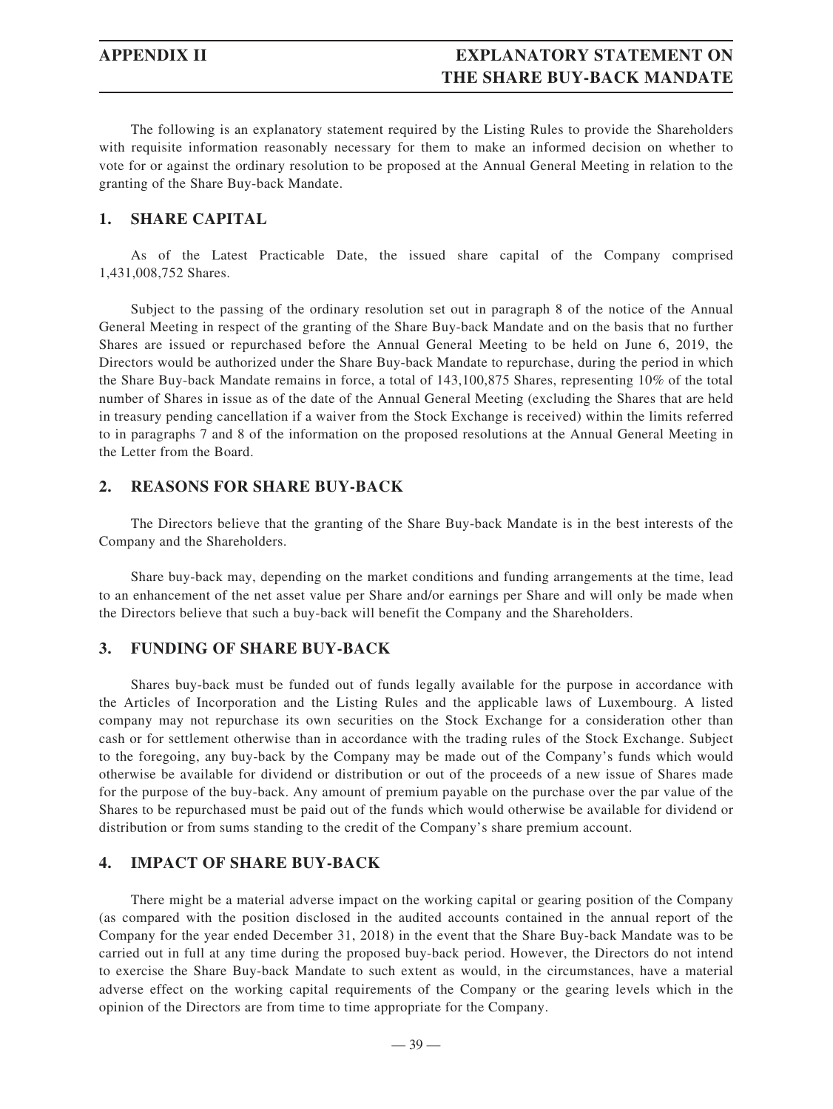# **APPENDIX II EXPLANATORY STATEMENT ON THE SHARE BUY-BACK MANDATE**

The following is an explanatory statement required by the Listing Rules to provide the Shareholders with requisite information reasonably necessary for them to make an informed decision on whether to vote for or against the ordinary resolution to be proposed at the Annual General Meeting in relation to the granting of the Share Buy-back Mandate.

# **1. SHARE CAPITAL**

As of the Latest Practicable Date, the issued share capital of the Company comprised 1,431,008,752 Shares.

Subject to the passing of the ordinary resolution set out in paragraph 8 of the notice of the Annual General Meeting in respect of the granting of the Share Buy-back Mandate and on the basis that no further Shares are issued or repurchased before the Annual General Meeting to be held on June 6, 2019, the Directors would be authorized under the Share Buy-back Mandate to repurchase, during the period in which the Share Buy-back Mandate remains in force, a total of 143,100,875 Shares, representing 10% of the total number of Shares in issue as of the date of the Annual General Meeting (excluding the Shares that are held in treasury pending cancellation if a waiver from the Stock Exchange is received) within the limits referred to in paragraphs 7 and 8 of the information on the proposed resolutions at the Annual General Meeting in the Letter from the Board.

# **2. REASONS FOR SHARE BUY-BACK**

The Directors believe that the granting of the Share Buy-back Mandate is in the best interests of the Company and the Shareholders.

Share buy-back may, depending on the market conditions and funding arrangements at the time, lead to an enhancement of the net asset value per Share and/or earnings per Share and will only be made when the Directors believe that such a buy-back will benefit the Company and the Shareholders.

# **3. FUNDING OF SHARE BUY-BACK**

Shares buy-back must be funded out of funds legally available for the purpose in accordance with the Articles of Incorporation and the Listing Rules and the applicable laws of Luxembourg. A listed company may not repurchase its own securities on the Stock Exchange for a consideration other than cash or for settlement otherwise than in accordance with the trading rules of the Stock Exchange. Subject to the foregoing, any buy-back by the Company may be made out of the Company's funds which would otherwise be available for dividend or distribution or out of the proceeds of a new issue of Shares made for the purpose of the buy-back. Any amount of premium payable on the purchase over the par value of the Shares to be repurchased must be paid out of the funds which would otherwise be available for dividend or distribution or from sums standing to the credit of the Company's share premium account.

# **4. IMPACT OF SHARE BUY-BACK**

There might be a material adverse impact on the working capital or gearing position of the Company (as compared with the position disclosed in the audited accounts contained in the annual report of the Company for the year ended December 31, 2018) in the event that the Share Buy-back Mandate was to be carried out in full at any time during the proposed buy-back period. However, the Directors do not intend to exercise the Share Buy-back Mandate to such extent as would, in the circumstances, have a material adverse effect on the working capital requirements of the Company or the gearing levels which in the opinion of the Directors are from time to time appropriate for the Company.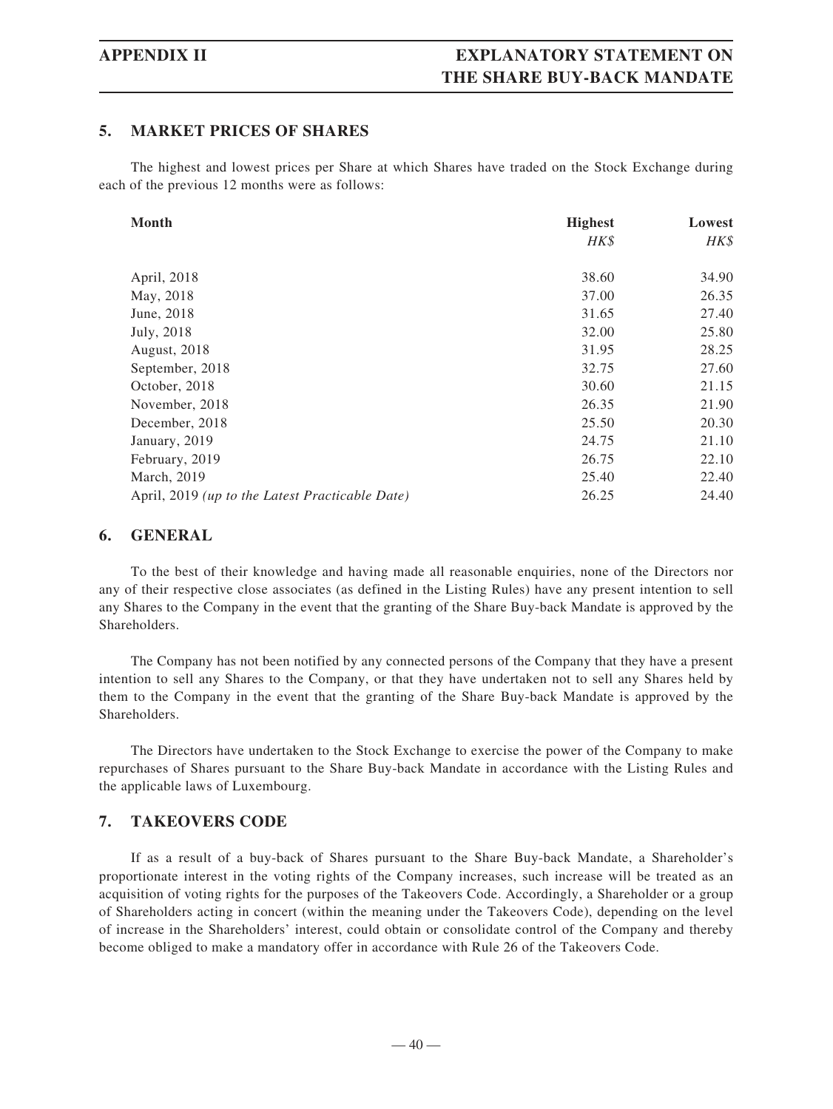# **APPENDIX II EXPLANATORY STATEMENT ON THE SHARE BUY-BACK MANDATE**

# **5. MARKET PRICES OF SHARES**

The highest and lowest prices per Share at which Shares have traded on the Stock Exchange during each of the previous 12 months were as follows:

| <b>Month</b>                                    | <b>Highest</b> | Lowest |
|-------------------------------------------------|----------------|--------|
|                                                 | HK\$           | HK\$   |
|                                                 |                |        |
| April, 2018                                     | 38.60          | 34.90  |
| May, 2018                                       | 37.00          | 26.35  |
| June, 2018                                      | 31.65          | 27.40  |
| July, 2018                                      | 32.00          | 25.80  |
| August, 2018                                    | 31.95          | 28.25  |
| September, 2018                                 | 32.75          | 27.60  |
| October, 2018                                   | 30.60          | 21.15  |
| November, 2018                                  | 26.35          | 21.90  |
| December, 2018                                  | 25.50          | 20.30  |
| January, 2019                                   | 24.75          | 21.10  |
| February, 2019                                  | 26.75          | 22.10  |
| March, 2019                                     | 25.40          | 22.40  |
| April, 2019 (up to the Latest Practicable Date) | 26.25          | 24.40  |

# **6. GENERAL**

To the best of their knowledge and having made all reasonable enquiries, none of the Directors nor any of their respective close associates (as defined in the Listing Rules) have any present intention to sell any Shares to the Company in the event that the granting of the Share Buy-back Mandate is approved by the Shareholders.

The Company has not been notified by any connected persons of the Company that they have a present intention to sell any Shares to the Company, or that they have undertaken not to sell any Shares held by them to the Company in the event that the granting of the Share Buy-back Mandate is approved by the Shareholders.

The Directors have undertaken to the Stock Exchange to exercise the power of the Company to make repurchases of Shares pursuant to the Share Buy-back Mandate in accordance with the Listing Rules and the applicable laws of Luxembourg.

# **7. TAKEOVERS CODE**

If as a result of a buy-back of Shares pursuant to the Share Buy-back Mandate, a Shareholder's proportionate interest in the voting rights of the Company increases, such increase will be treated as an acquisition of voting rights for the purposes of the Takeovers Code. Accordingly, a Shareholder or a group of Shareholders acting in concert (within the meaning under the Takeovers Code), depending on the level of increase in the Shareholders' interest, could obtain or consolidate control of the Company and thereby become obliged to make a mandatory offer in accordance with Rule 26 of the Takeovers Code.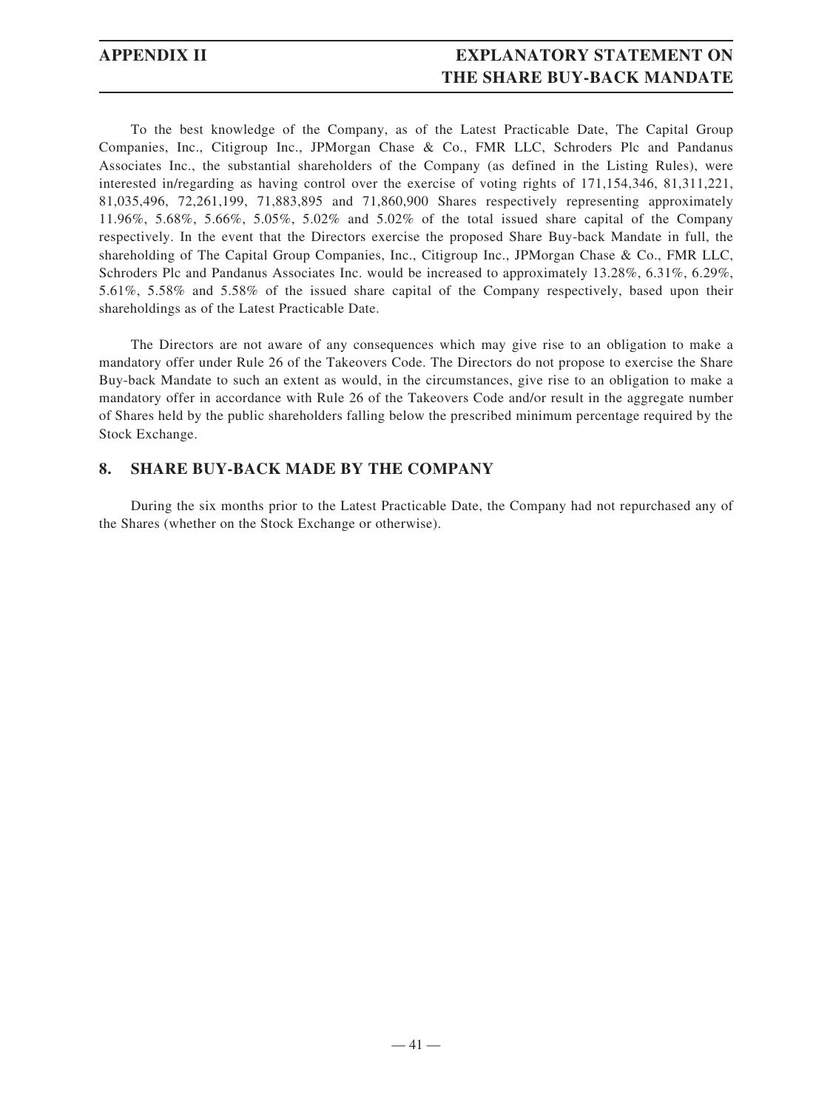# **APPENDIX II EXPLANATORY STATEMENT ON THE SHARE BUY-BACK MANDATE**

To the best knowledge of the Company, as of the Latest Practicable Date, The Capital Group Companies, Inc., Citigroup Inc., JPMorgan Chase & Co., FMR LLC, Schroders Plc and Pandanus Associates Inc., the substantial shareholders of the Company (as defined in the Listing Rules), were interested in/regarding as having control over the exercise of voting rights of 171,154,346, 81,311,221, 81,035,496, 72,261,199, 71,883,895 and 71,860,900 Shares respectively representing approximately 11.96%, 5.68%, 5.66%, 5.05%, 5.02% and 5.02% of the total issued share capital of the Company respectively. In the event that the Directors exercise the proposed Share Buy-back Mandate in full, the shareholding of The Capital Group Companies, Inc., Citigroup Inc., JPMorgan Chase & Co., FMR LLC, Schroders Plc and Pandanus Associates Inc. would be increased to approximately 13.28%, 6.31%, 6.29%, 5.61%, 5.58% and 5.58% of the issued share capital of the Company respectively, based upon their shareholdings as of the Latest Practicable Date.

The Directors are not aware of any consequences which may give rise to an obligation to make a mandatory offer under Rule 26 of the Takeovers Code. The Directors do not propose to exercise the Share Buy-back Mandate to such an extent as would, in the circumstances, give rise to an obligation to make a mandatory offer in accordance with Rule 26 of the Takeovers Code and/or result in the aggregate number of Shares held by the public shareholders falling below the prescribed minimum percentage required by the Stock Exchange.

# **8. SHARE BUY-BACK MADE BY THE COMPANY**

During the six months prior to the Latest Practicable Date, the Company had not repurchased any of the Shares (whether on the Stock Exchange or otherwise).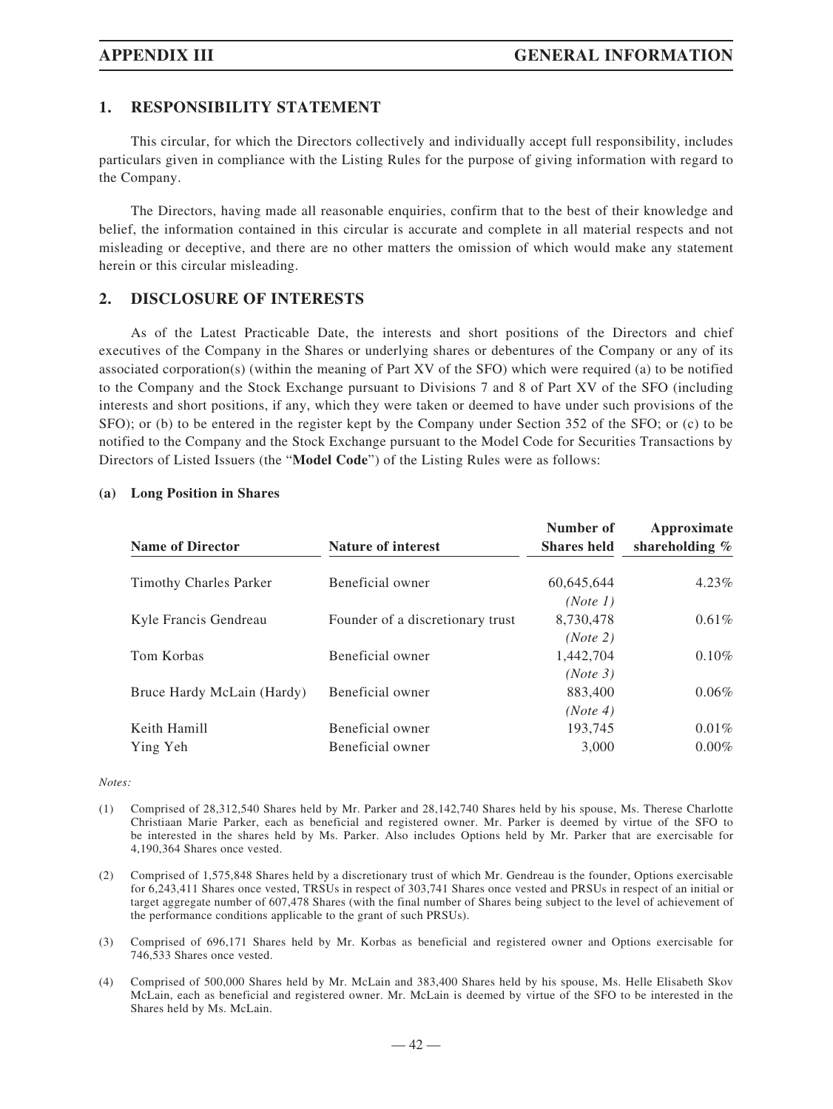# **1. RESPONSIBILITY STATEMENT**

This circular, for which the Directors collectively and individually accept full responsibility, includes particulars given in compliance with the Listing Rules for the purpose of giving information with regard to the Company.

The Directors, having made all reasonable enquiries, confirm that to the best of their knowledge and belief, the information contained in this circular is accurate and complete in all material respects and not misleading or deceptive, and there are no other matters the omission of which would make any statement herein or this circular misleading.

# **2. DISCLOSURE OF INTERESTS**

As of the Latest Practicable Date, the interests and short positions of the Directors and chief executives of the Company in the Shares or underlying shares or debentures of the Company or any of its associated corporation(s) (within the meaning of Part XV of the SFO) which were required (a) to be notified to the Company and the Stock Exchange pursuant to Divisions 7 and 8 of Part XV of the SFO (including interests and short positions, if any, which they were taken or deemed to have under such provisions of the SFO); or (b) to be entered in the register kept by the Company under Section 352 of the SFO; or (c) to be notified to the Company and the Stock Exchange pursuant to the Model Code for Securities Transactions by Directors of Listed Issuers (the "**Model Code**") of the Listing Rules were as follows:

| <b>Name of Director</b>       | <b>Nature of interest</b>        | Number of<br><b>Shares held</b> | Approximate<br>shareholding $%$ |
|-------------------------------|----------------------------------|---------------------------------|---------------------------------|
| <b>Timothy Charles Parker</b> | Beneficial owner                 | 60,645,644                      | $4.23\%$                        |
|                               |                                  | (Note 1)                        |                                 |
| Kyle Francis Gendreau         | Founder of a discretionary trust | 8,730,478                       | $0.61\%$                        |
|                               |                                  | (Note 2)                        |                                 |
| Tom Korbas                    | Beneficial owner                 | 1,442,704                       | $0.10\%$                        |
|                               |                                  | (Note 3)                        |                                 |
| Bruce Hardy McLain (Hardy)    | Beneficial owner                 | 883,400                         | $0.06\%$                        |
|                               |                                  | (Note 4)                        |                                 |
| Keith Hamill                  | Beneficial owner                 | 193.745                         | $0.01\%$                        |
| Ying Yeh                      | Beneficial owner                 | 3,000                           | $0.00\%$                        |

#### **(a) Long Position in Shares**

#### *Notes:*

- (1) Comprised of 28,312,540 Shares held by Mr. Parker and 28,142,740 Shares held by his spouse, Ms. Therese Charlotte Christiaan Marie Parker, each as beneficial and registered owner. Mr. Parker is deemed by virtue of the SFO to be interested in the shares held by Ms. Parker. Also includes Options held by Mr. Parker that are exercisable for 4,190,364 Shares once vested.
- (2) Comprised of 1,575,848 Shares held by a discretionary trust of which Mr. Gendreau is the founder, Options exercisable for 6,243,411 Shares once vested, TRSUs in respect of 303,741 Shares once vested and PRSUs in respect of an initial or target aggregate number of 607,478 Shares (with the final number of Shares being subject to the level of achievement of the performance conditions applicable to the grant of such PRSUs).
- (3) Comprised of 696,171 Shares held by Mr. Korbas as beneficial and registered owner and Options exercisable for 746,533 Shares once vested.
- (4) Comprised of 500,000 Shares held by Mr. McLain and 383,400 Shares held by his spouse, Ms. Helle Elisabeth Skov McLain, each as beneficial and registered owner. Mr. McLain is deemed by virtue of the SFO to be interested in the Shares held by Ms. McLain.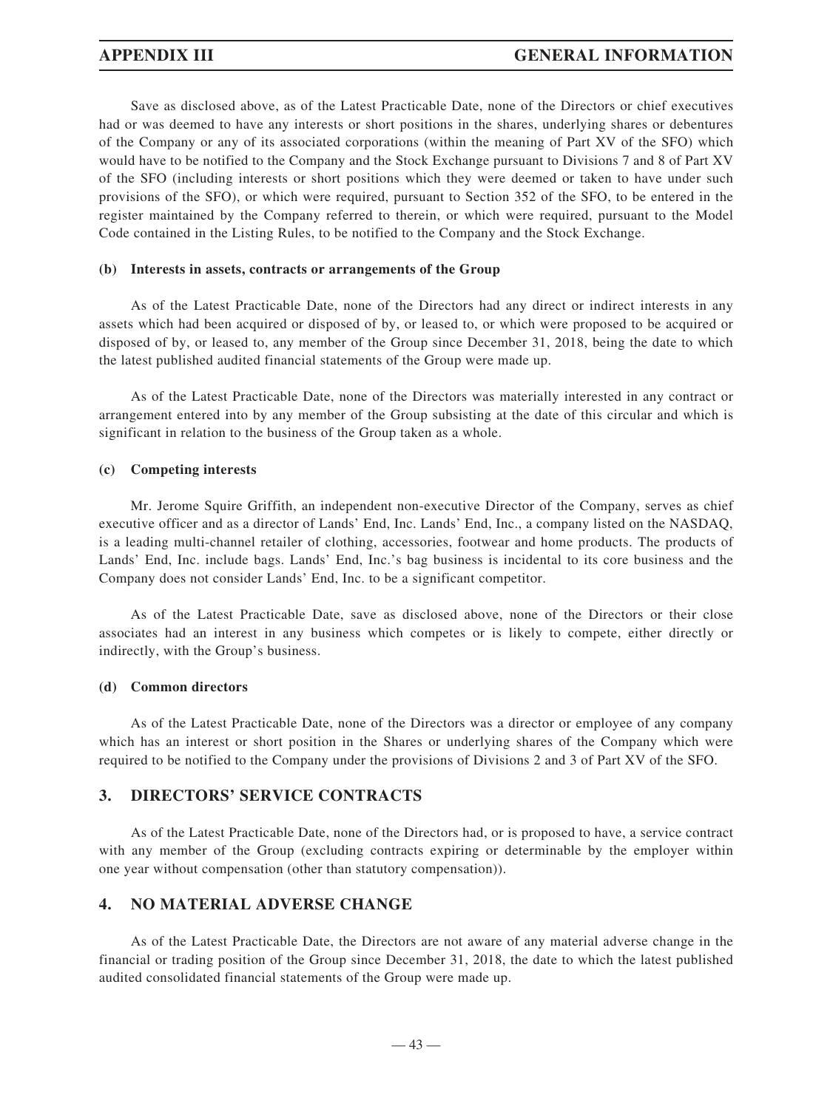Save as disclosed above, as of the Latest Practicable Date, none of the Directors or chief executives had or was deemed to have any interests or short positions in the shares, underlying shares or debentures of the Company or any of its associated corporations (within the meaning of Part XV of the SFO) which would have to be notified to the Company and the Stock Exchange pursuant to Divisions 7 and 8 of Part XV of the SFO (including interests or short positions which they were deemed or taken to have under such provisions of the SFO), or which were required, pursuant to Section 352 of the SFO, to be entered in the register maintained by the Company referred to therein, or which were required, pursuant to the Model Code contained in the Listing Rules, to be notified to the Company and the Stock Exchange.

#### **(b) Interests in assets, contracts or arrangements of the Group**

As of the Latest Practicable Date, none of the Directors had any direct or indirect interests in any assets which had been acquired or disposed of by, or leased to, or which were proposed to be acquired or disposed of by, or leased to, any member of the Group since December 31, 2018, being the date to which the latest published audited financial statements of the Group were made up.

As of the Latest Practicable Date, none of the Directors was materially interested in any contract or arrangement entered into by any member of the Group subsisting at the date of this circular and which is significant in relation to the business of the Group taken as a whole.

#### **(c) Competing interests**

Mr. Jerome Squire Griffith, an independent non-executive Director of the Company, serves as chief executive officer and as a director of Lands' End, Inc. Lands' End, Inc., a company listed on the NASDAQ, is a leading multi-channel retailer of clothing, accessories, footwear and home products. The products of Lands' End, Inc. include bags. Lands' End, Inc.'s bag business is incidental to its core business and the Company does not consider Lands' End, Inc. to be a significant competitor.

As of the Latest Practicable Date, save as disclosed above, none of the Directors or their close associates had an interest in any business which competes or is likely to compete, either directly or indirectly, with the Group's business.

#### **(d) Common directors**

As of the Latest Practicable Date, none of the Directors was a director or employee of any company which has an interest or short position in the Shares or underlying shares of the Company which were required to be notified to the Company under the provisions of Divisions 2 and 3 of Part XV of the SFO.

# **3. DIRECTORS' SERVICE CONTRACTS**

As of the Latest Practicable Date, none of the Directors had, or is proposed to have, a service contract with any member of the Group (excluding contracts expiring or determinable by the employer within one year without compensation (other than statutory compensation)).

# **4. NO MATERIAL ADVERSE CHANGE**

As of the Latest Practicable Date, the Directors are not aware of any material adverse change in the financial or trading position of the Group since December 31, 2018, the date to which the latest published audited consolidated financial statements of the Group were made up.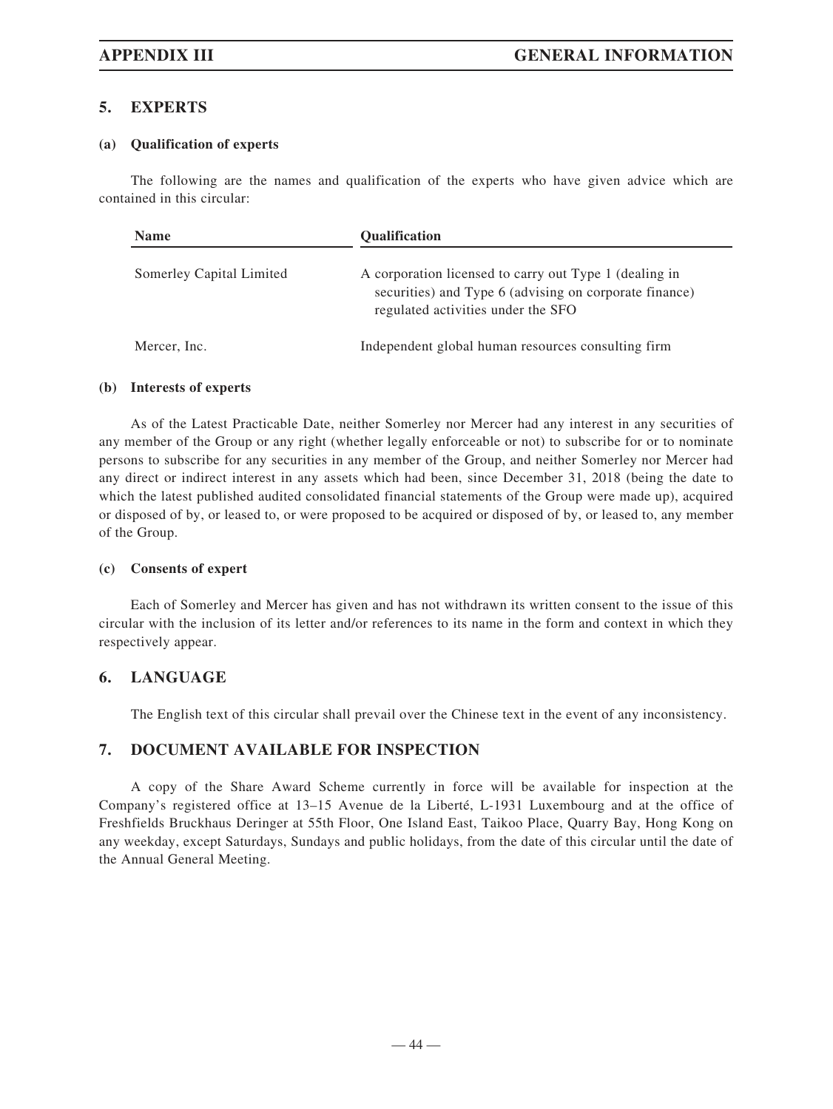# **5. EXPERTS**

#### **(a) Qualification of experts**

The following are the names and qualification of the experts who have given advice which are contained in this circular:

| <b>Name</b>              | <b>Oualification</b>                                                                                                                                   |
|--------------------------|--------------------------------------------------------------------------------------------------------------------------------------------------------|
| Somerley Capital Limited | A corporation licensed to carry out Type 1 (dealing in<br>securities) and Type 6 (advising on corporate finance)<br>regulated activities under the SFO |
| Mercer, Inc.             | Independent global human resources consulting firm                                                                                                     |

#### **(b) Interests of experts**

As of the Latest Practicable Date, neither Somerley nor Mercer had any interest in any securities of any member of the Group or any right (whether legally enforceable or not) to subscribe for or to nominate persons to subscribe for any securities in any member of the Group, and neither Somerley nor Mercer had any direct or indirect interest in any assets which had been, since December 31, 2018 (being the date to which the latest published audited consolidated financial statements of the Group were made up), acquired or disposed of by, or leased to, or were proposed to be acquired or disposed of by, or leased to, any member of the Group.

### **(c) Consents of expert**

Each of Somerley and Mercer has given and has not withdrawn its written consent to the issue of this circular with the inclusion of its letter and/or references to its name in the form and context in which they respectively appear.

# **6. LANGUAGE**

The English text of this circular shall prevail over the Chinese text in the event of any inconsistency.

# **7. DOCUMENT AVAILABLE FOR INSPECTION**

A copy of the Share Award Scheme currently in force will be available for inspection at the Company's registered office at 13–15 Avenue de la Liberté, L-1931 Luxembourg and at the office of Freshfields Bruckhaus Deringer at 55th Floor, One Island East, Taikoo Place, Quarry Bay, Hong Kong on any weekday, except Saturdays, Sundays and public holidays, from the date of this circular until the date of the Annual General Meeting.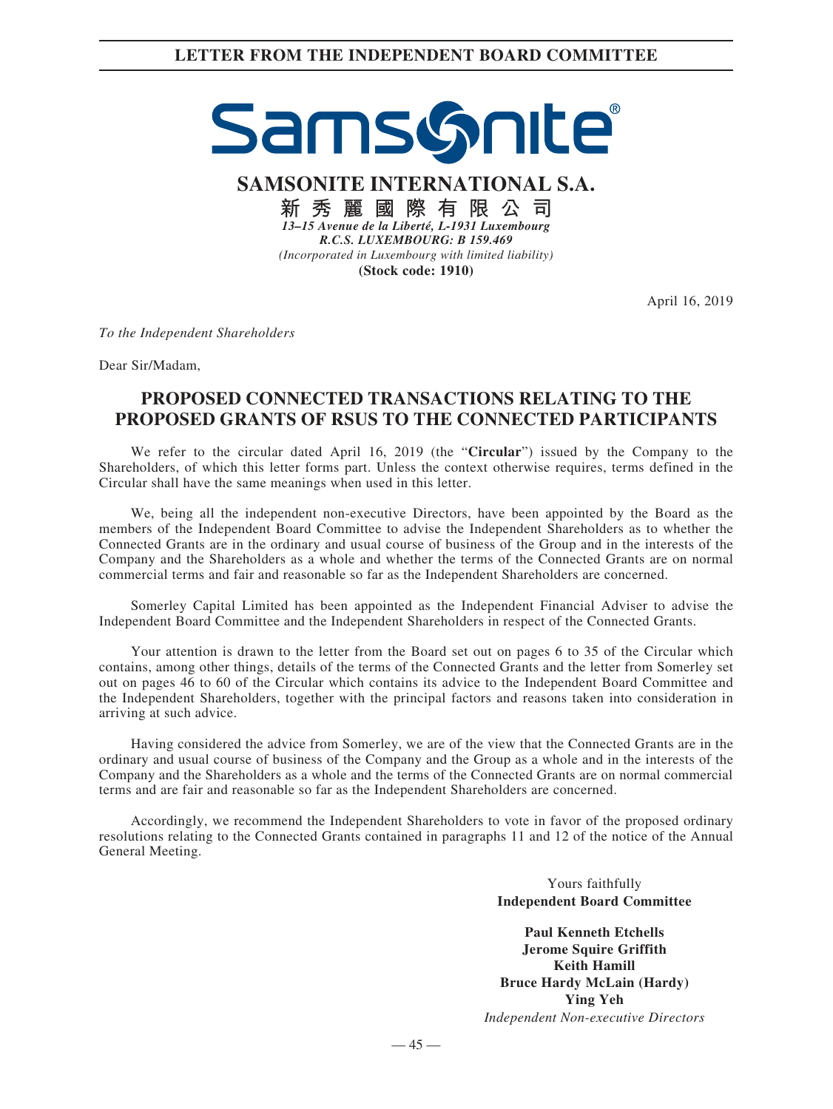# SamsGnite

**SAMSONITE INTERNATIONAL S.A.**

**新秀麗國際有限公司** *13–15 Avenue de la Liberté, L-1931 Luxembourg R.C.S. LUXEMBOURG: B 159.469 (Incorporated in Luxembourg with limited liability)* **(Stock code: 1910)**

April 16, 2019

*To the Independent Shareholders*

Dear Sir/Madam,

# **PROPOSED CONNECTED TRANSACTIONS RELATING TO THE PROPOSED GRANTS OF RSUS TO THE CONNECTED PARTICIPANTS**

We refer to the circular dated April 16, 2019 (the "**Circular**") issued by the Company to the Shareholders, of which this letter forms part. Unless the context otherwise requires, terms defined in the Circular shall have the same meanings when used in this letter.

We, being all the independent non-executive Directors, have been appointed by the Board as the members of the Independent Board Committee to advise the Independent Shareholders as to whether the Connected Grants are in the ordinary and usual course of business of the Group and in the interests of the Company and the Shareholders as a whole and whether the terms of the Connected Grants are on normal commercial terms and fair and reasonable so far as the Independent Shareholders are concerned.

Somerley Capital Limited has been appointed as the Independent Financial Adviser to advise the Independent Board Committee and the Independent Shareholders in respect of the Connected Grants.

Your attention is drawn to the letter from the Board set out on pages 6 to 35 of the Circular which contains, among other things, details of the terms of the Connected Grants and the letter from Somerley set out on pages 46 to 60 of the Circular which contains its advice to the Independent Board Committee and the Independent Shareholders, together with the principal factors and reasons taken into consideration in arriving at such advice.

Having considered the advice from Somerley, we are of the view that the Connected Grants are in the ordinary and usual course of business of the Company and the Group as a whole and in the interests of the Company and the Shareholders as a whole and the terms of the Connected Grants are on normal commercial terms and are fair and reasonable so far as the Independent Shareholders are concerned.

Accordingly, we recommend the Independent Shareholders to vote in favor of the proposed ordinary resolutions relating to the Connected Grants contained in paragraphs 11 and 12 of the notice of the Annual General Meeting.

> Yours faithfully **Independent Board Committee**

**Paul Kenneth Etchells Jerome Squire Griffith Keith Hamill Bruce Hardy McLain (Hardy) Ying Yeh** *Independent Non-executive Directors*

 $-45-$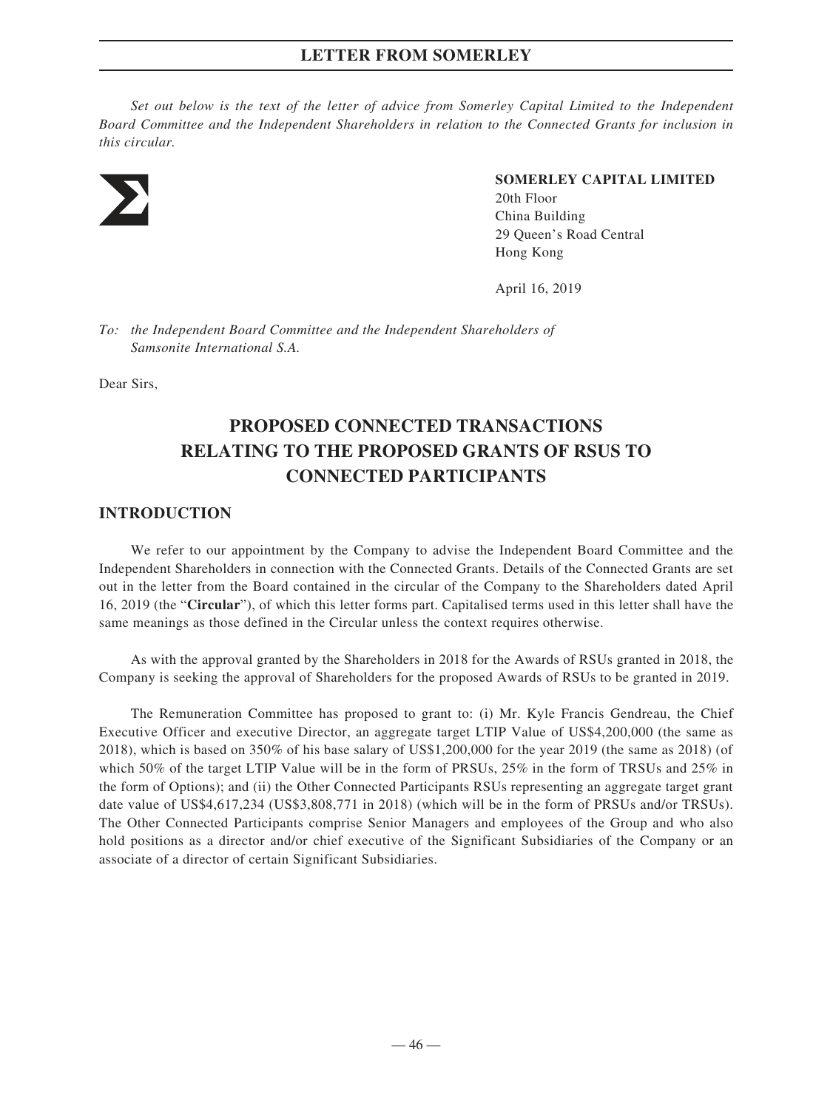*Set out below is the text of the letter of advice from Somerley Capital Limited to the Independent Board Committee and the Independent Shareholders in relation to the Connected Grants for inclusion in this circular.*



# **SOMERLEY CAPITAL LIMITED**

20th Floor China Building 29 Queen's Road Central Hong Kong

April 16, 2019

*To: the Independent Board Committee and the Independent Shareholders of Samsonite International S.A.*

Dear Sirs,

# **PROPOSED CONNECTED TRANSACTIONS RELATING TO THE PROPOSED GRANTS OF RSUS TO CONNECTED PARTICIPANTS**

# **INTRODUCTION**

We refer to our appointment by the Company to advise the Independent Board Committee and the Independent Shareholders in connection with the Connected Grants. Details of the Connected Grants are set out in the letter from the Board contained in the circular of the Company to the Shareholders dated April 16, 2019 (the "**Circular**"), of which this letter forms part. Capitalised terms used in this letter shall have the same meanings as those defined in the Circular unless the context requires otherwise.

As with the approval granted by the Shareholders in 2018 for the Awards of RSUs granted in 2018, the Company is seeking the approval of Shareholders for the proposed Awards of RSUs to be granted in 2019.

The Remuneration Committee has proposed to grant to: (i) Mr. Kyle Francis Gendreau, the Chief Executive Officer and executive Director, an aggregate target LTIP Value of US\$4,200,000 (the same as 2018), which is based on 350% of his base salary of US\$1,200,000 for the year 2019 (the same as 2018) (of which 50% of the target LTIP Value will be in the form of PRSUs, 25% in the form of TRSUs and 25% in the form of Options); and (ii) the Other Connected Participants RSUs representing an aggregate target grant date value of US\$4,617,234 (US\$3,808,771 in 2018) (which will be in the form of PRSUs and/or TRSUs). The Other Connected Participants comprise Senior Managers and employees of the Group and who also hold positions as a director and/or chief executive of the Significant Subsidiaries of the Company or an associate of a director of certain Significant Subsidiaries.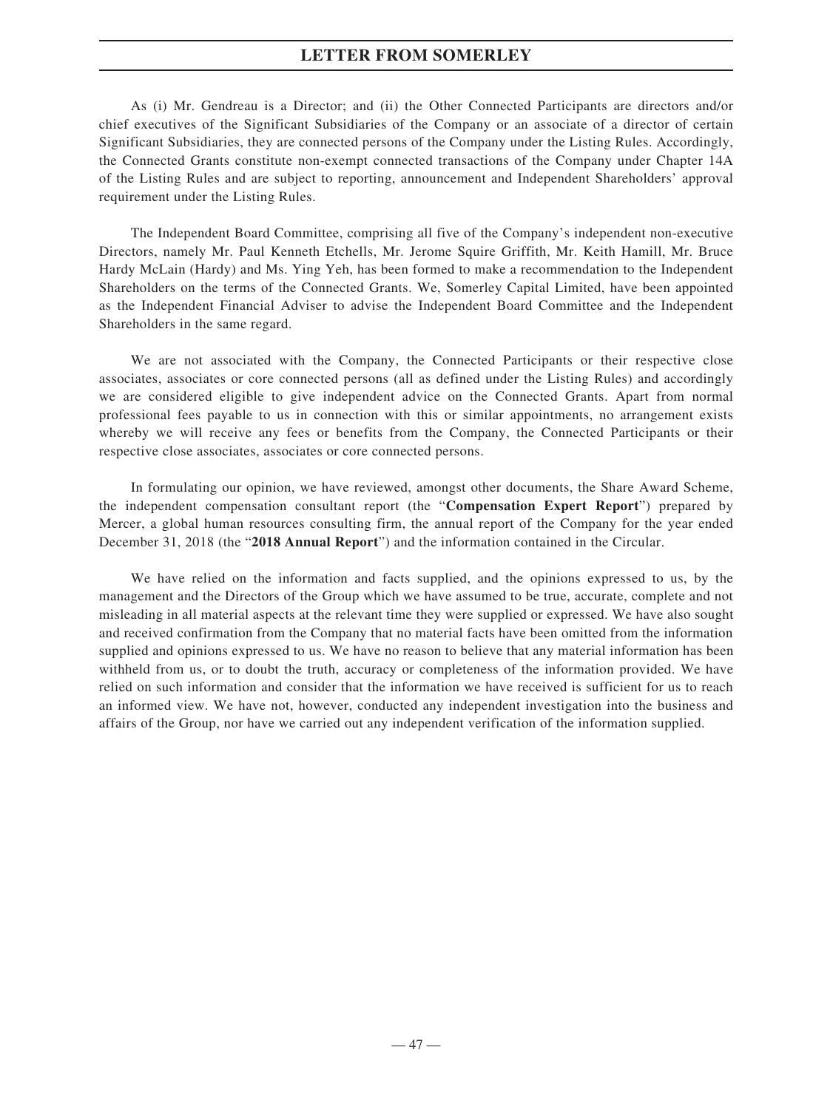As (i) Mr. Gendreau is a Director; and (ii) the Other Connected Participants are directors and/or chief executives of the Significant Subsidiaries of the Company or an associate of a director of certain Significant Subsidiaries, they are connected persons of the Company under the Listing Rules. Accordingly, the Connected Grants constitute non-exempt connected transactions of the Company under Chapter 14A of the Listing Rules and are subject to reporting, announcement and Independent Shareholders' approval requirement under the Listing Rules.

The Independent Board Committee, comprising all five of the Company's independent non-executive Directors, namely Mr. Paul Kenneth Etchells, Mr. Jerome Squire Griffith, Mr. Keith Hamill, Mr. Bruce Hardy McLain (Hardy) and Ms. Ying Yeh, has been formed to make a recommendation to the Independent Shareholders on the terms of the Connected Grants. We, Somerley Capital Limited, have been appointed as the Independent Financial Adviser to advise the Independent Board Committee and the Independent Shareholders in the same regard.

We are not associated with the Company, the Connected Participants or their respective close associates, associates or core connected persons (all as defined under the Listing Rules) and accordingly we are considered eligible to give independent advice on the Connected Grants. Apart from normal professional fees payable to us in connection with this or similar appointments, no arrangement exists whereby we will receive any fees or benefits from the Company, the Connected Participants or their respective close associates, associates or core connected persons.

In formulating our opinion, we have reviewed, amongst other documents, the Share Award Scheme, the independent compensation consultant report (the "**Compensation Expert Report**") prepared by Mercer, a global human resources consulting firm, the annual report of the Company for the year ended December 31, 2018 (the "**2018 Annual Report**") and the information contained in the Circular.

We have relied on the information and facts supplied, and the opinions expressed to us, by the management and the Directors of the Group which we have assumed to be true, accurate, complete and not misleading in all material aspects at the relevant time they were supplied or expressed. We have also sought and received confirmation from the Company that no material facts have been omitted from the information supplied and opinions expressed to us. We have no reason to believe that any material information has been withheld from us, or to doubt the truth, accuracy or completeness of the information provided. We have relied on such information and consider that the information we have received is sufficient for us to reach an informed view. We have not, however, conducted any independent investigation into the business and affairs of the Group, nor have we carried out any independent verification of the information supplied.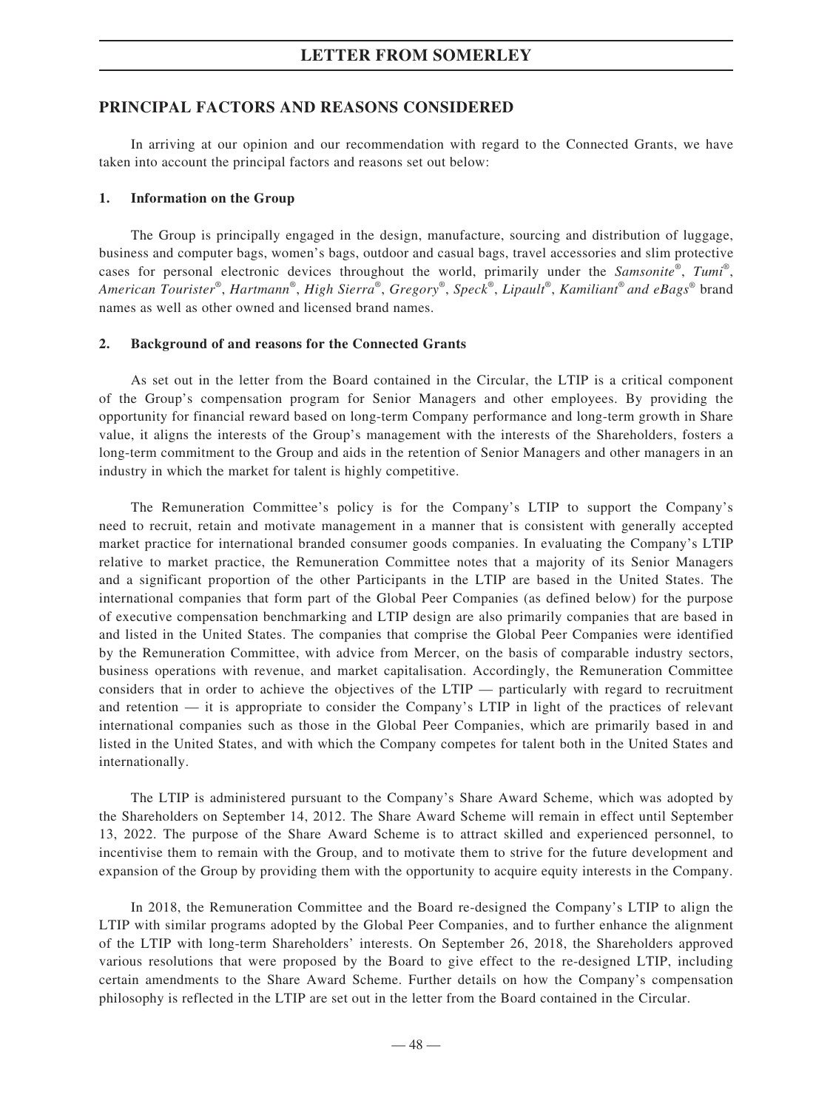# **PRINCIPAL FACTORS AND REASONS CONSIDERED**

In arriving at our opinion and our recommendation with regard to the Connected Grants, we have taken into account the principal factors and reasons set out below:

#### **1. Information on the Group**

The Group is principally engaged in the design, manufacture, sourcing and distribution of luggage, business and computer bags, women's bags, outdoor and casual bags, travel accessories and slim protective cases for personal electronic devices throughout the world, primarily under the *Samsonite®* , *Tumi*® , *American Tourister®* , *Hartmann®* , *High Sierra®* , *Gregory®* , *Speck®* , *Lipault®* , *Kamiliant® and eBags*® brand names as well as other owned and licensed brand names.

#### **2. Background of and reasons for the Connected Grants**

As set out in the letter from the Board contained in the Circular, the LTIP is a critical component of the Group's compensation program for Senior Managers and other employees. By providing the opportunity for financial reward based on long-term Company performance and long-term growth in Share value, it aligns the interests of the Group's management with the interests of the Shareholders, fosters a long-term commitment to the Group and aids in the retention of Senior Managers and other managers in an industry in which the market for talent is highly competitive.

The Remuneration Committee's policy is for the Company's LTIP to support the Company's need to recruit, retain and motivate management in a manner that is consistent with generally accepted market practice for international branded consumer goods companies. In evaluating the Company's LTIP relative to market practice, the Remuneration Committee notes that a majority of its Senior Managers and a significant proportion of the other Participants in the LTIP are based in the United States. The international companies that form part of the Global Peer Companies (as defined below) for the purpose of executive compensation benchmarking and LTIP design are also primarily companies that are based in and listed in the United States. The companies that comprise the Global Peer Companies were identified by the Remuneration Committee, with advice from Mercer, on the basis of comparable industry sectors, business operations with revenue, and market capitalisation. Accordingly, the Remuneration Committee considers that in order to achieve the objectives of the LTIP — particularly with regard to recruitment and retention — it is appropriate to consider the Company's LTIP in light of the practices of relevant international companies such as those in the Global Peer Companies, which are primarily based in and listed in the United States, and with which the Company competes for talent both in the United States and internationally.

The LTIP is administered pursuant to the Company's Share Award Scheme, which was adopted by the Shareholders on September 14, 2012. The Share Award Scheme will remain in effect until September 13, 2022. The purpose of the Share Award Scheme is to attract skilled and experienced personnel, to incentivise them to remain with the Group, and to motivate them to strive for the future development and expansion of the Group by providing them with the opportunity to acquire equity interests in the Company.

In 2018, the Remuneration Committee and the Board re-designed the Company's LTIP to align the LTIP with similar programs adopted by the Global Peer Companies, and to further enhance the alignment of the LTIP with long-term Shareholders' interests. On September 26, 2018, the Shareholders approved various resolutions that were proposed by the Board to give effect to the re-designed LTIP, including certain amendments to the Share Award Scheme. Further details on how the Company's compensation philosophy is reflected in the LTIP are set out in the letter from the Board contained in the Circular.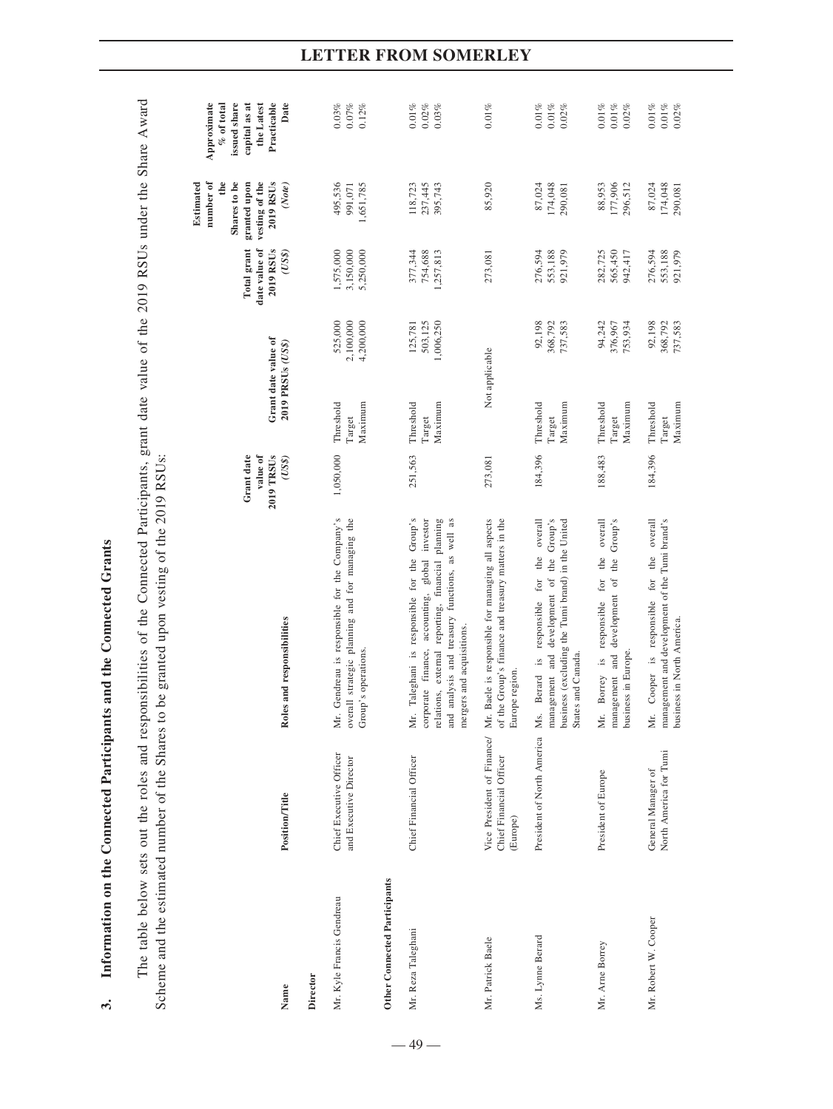| Scheme and the estimated number of the Shares to |                                                   | The table below sets out the roles and responsibilities of the Connected Participants, grant date value of the 2019 RSUs under the Share Award<br>be granted upon vesting of the 2019 RSUs:                                                  |                                               |                                          |                                   |                                                    |                                                                                                        |                                                                                                   |
|--------------------------------------------------|---------------------------------------------------|----------------------------------------------------------------------------------------------------------------------------------------------------------------------------------------------------------------------------------------------|-----------------------------------------------|------------------------------------------|-----------------------------------|----------------------------------------------------|--------------------------------------------------------------------------------------------------------|---------------------------------------------------------------------------------------------------|
| Name                                             | <b>Position/Title</b>                             | Roles and responsibilities                                                                                                                                                                                                                   | Grant date<br>value of<br>2019 TRSUs<br>(USS) | Grant date value of<br>2019 PRSUs (US\$) |                                   | 2019 RSUs<br>Total grant<br>date value of<br>(USS) | number of<br>the<br>Shares to be<br>granted upon<br>vesting of the<br>2019 RSUs<br>Estimated<br>(Note) | issued share<br>Practicable<br>Date<br>Approximate<br>capital as at<br>the Latest<br>$%$ of total |
| Director                                         |                                                   |                                                                                                                                                                                                                                              |                                               |                                          |                                   |                                                    |                                                                                                        |                                                                                                   |
| Mr. Kyle Francis Gendreau                        | Chief Executive Officer<br>and Executive Director | Gendreau is responsible for the Company's<br>overall strategic planning and for managing the<br>Group's operations.<br>Мr.                                                                                                                   | 1,050,000                                     | Threshold<br>Maximum<br>Target           | 525,000<br>2,100,000<br>4,200,000 | 1,575,000<br>3,150,000<br>5,250,000                | 495,536<br>1,651,785<br>991,071                                                                        | 0.03%<br>$0.07\%$<br>$0.12\%$                                                                     |
| Other Connected Participants                     |                                                   |                                                                                                                                                                                                                                              |                                               |                                          |                                   |                                                    |                                                                                                        |                                                                                                   |
| Mr. Reza Taleghani                               | Chief Financial Officer                           | Taleghani is responsible for the Group's<br>accounting, global investor<br>relations, external reporting, financial planning<br>analysis and treasury functions, as well as<br>mergers and acquisitions.<br>corporate finance,<br>Мr.<br>and | 251,563                                       | Maximum<br>Threshold<br>Target           | 503,125<br>1,006,250<br>125,781   | 377,344<br>754,688<br>1,257,813                    | 118,723<br>237,445<br>395,743                                                                          | $0.01\%$<br>$0.02\%$<br>$0.03\,\%$                                                                |
| Mr. Patrick Baele                                | Chief Financial Officer<br>(Europe)               | Vice President of Finance/ Mr. Baele is responsible for managing all aspects<br>of the Group's finance and treasury matters in the<br>Europe region.                                                                                         | 273,081                                       | Not applicable                           |                                   | 273,081                                            | 85,920                                                                                                 | 0.01%                                                                                             |
| Ms. Lynne Berard                                 | President of North America                        | development of the Group's<br>overall<br>business (excluding the Tumi brand) in the United<br>responsible for the<br>management and<br>States and Canada<br>$\ddot{a}$<br>Berard<br>Ms.                                                      | 184,396                                       | Threshold<br>Maximum<br>Target           | 92,198<br>368,792<br>737,583      | 276,594<br>553,188<br>921,979                      | 87,024<br>174,048<br>290,081                                                                           | $0.01\,\%$<br>$0.01\%$<br>$0.02\%$                                                                |
| Mr. Ame Borrey                                   | President of Europe                               | overall<br>Group's<br>the<br>the<br>for<br>management and development of<br>responsible<br>business in Europe.<br>Borrey is<br>Мr.                                                                                                           | 188,483                                       | Threshold<br>Maximum<br>Target           | 94,242<br>376,967<br>753,934      | 282,725<br>565,450<br>942,417                      | 88,953<br>177,906<br>296,512                                                                           | $0.01\%$<br>$0.01\%$<br>$0.02\%$                                                                  |
| Mr. Robert W. Cooper                             | North America for Tumi<br>General Manager of      | management and development of the Tumi brand's<br>Cooper is responsible for the overall<br>business in North America.<br>Мr.                                                                                                                 | 184,396                                       | Threshold<br>Maximum<br>Target           | 92,198<br>368,792<br>737,583      | 276,594<br>553,188<br>921,979                      | 87,024<br>174,048<br>290,081                                                                           | $0.01\%$<br>$0.02\%$<br>$0.01\%$                                                                  |

Information on the Connected Participants and the Connected Grants **3. Information on the Connected Participants and the Connected Grants**

 $\ddot{3}$ 

# **LETTER FROM SOMERLEY**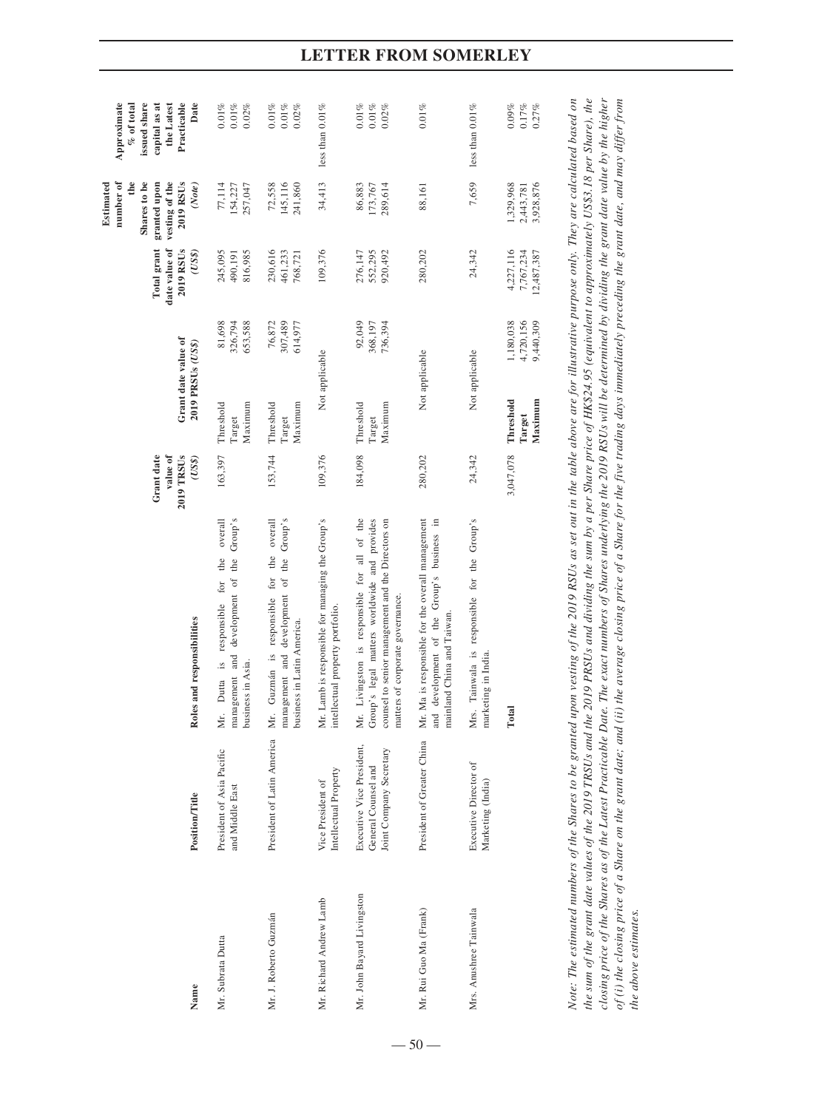| Name                                                      | <b>Position/Title</b>                                                       | Roles and responsibilities                                                                                                                                                                                                                                                                                                                                                                                                                                                                                 | Grant date<br>value of<br>2019 TRSUs<br>(USS) | Grant date value of<br>2019 PRSUs (US\$) |                                     | Total grant<br>date value of<br>2019 RSUs<br>(USS) | number of<br>de<br>Shares to be<br>vesting of the<br>2019 RSU <sub>s</sub><br>Estimated<br>granted upon<br>(Note) | issued share<br>Approximate<br>capital as at<br>the Latest<br>Practicable<br>Date<br>$%$ of total |
|-----------------------------------------------------------|-----------------------------------------------------------------------------|------------------------------------------------------------------------------------------------------------------------------------------------------------------------------------------------------------------------------------------------------------------------------------------------------------------------------------------------------------------------------------------------------------------------------------------------------------------------------------------------------------|-----------------------------------------------|------------------------------------------|-------------------------------------|----------------------------------------------------|-------------------------------------------------------------------------------------------------------------------|---------------------------------------------------------------------------------------------------|
| Mr. Subrata Dutta                                         | President of Asia Pacific<br>and Middle East                                | Group's<br>overall<br>the<br>the<br>management and development of<br>for<br>responsible<br>$\ddot{a}$<br>business in Asia.<br>Dutta<br>Мr.                                                                                                                                                                                                                                                                                                                                                                 | 163,397                                       | Maximum<br>Threshold<br>Target           | 81,698<br>326,794<br>653,588        | 816,985<br>245,095<br>490,191                      | 257,047<br>77,114<br>154,227                                                                                      | $0.01\,\%$<br>$0.01\%$<br>$0.02\%$                                                                |
| Mr. J. Roberto Guzmán                                     | President of Latin America                                                  | overall<br>management and development of the Group's<br>the<br>for<br>responsible<br>business in Latin America.<br>Mr. Guzmán is                                                                                                                                                                                                                                                                                                                                                                           | 153,744                                       | Maximum<br>Threshold<br>Target           | 307,489<br>76,872<br>614,977        | 230,616<br>461,233<br>768,721                      | 145,116<br>241,860<br>72,558                                                                                      | $0.01\%$<br>$0.01\%$<br>0.02%                                                                     |
| Mr. Richard Andrew Lamb                                   | Intellectual Property<br>Vice President of                                  | Mr. Lamb is responsible for managing the Group's<br>intellectual property portfolio.                                                                                                                                                                                                                                                                                                                                                                                                                       | 109,376                                       | Not applicable                           |                                     | 109,376                                            | 34,413                                                                                                            | less than $0.01\%$                                                                                |
| Mr. John Bayard Livingston                                | Executive Vice President,<br>Joint Company Secretary<br>General Counsel and | Mr. Livingston is responsible for all of the<br>Group's legal matters worldwide and provides<br>counsel to senior management and the Directors on<br>matters of corporate governance.                                                                                                                                                                                                                                                                                                                      | 184,098                                       | Maximum<br>Threshold<br>Target           | 92,049<br>368,197<br>736,394        | 552,295<br>920,492<br>276,147                      | 289,614<br>86,883<br>173,767                                                                                      | $0.01\,\%$<br>$0.01\%$<br>$0.02\%$                                                                |
| Mr. Rui Guo Ma (Frank)                                    | President of Greater China                                                  | Mr. Ma is responsible for the overall management<br>and development of the Group's business in<br>mainland China and Taiwan.                                                                                                                                                                                                                                                                                                                                                                               | 280,202                                       | Not applicable                           |                                     | 280,202                                            | 88,161                                                                                                            | 0.01%                                                                                             |
| Mrs. Anushree Tainwala                                    | Executive Director of<br>Marketing (India)                                  | Mrs. Tainwala is responsible for the Group's<br>marketing in India.                                                                                                                                                                                                                                                                                                                                                                                                                                        | 24,342                                        | Not applicable                           |                                     | 24,342                                             | 7,659                                                                                                             | less than $0.01\%$                                                                                |
|                                                           |                                                                             | otal                                                                                                                                                                                                                                                                                                                                                                                                                                                                                                       | 3,047,078                                     | Maximum<br>Threshold<br>Target           | 1,180,038<br>4,720,156<br>9,440,309 | 4,227,116<br>7,767,234<br>2,487,387                | 3,928,876<br>1,329,968<br>2,443,781                                                                               | 0.09%<br>0.17%<br>0.27%                                                                           |
| the sum of the grant date values of the 2019 TRSUs and th |                                                                             | closing price of the Shares as of the Latest Practicable Date. The exact numbers of Shares underlying the 2019 RSUs will be determined by dividing the grant date value by the higher<br>he 2019 PRSUs and dividing the sum by a per Share price of HK\$24.95 (equivalent to approximately US\$3.18 per Share), the<br>Note: The estimated numbers of the Shares to be granted upon vesting of the 2019 RSUs as set out in the table above are for illustrative purpose only. They are calculated based on |                                               |                                          |                                     |                                                    |                                                                                                                   |                                                                                                   |

*of (i) the closing price of a Share on the grant date; and (ii) the average closing price of a Share for the five trading days immediately preceding the grant date, and may differ from* 

of (i) the closing price of a Share on the grant date; and (ii) the average closing price of a Share for the five trading days immediately preceding the grant date, and may differ from<br>the above estimates.

*the above estimates.*

# **LETTER FROM SOMERLEY**

 $-50-$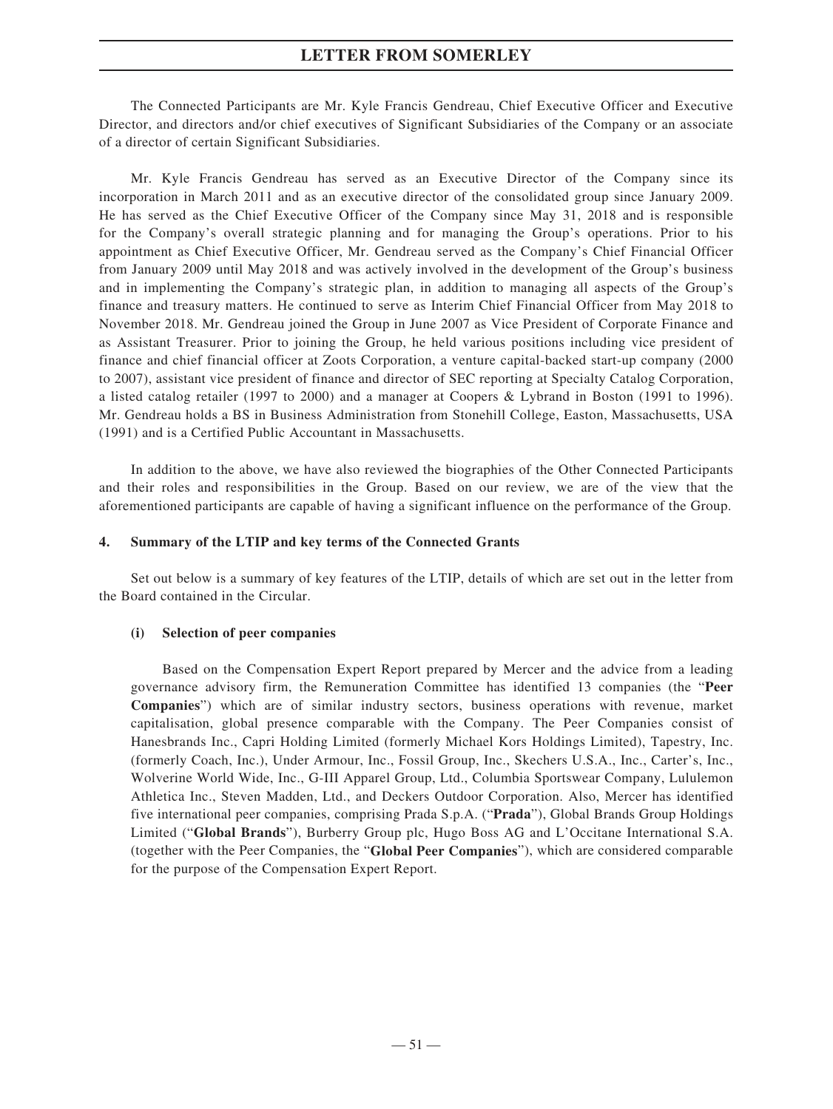The Connected Participants are Mr. Kyle Francis Gendreau, Chief Executive Officer and Executive Director, and directors and/or chief executives of Significant Subsidiaries of the Company or an associate of a director of certain Significant Subsidiaries.

Mr. Kyle Francis Gendreau has served as an Executive Director of the Company since its incorporation in March 2011 and as an executive director of the consolidated group since January 2009. He has served as the Chief Executive Officer of the Company since May 31, 2018 and is responsible for the Company's overall strategic planning and for managing the Group's operations. Prior to his appointment as Chief Executive Officer, Mr. Gendreau served as the Company's Chief Financial Officer from January 2009 until May 2018 and was actively involved in the development of the Group's business and in implementing the Company's strategic plan, in addition to managing all aspects of the Group's finance and treasury matters. He continued to serve as Interim Chief Financial Officer from May 2018 to November 2018. Mr. Gendreau joined the Group in June 2007 as Vice President of Corporate Finance and as Assistant Treasurer. Prior to joining the Group, he held various positions including vice president of finance and chief financial officer at Zoots Corporation, a venture capital-backed start-up company (2000 to 2007), assistant vice president of finance and director of SEC reporting at Specialty Catalog Corporation, a listed catalog retailer (1997 to 2000) and a manager at Coopers & Lybrand in Boston (1991 to 1996). Mr. Gendreau holds a BS in Business Administration from Stonehill College, Easton, Massachusetts, USA (1991) and is a Certified Public Accountant in Massachusetts.

In addition to the above, we have also reviewed the biographies of the Other Connected Participants and their roles and responsibilities in the Group. Based on our review, we are of the view that the aforementioned participants are capable of having a significant influence on the performance of the Group.

#### **4. Summary of the LTIP and key terms of the Connected Grants**

Set out below is a summary of key features of the LTIP, details of which are set out in the letter from the Board contained in the Circular.

### **(i) Selection of peer companies**

Based on the Compensation Expert Report prepared by Mercer and the advice from a leading governance advisory firm, the Remuneration Committee has identified 13 companies (the "**Peer Companies**") which are of similar industry sectors, business operations with revenue, market capitalisation, global presence comparable with the Company. The Peer Companies consist of Hanesbrands Inc., Capri Holding Limited (formerly Michael Kors Holdings Limited), Tapestry, Inc. (formerly Coach, Inc.), Under Armour, Inc., Fossil Group, Inc., Skechers U.S.A., Inc., Carter's, Inc., Wolverine World Wide, Inc., G-III Apparel Group, Ltd., Columbia Sportswear Company, Lululemon Athletica Inc., Steven Madden, Ltd., and Deckers Outdoor Corporation. Also, Mercer has identified five international peer companies, comprising Prada S.p.A. ("**Prada**"), Global Brands Group Holdings Limited ("**Global Brands**"), Burberry Group plc, Hugo Boss AG and L'Occitane International S.A. (together with the Peer Companies, the "**Global Peer Companies**"), which are considered comparable for the purpose of the Compensation Expert Report.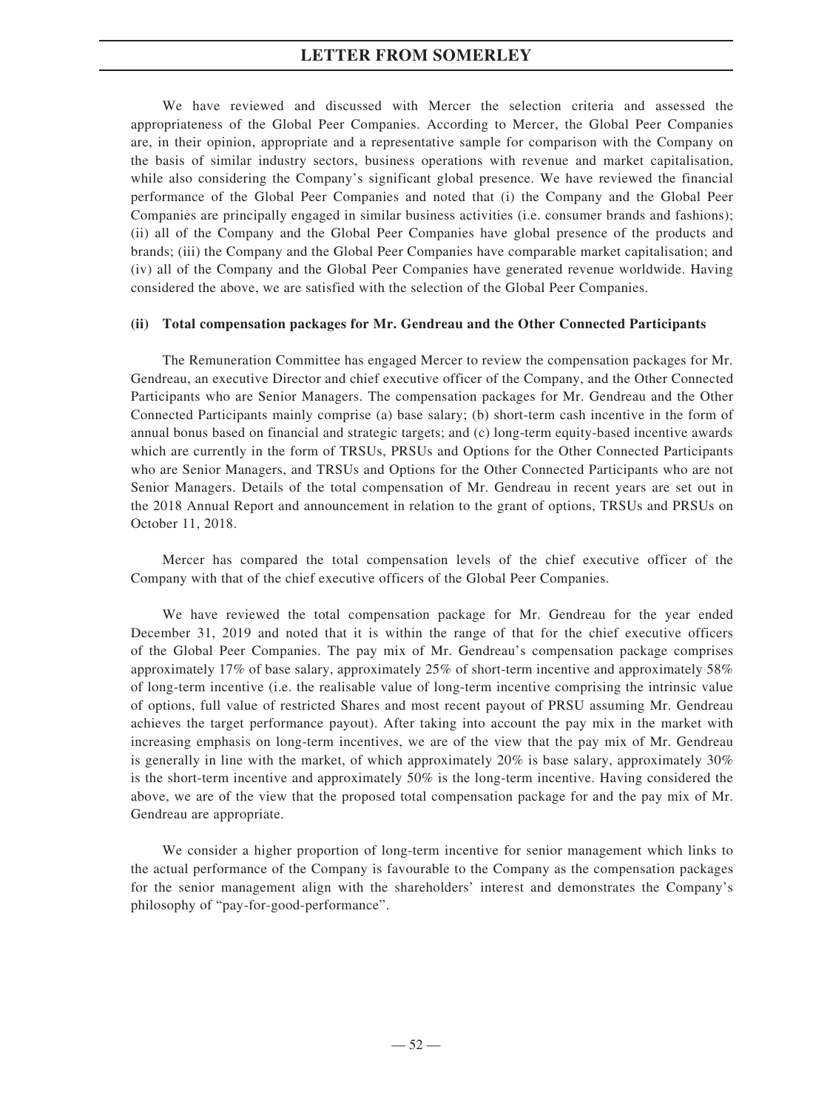We have reviewed and discussed with Mercer the selection criteria and assessed the appropriateness of the Global Peer Companies. According to Mercer, the Global Peer Companies are, in their opinion, appropriate and a representative sample for comparison with the Company on the basis of similar industry sectors, business operations with revenue and market capitalisation, while also considering the Company's significant global presence. We have reviewed the financial performance of the Global Peer Companies and noted that (i) the Company and the Global Peer Companies are principally engaged in similar business activities (i.e. consumer brands and fashions); (ii) all of the Company and the Global Peer Companies have global presence of the products and brands; (iii) the Company and the Global Peer Companies have comparable market capitalisation; and (iv) all of the Company and the Global Peer Companies have generated revenue worldwide. Having considered the above, we are satisfied with the selection of the Global Peer Companies.

#### **(ii) Total compensation packages for Mr. Gendreau and the Other Connected Participants**

The Remuneration Committee has engaged Mercer to review the compensation packages for Mr. Gendreau, an executive Director and chief executive officer of the Company, and the Other Connected Participants who are Senior Managers. The compensation packages for Mr. Gendreau and the Other Connected Participants mainly comprise (a) base salary; (b) short-term cash incentive in the form of annual bonus based on financial and strategic targets; and (c) long-term equity-based incentive awards which are currently in the form of TRSUs, PRSUs and Options for the Other Connected Participants who are Senior Managers, and TRSUs and Options for the Other Connected Participants who are not Senior Managers. Details of the total compensation of Mr. Gendreau in recent years are set out in the 2018 Annual Report and announcement in relation to the grant of options, TRSUs and PRSUs on October 11, 2018.

Mercer has compared the total compensation levels of the chief executive officer of the Company with that of the chief executive officers of the Global Peer Companies.

We have reviewed the total compensation package for Mr. Gendreau for the year ended December 31, 2019 and noted that it is within the range of that for the chief executive officers of the Global Peer Companies. The pay mix of Mr. Gendreau's compensation package comprises approximately 17% of base salary, approximately 25% of short-term incentive and approximately 58% of long-term incentive (i.e. the realisable value of long-term incentive comprising the intrinsic value of options, full value of restricted Shares and most recent payout of PRSU assuming Mr. Gendreau achieves the target performance payout). After taking into account the pay mix in the market with increasing emphasis on long-term incentives, we are of the view that the pay mix of Mr. Gendreau is generally in line with the market, of which approximately  $20\%$  is base salary, approximately  $30\%$ is the short-term incentive and approximately 50% is the long-term incentive. Having considered the above, we are of the view that the proposed total compensation package for and the pay mix of Mr. Gendreau are appropriate.

We consider a higher proportion of long-term incentive for senior management which links to the actual performance of the Company is favourable to the Company as the compensation packages for the senior management align with the shareholders' interest and demonstrates the Company's philosophy of "pay-for-good-performance".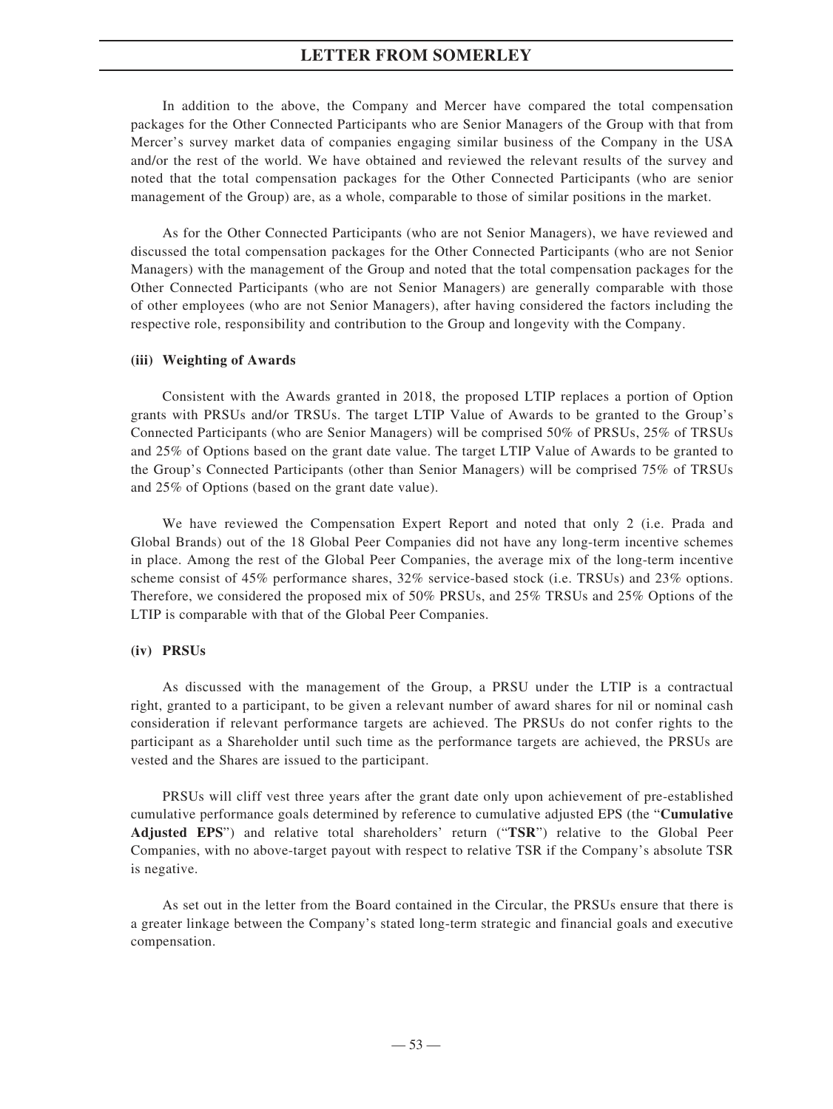In addition to the above, the Company and Mercer have compared the total compensation packages for the Other Connected Participants who are Senior Managers of the Group with that from Mercer's survey market data of companies engaging similar business of the Company in the USA and/or the rest of the world. We have obtained and reviewed the relevant results of the survey and noted that the total compensation packages for the Other Connected Participants (who are senior management of the Group) are, as a whole, comparable to those of similar positions in the market.

As for the Other Connected Participants (who are not Senior Managers), we have reviewed and discussed the total compensation packages for the Other Connected Participants (who are not Senior Managers) with the management of the Group and noted that the total compensation packages for the Other Connected Participants (who are not Senior Managers) are generally comparable with those of other employees (who are not Senior Managers), after having considered the factors including the respective role, responsibility and contribution to the Group and longevity with the Company.

#### **(iii) Weighting of Awards**

Consistent with the Awards granted in 2018, the proposed LTIP replaces a portion of Option grants with PRSUs and/or TRSUs. The target LTIP Value of Awards to be granted to the Group's Connected Participants (who are Senior Managers) will be comprised 50% of PRSUs, 25% of TRSUs and 25% of Options based on the grant date value. The target LTIP Value of Awards to be granted to the Group's Connected Participants (other than Senior Managers) will be comprised 75% of TRSUs and 25% of Options (based on the grant date value).

We have reviewed the Compensation Expert Report and noted that only 2 (i.e. Prada and Global Brands) out of the 18 Global Peer Companies did not have any long-term incentive schemes in place. Among the rest of the Global Peer Companies, the average mix of the long-term incentive scheme consist of 45% performance shares, 32% service-based stock (i.e. TRSUs) and 23% options. Therefore, we considered the proposed mix of 50% PRSUs, and 25% TRSUs and 25% Options of the LTIP is comparable with that of the Global Peer Companies.

### **(iv) PRSUs**

As discussed with the management of the Group, a PRSU under the LTIP is a contractual right, granted to a participant, to be given a relevant number of award shares for nil or nominal cash consideration if relevant performance targets are achieved. The PRSUs do not confer rights to the participant as a Shareholder until such time as the performance targets are achieved, the PRSUs are vested and the Shares are issued to the participant.

PRSUs will cliff vest three years after the grant date only upon achievement of pre-established cumulative performance goals determined by reference to cumulative adjusted EPS (the "**Cumulative Adjusted EPS**") and relative total shareholders' return ("**TSR**") relative to the Global Peer Companies, with no above-target payout with respect to relative TSR if the Company's absolute TSR is negative.

As set out in the letter from the Board contained in the Circular, the PRSUs ensure that there is a greater linkage between the Company's stated long-term strategic and financial goals and executive compensation.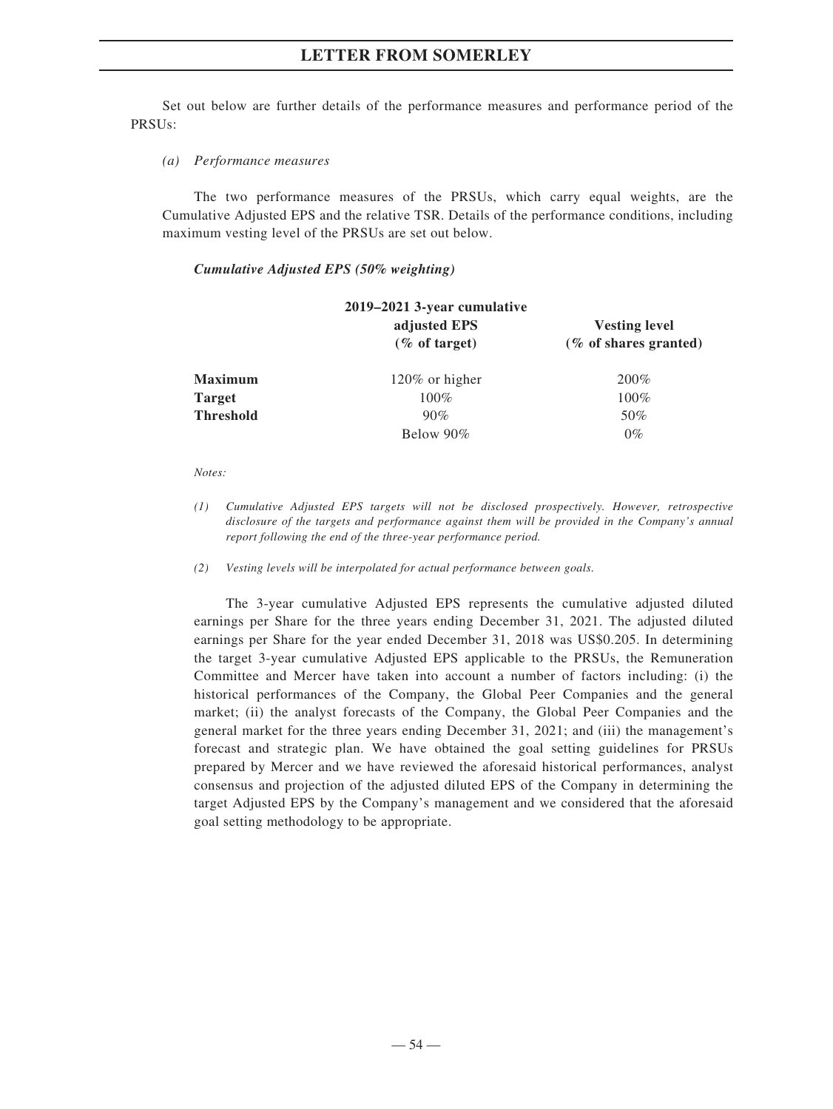Set out below are further details of the performance measures and performance period of the PRSUs:

*(a) Performance measures*

The two performance measures of the PRSUs, which carry equal weights, are the Cumulative Adjusted EPS and the relative TSR. Details of the performance conditions, including maximum vesting level of the PRSUs are set out below.

#### *Cumulative Adjusted EPS (50% weighting)*

| 2019–2021 3-year cumulative |                                  |                                                  |  |  |
|-----------------------------|----------------------------------|--------------------------------------------------|--|--|
|                             | adjusted EPS<br>$(\%$ of target) | <b>Vesting level</b><br>$(\%$ of shares granted) |  |  |
| <b>Maximum</b>              | $120\%$ or higher                | 200%                                             |  |  |
| <b>Target</b>               | $100\%$                          | $100\%$                                          |  |  |
| <b>Threshold</b>            | 90%                              | 50%                                              |  |  |
|                             | Below 90%                        | $0\%$                                            |  |  |

#### *Notes:*

- *(1) Cumulative Adjusted EPS targets will not be disclosed prospectively. However, retrospective disclosure of the targets and performance against them will be provided in the Company's annual report following the end of the three-year performance period.*
- *(2) Vesting levels will be interpolated for actual performance between goals.*

The 3-year cumulative Adjusted EPS represents the cumulative adjusted diluted earnings per Share for the three years ending December 31, 2021. The adjusted diluted earnings per Share for the year ended December 31, 2018 was US\$0.205. In determining the target 3-year cumulative Adjusted EPS applicable to the PRSUs, the Remuneration Committee and Mercer have taken into account a number of factors including: (i) the historical performances of the Company, the Global Peer Companies and the general market; (ii) the analyst forecasts of the Company, the Global Peer Companies and the general market for the three years ending December 31, 2021; and (iii) the management's forecast and strategic plan. We have obtained the goal setting guidelines for PRSUs prepared by Mercer and we have reviewed the aforesaid historical performances, analyst consensus and projection of the adjusted diluted EPS of the Company in determining the target Adjusted EPS by the Company's management and we considered that the aforesaid goal setting methodology to be appropriate.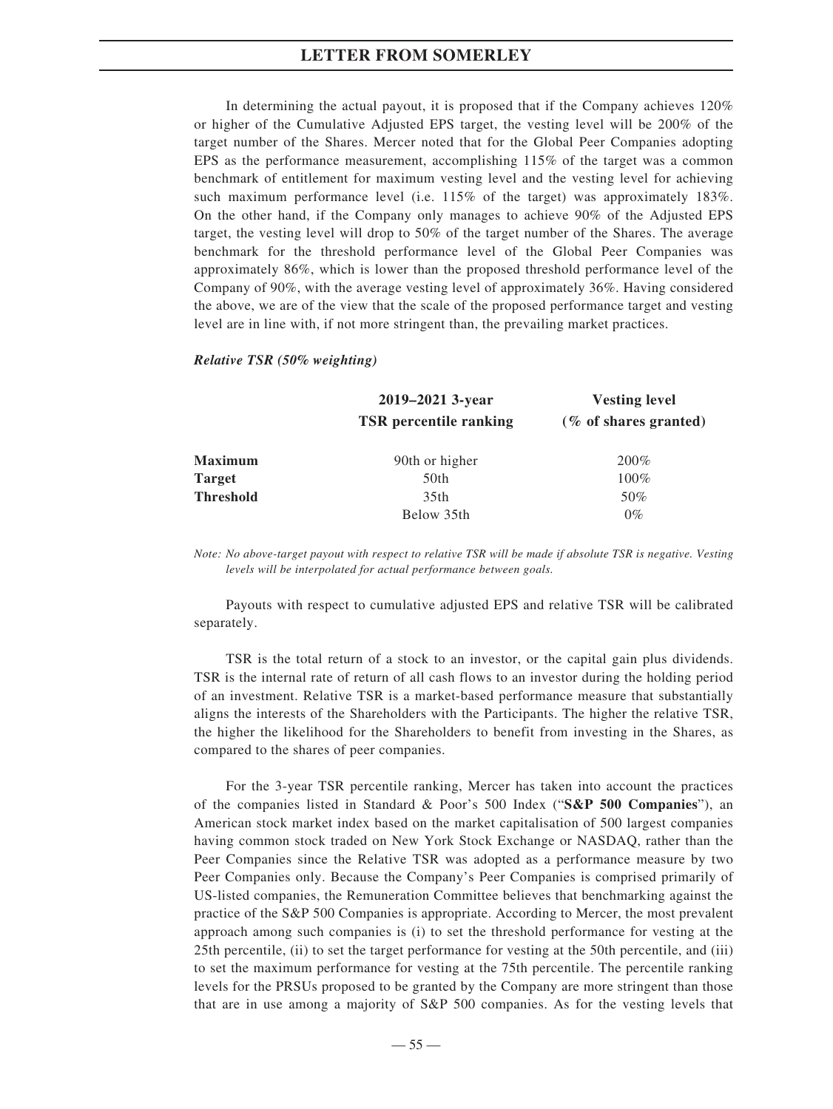In determining the actual payout, it is proposed that if the Company achieves 120% or higher of the Cumulative Adjusted EPS target, the vesting level will be 200% of the target number of the Shares. Mercer noted that for the Global Peer Companies adopting EPS as the performance measurement, accomplishing 115% of the target was a common benchmark of entitlement for maximum vesting level and the vesting level for achieving such maximum performance level (i.e. 115% of the target) was approximately 183%. On the other hand, if the Company only manages to achieve 90% of the Adjusted EPS target, the vesting level will drop to 50% of the target number of the Shares. The average benchmark for the threshold performance level of the Global Peer Companies was approximately 86%, which is lower than the proposed threshold performance level of the Company of 90%, with the average vesting level of approximately 36%. Having considered the above, we are of the view that the scale of the proposed performance target and vesting level are in line with, if not more stringent than, the prevailing market practices.

#### *Relative TSR (50% weighting)*

|                  | 2019–2021 3-year              | <b>Vesting level</b>     |  |
|------------------|-------------------------------|--------------------------|--|
|                  | <b>TSR</b> percentile ranking | $(\%$ of shares granted) |  |
| <b>Maximum</b>   | 90th or higher                | 200%                     |  |
| <b>Target</b>    | 50th                          | $100\%$                  |  |
| <b>Threshold</b> | 35th                          | 50%                      |  |
|                  | Below 35th                    | $0\%$                    |  |

*Note: No above-target payout with respect to relative TSR will be made if absolute TSR is negative. Vesting levels will be interpolated for actual performance between goals.*

Payouts with respect to cumulative adjusted EPS and relative TSR will be calibrated separately.

TSR is the total return of a stock to an investor, or the capital gain plus dividends. TSR is the internal rate of return of all cash flows to an investor during the holding period of an investment. Relative TSR is a market-based performance measure that substantially aligns the interests of the Shareholders with the Participants. The higher the relative TSR, the higher the likelihood for the Shareholders to benefit from investing in the Shares, as compared to the shares of peer companies.

For the 3-year TSR percentile ranking, Mercer has taken into account the practices of the companies listed in Standard & Poor's 500 Index ("**S&P 500 Companies**"), an American stock market index based on the market capitalisation of 500 largest companies having common stock traded on New York Stock Exchange or NASDAQ, rather than the Peer Companies since the Relative TSR was adopted as a performance measure by two Peer Companies only. Because the Company's Peer Companies is comprised primarily of US-listed companies, the Remuneration Committee believes that benchmarking against the practice of the S&P 500 Companies is appropriate. According to Mercer, the most prevalent approach among such companies is (i) to set the threshold performance for vesting at the 25th percentile, (ii) to set the target performance for vesting at the 50th percentile, and (iii) to set the maximum performance for vesting at the 75th percentile. The percentile ranking levels for the PRSUs proposed to be granted by the Company are more stringent than those that are in use among a majority of S&P 500 companies. As for the vesting levels that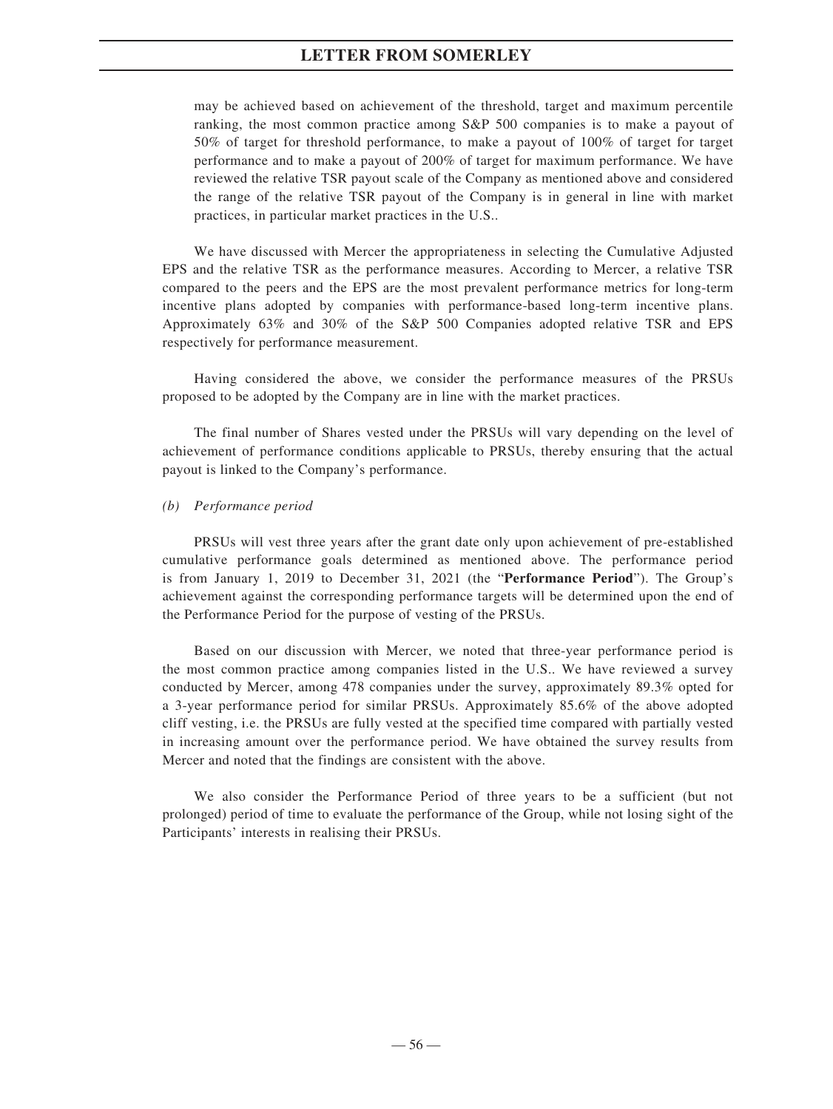may be achieved based on achievement of the threshold, target and maximum percentile ranking, the most common practice among S&P 500 companies is to make a payout of 50% of target for threshold performance, to make a payout of 100% of target for target performance and to make a payout of 200% of target for maximum performance. We have reviewed the relative TSR payout scale of the Company as mentioned above and considered the range of the relative TSR payout of the Company is in general in line with market practices, in particular market practices in the U.S..

We have discussed with Mercer the appropriateness in selecting the Cumulative Adjusted EPS and the relative TSR as the performance measures. According to Mercer, a relative TSR compared to the peers and the EPS are the most prevalent performance metrics for long-term incentive plans adopted by companies with performance-based long-term incentive plans. Approximately 63% and 30% of the S&P 500 Companies adopted relative TSR and EPS respectively for performance measurement.

Having considered the above, we consider the performance measures of the PRSUs proposed to be adopted by the Company are in line with the market practices.

The final number of Shares vested under the PRSUs will vary depending on the level of achievement of performance conditions applicable to PRSUs, thereby ensuring that the actual payout is linked to the Company's performance.

#### *(b) Performance period*

PRSUs will vest three years after the grant date only upon achievement of pre-established cumulative performance goals determined as mentioned above. The performance period is from January 1, 2019 to December 31, 2021 (the "**Performance Period**"). The Group's achievement against the corresponding performance targets will be determined upon the end of the Performance Period for the purpose of vesting of the PRSUs.

Based on our discussion with Mercer, we noted that three-year performance period is the most common practice among companies listed in the U.S.. We have reviewed a survey conducted by Mercer, among 478 companies under the survey, approximately 89.3% opted for a 3-year performance period for similar PRSUs. Approximately 85.6% of the above adopted cliff vesting, i.e. the PRSUs are fully vested at the specified time compared with partially vested in increasing amount over the performance period. We have obtained the survey results from Mercer and noted that the findings are consistent with the above.

We also consider the Performance Period of three years to be a sufficient (but not prolonged) period of time to evaluate the performance of the Group, while not losing sight of the Participants' interests in realising their PRSUs.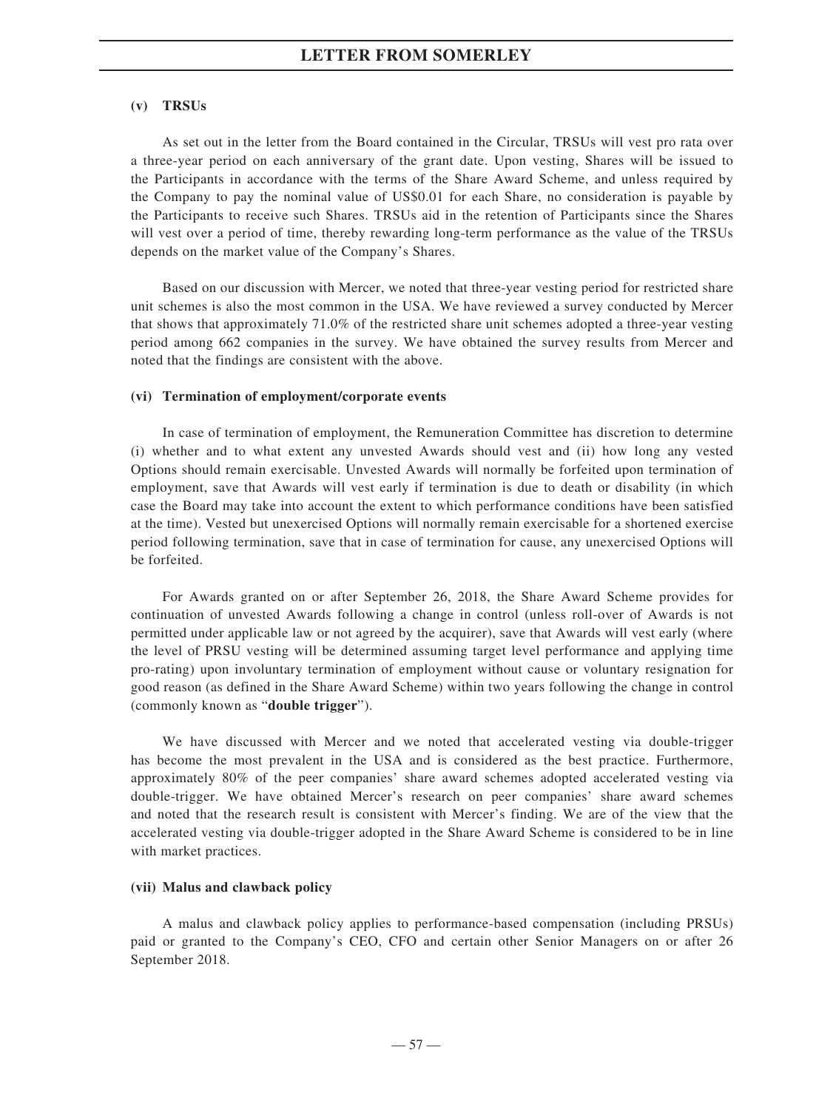#### **(v) TRSUs**

As set out in the letter from the Board contained in the Circular, TRSUs will vest pro rata over a three-year period on each anniversary of the grant date. Upon vesting, Shares will be issued to the Participants in accordance with the terms of the Share Award Scheme, and unless required by the Company to pay the nominal value of US\$0.01 for each Share, no consideration is payable by the Participants to receive such Shares. TRSUs aid in the retention of Participants since the Shares will vest over a period of time, thereby rewarding long-term performance as the value of the TRSUs depends on the market value of the Company's Shares.

Based on our discussion with Mercer, we noted that three-year vesting period for restricted share unit schemes is also the most common in the USA. We have reviewed a survey conducted by Mercer that shows that approximately 71.0% of the restricted share unit schemes adopted a three-year vesting period among 662 companies in the survey. We have obtained the survey results from Mercer and noted that the findings are consistent with the above.

#### **(vi) Termination of employment/corporate events**

In case of termination of employment, the Remuneration Committee has discretion to determine (i) whether and to what extent any unvested Awards should vest and (ii) how long any vested Options should remain exercisable. Unvested Awards will normally be forfeited upon termination of employment, save that Awards will vest early if termination is due to death or disability (in which case the Board may take into account the extent to which performance conditions have been satisfied at the time). Vested but unexercised Options will normally remain exercisable for a shortened exercise period following termination, save that in case of termination for cause, any unexercised Options will be forfeited.

For Awards granted on or after September 26, 2018, the Share Award Scheme provides for continuation of unvested Awards following a change in control (unless roll-over of Awards is not permitted under applicable law or not agreed by the acquirer), save that Awards will vest early (where the level of PRSU vesting will be determined assuming target level performance and applying time pro-rating) upon involuntary termination of employment without cause or voluntary resignation for good reason (as defined in the Share Award Scheme) within two years following the change in control (commonly known as "**double trigger**").

We have discussed with Mercer and we noted that accelerated vesting via double-trigger has become the most prevalent in the USA and is considered as the best practice. Furthermore, approximately 80% of the peer companies' share award schemes adopted accelerated vesting via double-trigger. We have obtained Mercer's research on peer companies' share award schemes and noted that the research result is consistent with Mercer's finding. We are of the view that the accelerated vesting via double-trigger adopted in the Share Award Scheme is considered to be in line with market practices.

#### **(vii) Malus and clawback policy**

A malus and clawback policy applies to performance-based compensation (including PRSUs) paid or granted to the Company's CEO, CFO and certain other Senior Managers on or after 26 September 2018.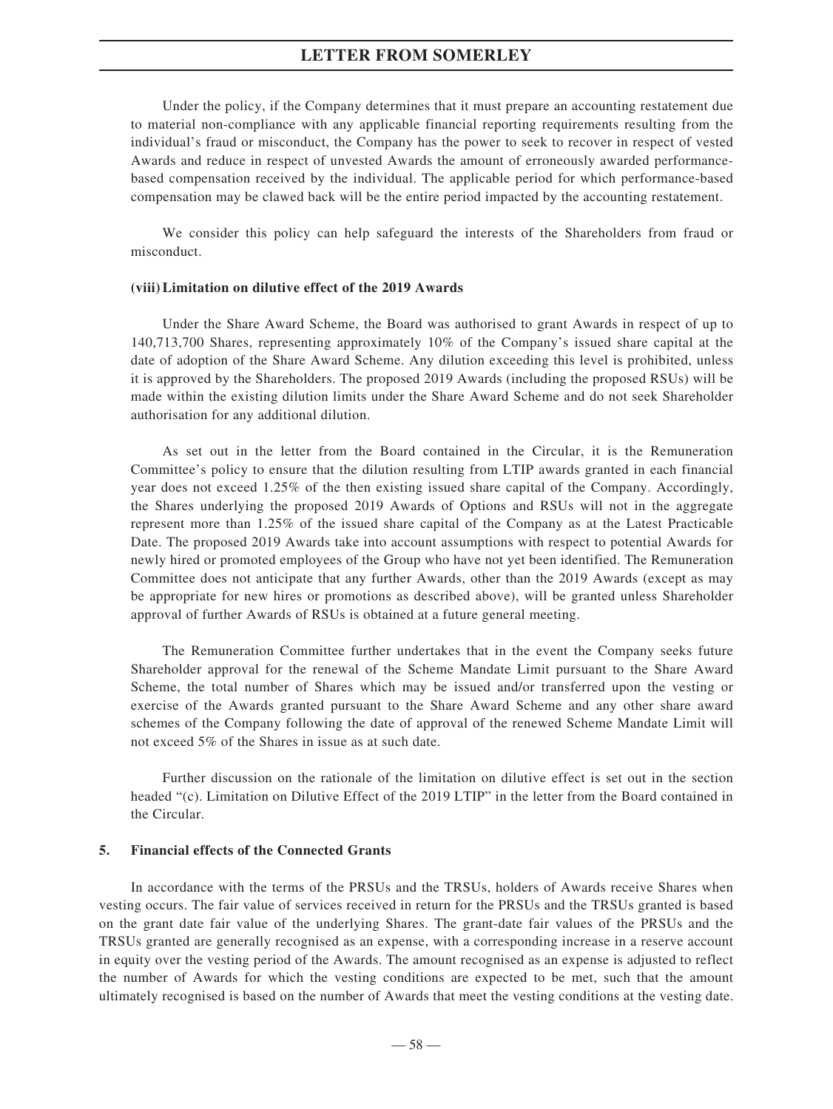Under the policy, if the Company determines that it must prepare an accounting restatement due to material non-compliance with any applicable financial reporting requirements resulting from the individual's fraud or misconduct, the Company has the power to seek to recover in respect of vested Awards and reduce in respect of unvested Awards the amount of erroneously awarded performancebased compensation received by the individual. The applicable period for which performance-based compensation may be clawed back will be the entire period impacted by the accounting restatement.

We consider this policy can help safeguard the interests of the Shareholders from fraud or misconduct.

#### **(viii)Limitation on dilutive effect of the 2019 Awards**

Under the Share Award Scheme, the Board was authorised to grant Awards in respect of up to 140,713,700 Shares, representing approximately 10% of the Company's issued share capital at the date of adoption of the Share Award Scheme. Any dilution exceeding this level is prohibited, unless it is approved by the Shareholders. The proposed 2019 Awards (including the proposed RSUs) will be made within the existing dilution limits under the Share Award Scheme and do not seek Shareholder authorisation for any additional dilution.

As set out in the letter from the Board contained in the Circular, it is the Remuneration Committee's policy to ensure that the dilution resulting from LTIP awards granted in each financial year does not exceed 1.25% of the then existing issued share capital of the Company. Accordingly, the Shares underlying the proposed 2019 Awards of Options and RSUs will not in the aggregate represent more than 1.25% of the issued share capital of the Company as at the Latest Practicable Date. The proposed 2019 Awards take into account assumptions with respect to potential Awards for newly hired or promoted employees of the Group who have not yet been identified. The Remuneration Committee does not anticipate that any further Awards, other than the 2019 Awards (except as may be appropriate for new hires or promotions as described above), will be granted unless Shareholder approval of further Awards of RSUs is obtained at a future general meeting.

The Remuneration Committee further undertakes that in the event the Company seeks future Shareholder approval for the renewal of the Scheme Mandate Limit pursuant to the Share Award Scheme, the total number of Shares which may be issued and/or transferred upon the vesting or exercise of the Awards granted pursuant to the Share Award Scheme and any other share award schemes of the Company following the date of approval of the renewed Scheme Mandate Limit will not exceed 5% of the Shares in issue as at such date.

Further discussion on the rationale of the limitation on dilutive effect is set out in the section headed "(c). Limitation on Dilutive Effect of the 2019 LTIP" in the letter from the Board contained in the Circular.

## **5. Financial effects of the Connected Grants**

In accordance with the terms of the PRSUs and the TRSUs, holders of Awards receive Shares when vesting occurs. The fair value of services received in return for the PRSUs and the TRSUs granted is based on the grant date fair value of the underlying Shares. The grant-date fair values of the PRSUs and the TRSUs granted are generally recognised as an expense, with a corresponding increase in a reserve account in equity over the vesting period of the Awards. The amount recognised as an expense is adjusted to reflect the number of Awards for which the vesting conditions are expected to be met, such that the amount ultimately recognised is based on the number of Awards that meet the vesting conditions at the vesting date.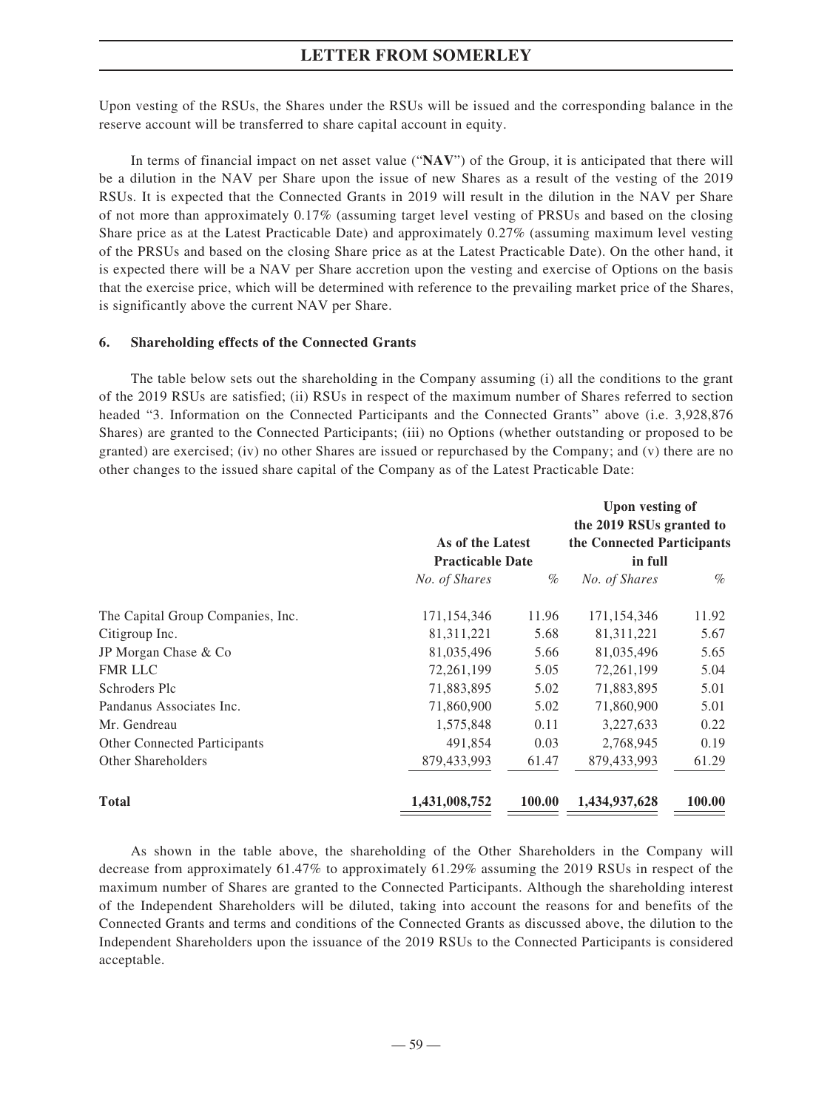Upon vesting of the RSUs, the Shares under the RSUs will be issued and the corresponding balance in the reserve account will be transferred to share capital account in equity.

In terms of financial impact on net asset value ("**NAV**") of the Group, it is anticipated that there will be a dilution in the NAV per Share upon the issue of new Shares as a result of the vesting of the 2019 RSUs. It is expected that the Connected Grants in 2019 will result in the dilution in the NAV per Share of not more than approximately 0.17% (assuming target level vesting of PRSUs and based on the closing Share price as at the Latest Practicable Date) and approximately 0.27% (assuming maximum level vesting of the PRSUs and based on the closing Share price as at the Latest Practicable Date). On the other hand, it is expected there will be a NAV per Share accretion upon the vesting and exercise of Options on the basis that the exercise price, which will be determined with reference to the prevailing market price of the Shares, is significantly above the current NAV per Share.

#### **6. Shareholding effects of the Connected Grants**

The table below sets out the shareholding in the Company assuming (i) all the conditions to the grant of the 2019 RSUs are satisfied; (ii) RSUs in respect of the maximum number of Shares referred to section headed "3. Information on the Connected Participants and the Connected Grants" above (i.e. 3,928,876 Shares) are granted to the Connected Participants; (iii) no Options (whether outstanding or proposed to be granted) are exercised; (iv) no other Shares are issued or repurchased by the Company; and (v) there are no other changes to the issued share capital of the Company as of the Latest Practicable Date:

|                                     |                                             |        | <b>Upon vesting of</b>                |        |
|-------------------------------------|---------------------------------------------|--------|---------------------------------------|--------|
|                                     |                                             |        | the 2019 RSUs granted to              |        |
|                                     | As of the Latest<br><b>Practicable Date</b> |        | the Connected Participants<br>in full |        |
|                                     |                                             |        |                                       |        |
|                                     | No. of Shares                               | $\%$   | No. of Shares                         | $\%$   |
| The Capital Group Companies, Inc.   | 171,154,346                                 | 11.96  | 171,154,346                           | 11.92  |
| Citigroup Inc.                      | 81, 311, 221                                | 5.68   | 81, 311, 221                          | 5.67   |
| JP Morgan Chase & Co                | 81,035,496                                  | 5.66   | 81,035,496                            | 5.65   |
| <b>FMR LLC</b>                      | 72, 261, 199                                | 5.05   | 72,261,199                            | 5.04   |
| Schroders Plc                       | 71,883,895                                  | 5.02   | 71,883,895                            | 5.01   |
| Pandanus Associates Inc.            | 71,860,900                                  | 5.02   | 71,860,900                            | 5.01   |
| Mr. Gendreau                        | 1,575,848                                   | 0.11   | 3,227,633                             | 0.22   |
| <b>Other Connected Participants</b> | 491,854                                     | 0.03   | 2,768,945                             | 0.19   |
| Other Shareholders                  | 879,433,993                                 | 61.47  | 879,433,993                           | 61.29  |
| <b>Total</b>                        | 1,431,008,752                               | 100.00 | 1,434,937,628                         | 100.00 |

As shown in the table above, the shareholding of the Other Shareholders in the Company will decrease from approximately 61.47% to approximately 61.29% assuming the 2019 RSUs in respect of the maximum number of Shares are granted to the Connected Participants. Although the shareholding interest of the Independent Shareholders will be diluted, taking into account the reasons for and benefits of the Connected Grants and terms and conditions of the Connected Grants as discussed above, the dilution to the Independent Shareholders upon the issuance of the 2019 RSUs to the Connected Participants is considered acceptable.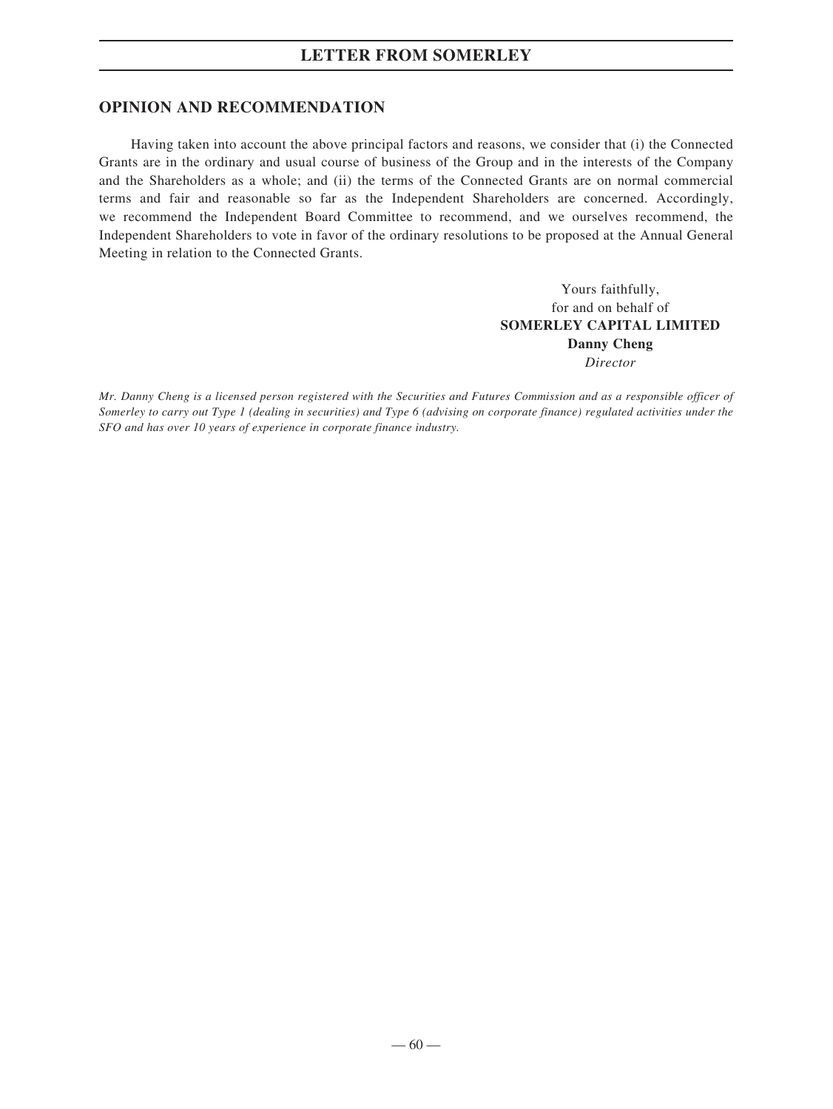# **OPINION AND RECOMMENDATION**

Having taken into account the above principal factors and reasons, we consider that (i) the Connected Grants are in the ordinary and usual course of business of the Group and in the interests of the Company and the Shareholders as a whole; and (ii) the terms of the Connected Grants are on normal commercial terms and fair and reasonable so far as the Independent Shareholders are concerned. Accordingly, we recommend the Independent Board Committee to recommend, and we ourselves recommend, the Independent Shareholders to vote in favor of the ordinary resolutions to be proposed at the Annual General Meeting in relation to the Connected Grants.

> Yours faithfully, for and on behalf of **SOMERLEY CAPITAL LIMITED Danny Cheng** *Director*

*Mr. Danny Cheng is a licensed person registered with the Securities and Futures Commission and as a responsible officer of Somerley to carry out Type 1 (dealing in securities) and Type 6 (advising on corporate finance) regulated activities under the SFO and has over 10 years of experience in corporate finance industry.*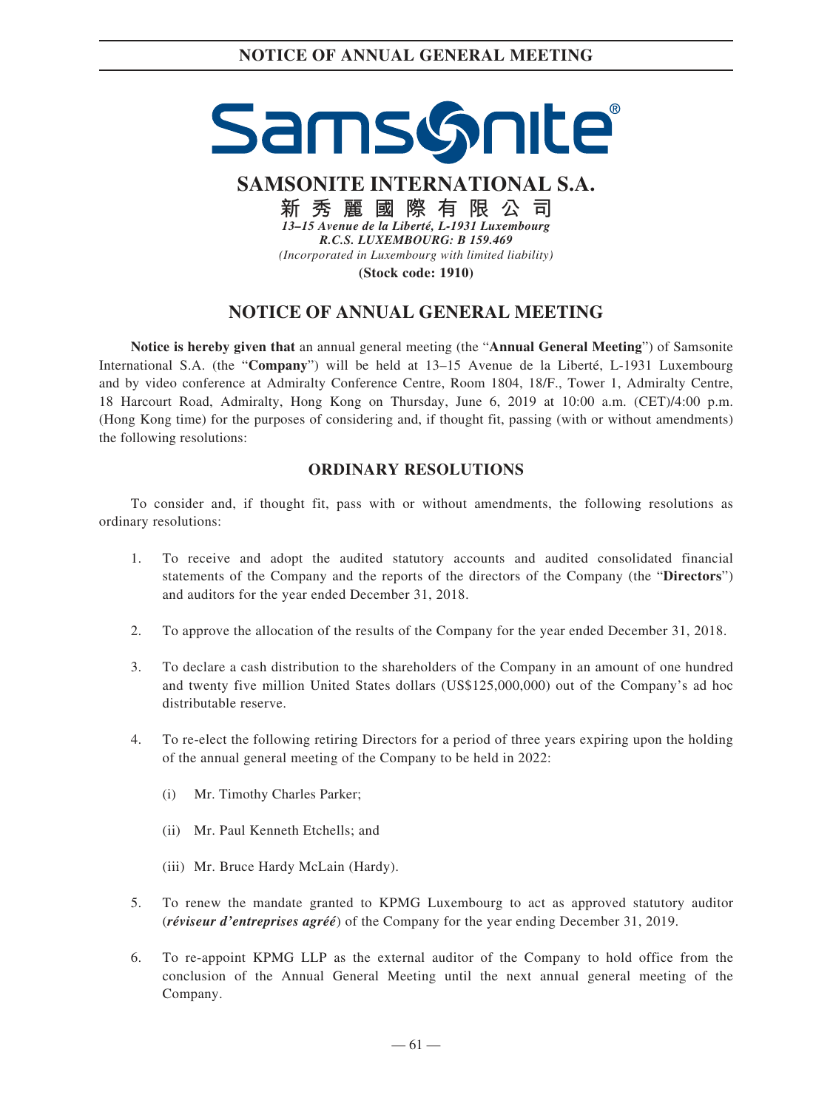# SamsGnite

**SAMSONITE INTERNATIONAL S.A.**

**新秀麗國際有限公司** *13–15 Avenue de la Liberté, L-1931 Luxembourg R.C.S. LUXEMBOURG: B 159.469 (Incorporated in Luxembourg with limited liability)* **(Stock code: 1910)**

# **NOTICE OF ANNUAL GENERAL MEETING**

**Notice is hereby given that** an annual general meeting (the "**Annual General Meeting**") of Samsonite International S.A. (the "**Company**") will be held at 13–15 Avenue de la Liberté, L-1931 Luxembourg and by video conference at Admiralty Conference Centre, Room 1804, 18/F., Tower 1, Admiralty Centre, 18 Harcourt Road, Admiralty, Hong Kong on Thursday, June 6, 2019 at 10:00 a.m. (CET)/4:00 p.m. (Hong Kong time) for the purposes of considering and, if thought fit, passing (with or without amendments) the following resolutions:

# **ORDINARY RESOLUTIONS**

To consider and, if thought fit, pass with or without amendments, the following resolutions as ordinary resolutions:

- 1. To receive and adopt the audited statutory accounts and audited consolidated financial statements of the Company and the reports of the directors of the Company (the "**Directors**") and auditors for the year ended December 31, 2018.
- 2. To approve the allocation of the results of the Company for the year ended December 31, 2018.
- 3. To declare a cash distribution to the shareholders of the Company in an amount of one hundred and twenty five million United States dollars (US\$125,000,000) out of the Company's ad hoc distributable reserve.
- 4. To re-elect the following retiring Directors for a period of three years expiring upon the holding of the annual general meeting of the Company to be held in 2022:
	- (i) Mr. Timothy Charles Parker;
	- (ii) Mr. Paul Kenneth Etchells; and
	- (iii) Mr. Bruce Hardy McLain (Hardy).
- 5. To renew the mandate granted to KPMG Luxembourg to act as approved statutory auditor (*réviseur d'entreprises agréé*) of the Company for the year ending December 31, 2019.
- 6. To re-appoint KPMG LLP as the external auditor of the Company to hold office from the conclusion of the Annual General Meeting until the next annual general meeting of the Company.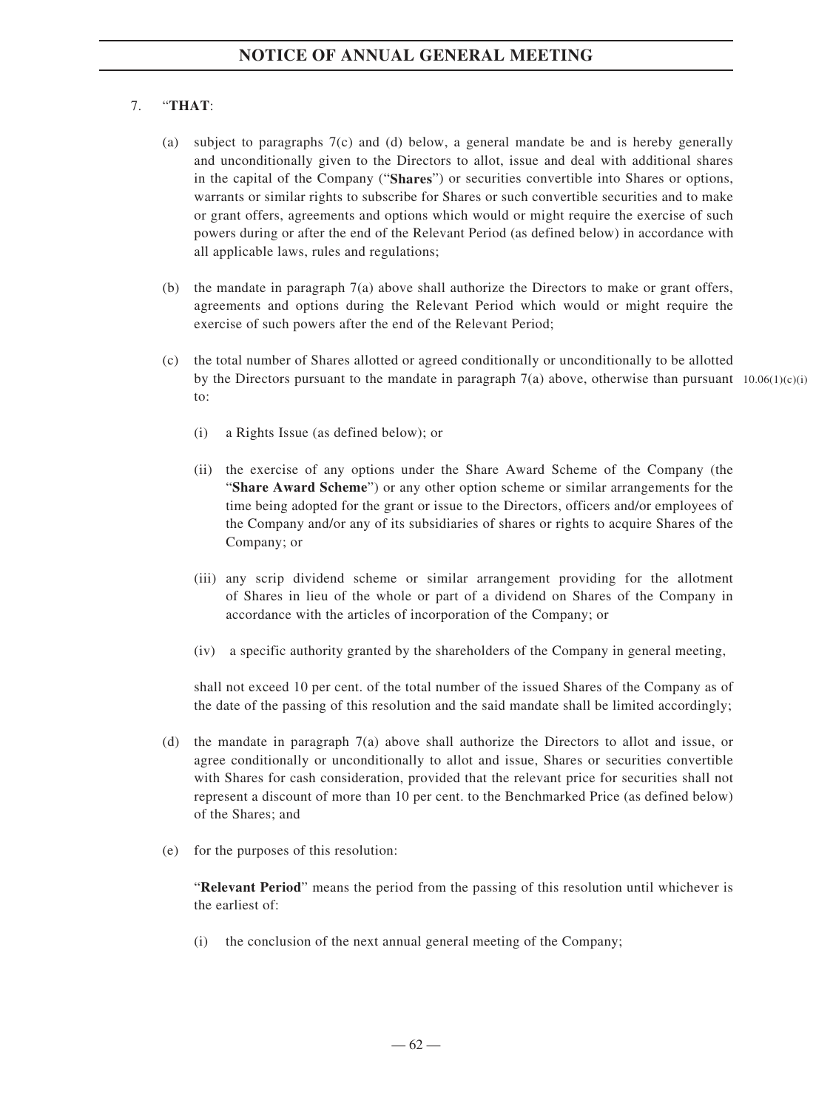# 7. "**THAT**:

- (a) subject to paragraphs  $7(c)$  and (d) below, a general mandate be and is hereby generally and unconditionally given to the Directors to allot, issue and deal with additional shares in the capital of the Company ("**Shares**") or securities convertible into Shares or options, warrants or similar rights to subscribe for Shares or such convertible securities and to make or grant offers, agreements and options which would or might require the exercise of such powers during or after the end of the Relevant Period (as defined below) in accordance with all applicable laws, rules and regulations;
- (b) the mandate in paragraph 7(a) above shall authorize the Directors to make or grant offers, agreements and options during the Relevant Period which would or might require the exercise of such powers after the end of the Relevant Period;
- (c) the total number of Shares allotted or agreed conditionally or unconditionally to be allotted by the Directors pursuant to the mandate in paragraph  $7(a)$  above, otherwise than pursuant  $10.06(1)(c)(i)$ to:
	- (i) a Rights Issue (as defined below); or
	- (ii) the exercise of any options under the Share Award Scheme of the Company (the "**Share Award Scheme**") or any other option scheme or similar arrangements for the time being adopted for the grant or issue to the Directors, officers and/or employees of the Company and/or any of its subsidiaries of shares or rights to acquire Shares of the Company; or
	- (iii) any scrip dividend scheme or similar arrangement providing for the allotment of Shares in lieu of the whole or part of a dividend on Shares of the Company in accordance with the articles of incorporation of the Company; or
	- (iv) a specific authority granted by the shareholders of the Company in general meeting,

shall not exceed 10 per cent. of the total number of the issued Shares of the Company as of the date of the passing of this resolution and the said mandate shall be limited accordingly;

- (d) the mandate in paragraph 7(a) above shall authorize the Directors to allot and issue, or agree conditionally or unconditionally to allot and issue, Shares or securities convertible with Shares for cash consideration, provided that the relevant price for securities shall not represent a discount of more than 10 per cent. to the Benchmarked Price (as defined below) of the Shares; and
- (e) for the purposes of this resolution:

"**Relevant Period**" means the period from the passing of this resolution until whichever is the earliest of:

(i) the conclusion of the next annual general meeting of the Company;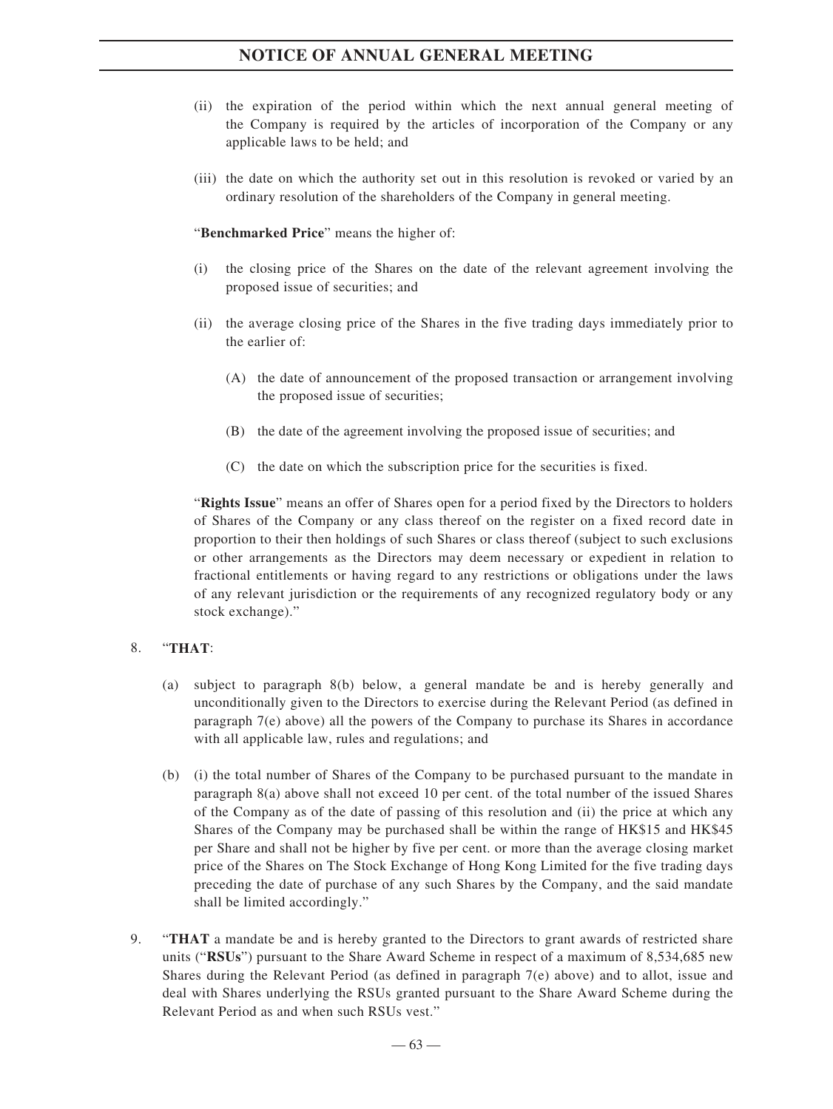- (ii) the expiration of the period within which the next annual general meeting of the Company is required by the articles of incorporation of the Company or any applicable laws to be held; and
- (iii) the date on which the authority set out in this resolution is revoked or varied by an ordinary resolution of the shareholders of the Company in general meeting.

"**Benchmarked Price**" means the higher of:

- (i) the closing price of the Shares on the date of the relevant agreement involving the proposed issue of securities; and
- (ii) the average closing price of the Shares in the five trading days immediately prior to the earlier of:
	- (A) the date of announcement of the proposed transaction or arrangement involving the proposed issue of securities;
	- (B) the date of the agreement involving the proposed issue of securities; and
	- (C) the date on which the subscription price for the securities is fixed.

"**Rights Issue**" means an offer of Shares open for a period fixed by the Directors to holders of Shares of the Company or any class thereof on the register on a fixed record date in proportion to their then holdings of such Shares or class thereof (subject to such exclusions or other arrangements as the Directors may deem necessary or expedient in relation to fractional entitlements or having regard to any restrictions or obligations under the laws of any relevant jurisdiction or the requirements of any recognized regulatory body or any stock exchange)."

### 8. "**THAT**:

- (a) subject to paragraph 8(b) below, a general mandate be and is hereby generally and unconditionally given to the Directors to exercise during the Relevant Period (as defined in paragraph  $7(e)$  above) all the powers of the Company to purchase its Shares in accordance with all applicable law, rules and regulations; and
- (b) (i) the total number of Shares of the Company to be purchased pursuant to the mandate in paragraph 8(a) above shall not exceed 10 per cent. of the total number of the issued Shares of the Company as of the date of passing of this resolution and (ii) the price at which any Shares of the Company may be purchased shall be within the range of HK\$15 and HK\$45 per Share and shall not be higher by five per cent. or more than the average closing market price of the Shares on The Stock Exchange of Hong Kong Limited for the five trading days preceding the date of purchase of any such Shares by the Company, and the said mandate shall be limited accordingly."
- 9. "**THAT** a mandate be and is hereby granted to the Directors to grant awards of restricted share units ("**RSUs**") pursuant to the Share Award Scheme in respect of a maximum of 8,534,685 new Shares during the Relevant Period (as defined in paragraph 7(e) above) and to allot, issue and deal with Shares underlying the RSUs granted pursuant to the Share Award Scheme during the Relevant Period as and when such RSUs vest."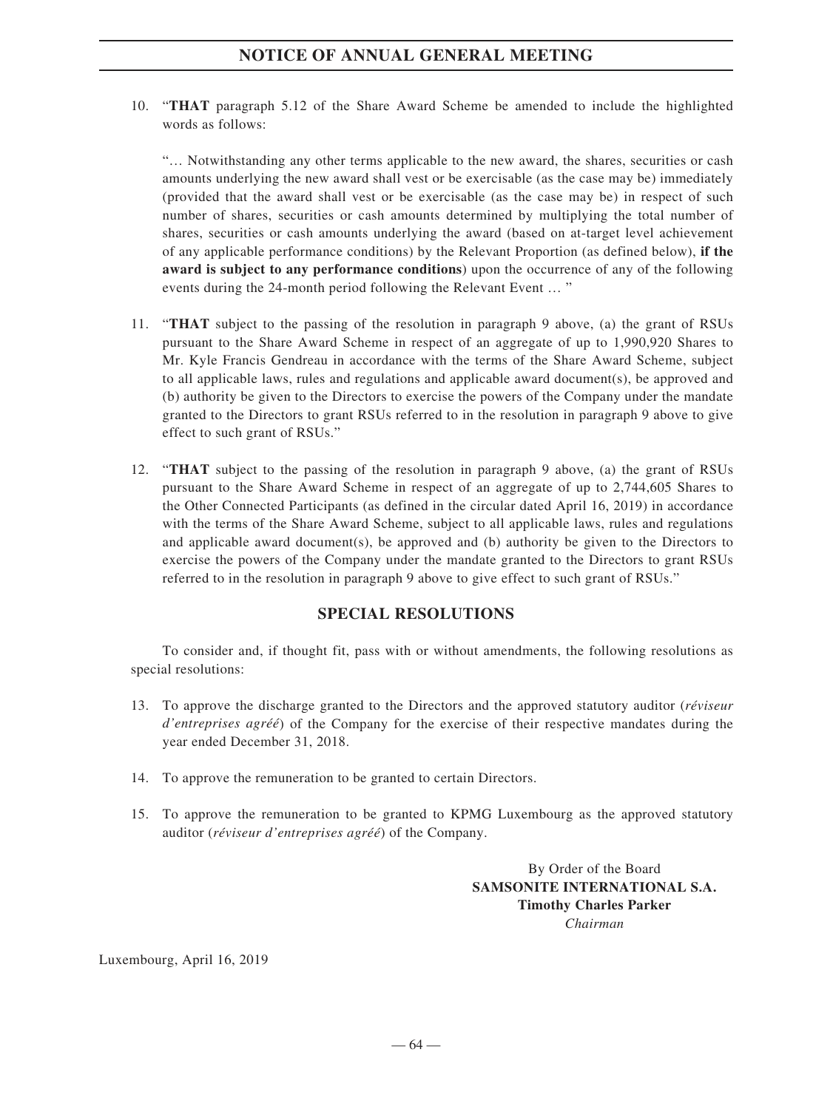10. "**THAT** paragraph 5.12 of the Share Award Scheme be amended to include the highlighted words as follows:

"… Notwithstanding any other terms applicable to the new award, the shares, securities or cash amounts underlying the new award shall vest or be exercisable (as the case may be) immediately (provided that the award shall vest or be exercisable (as the case may be) in respect of such number of shares, securities or cash amounts determined by multiplying the total number of shares, securities or cash amounts underlying the award (based on at-target level achievement of any applicable performance conditions) by the Relevant Proportion (as defined below), **if the award is subject to any performance conditions**) upon the occurrence of any of the following events during the 24-month period following the Relevant Event … "

- 11. "**THAT** subject to the passing of the resolution in paragraph 9 above, (a) the grant of RSUs pursuant to the Share Award Scheme in respect of an aggregate of up to 1,990,920 Shares to Mr. Kyle Francis Gendreau in accordance with the terms of the Share Award Scheme, subject to all applicable laws, rules and regulations and applicable award document(s), be approved and (b) authority be given to the Directors to exercise the powers of the Company under the mandate granted to the Directors to grant RSUs referred to in the resolution in paragraph 9 above to give effect to such grant of RSUs."
- 12. "**THAT** subject to the passing of the resolution in paragraph 9 above, (a) the grant of RSUs pursuant to the Share Award Scheme in respect of an aggregate of up to 2,744,605 Shares to the Other Connected Participants (as defined in the circular dated April 16, 2019) in accordance with the terms of the Share Award Scheme, subject to all applicable laws, rules and regulations and applicable award document(s), be approved and (b) authority be given to the Directors to exercise the powers of the Company under the mandate granted to the Directors to grant RSUs referred to in the resolution in paragraph 9 above to give effect to such grant of RSUs."

# **SPECIAL RESOLUTIONS**

To consider and, if thought fit, pass with or without amendments, the following resolutions as special resolutions:

- 13. To approve the discharge granted to the Directors and the approved statutory auditor (*réviseur d'entreprises agréé*) of the Company for the exercise of their respective mandates during the year ended December 31, 2018.
- 14. To approve the remuneration to be granted to certain Directors.
- 15. To approve the remuneration to be granted to KPMG Luxembourg as the approved statutory auditor (*réviseur d'entreprises agréé*) of the Company.

By Order of the Board **SAMSONITE INTERNATIONAL S.A. Timothy Charles Parker** *Chairman*

Luxembourg, April 16, 2019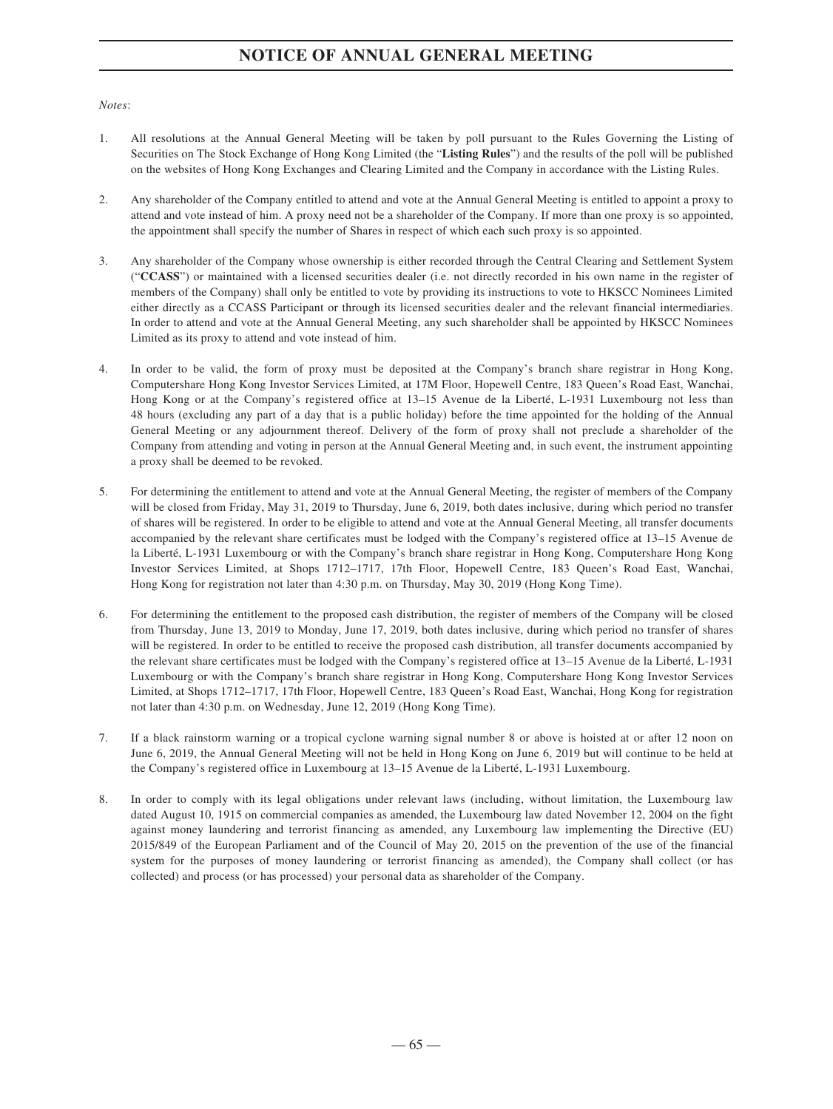*Notes*:

- 1. All resolutions at the Annual General Meeting will be taken by poll pursuant to the Rules Governing the Listing of Securities on The Stock Exchange of Hong Kong Limited (the "**Listing Rules**") and the results of the poll will be published on the websites of Hong Kong Exchanges and Clearing Limited and the Company in accordance with the Listing Rules.
- 2. Any shareholder of the Company entitled to attend and vote at the Annual General Meeting is entitled to appoint a proxy to attend and vote instead of him. A proxy need not be a shareholder of the Company. If more than one proxy is so appointed, the appointment shall specify the number of Shares in respect of which each such proxy is so appointed.
- 3. Any shareholder of the Company whose ownership is either recorded through the Central Clearing and Settlement System ("**CCASS**") or maintained with a licensed securities dealer (i.e. not directly recorded in his own name in the register of members of the Company) shall only be entitled to vote by providing its instructions to vote to HKSCC Nominees Limited either directly as a CCASS Participant or through its licensed securities dealer and the relevant financial intermediaries. In order to attend and vote at the Annual General Meeting, any such shareholder shall be appointed by HKSCC Nominees Limited as its proxy to attend and vote instead of him.
- 4. In order to be valid, the form of proxy must be deposited at the Company's branch share registrar in Hong Kong, Computershare Hong Kong Investor Services Limited, at 17M Floor, Hopewell Centre, 183 Queen's Road East, Wanchai, Hong Kong or at the Company's registered office at 13–15 Avenue de la Liberté, L-1931 Luxembourg not less than 48 hours (excluding any part of a day that is a public holiday) before the time appointed for the holding of the Annual General Meeting or any adjournment thereof. Delivery of the form of proxy shall not preclude a shareholder of the Company from attending and voting in person at the Annual General Meeting and, in such event, the instrument appointing a proxy shall be deemed to be revoked.
- 5. For determining the entitlement to attend and vote at the Annual General Meeting, the register of members of the Company will be closed from Friday, May 31, 2019 to Thursday, June 6, 2019, both dates inclusive, during which period no transfer of shares will be registered. In order to be eligible to attend and vote at the Annual General Meeting, all transfer documents accompanied by the relevant share certificates must be lodged with the Company's registered office at 13–15 Avenue de la Liberté, L-1931 Luxembourg or with the Company's branch share registrar in Hong Kong, Computershare Hong Kong Investor Services Limited, at Shops 1712–1717, 17th Floor, Hopewell Centre, 183 Queen's Road East, Wanchai, Hong Kong for registration not later than 4:30 p.m. on Thursday, May 30, 2019 (Hong Kong Time).
- 6. For determining the entitlement to the proposed cash distribution, the register of members of the Company will be closed from Thursday, June 13, 2019 to Monday, June 17, 2019, both dates inclusive, during which period no transfer of shares will be registered. In order to be entitled to receive the proposed cash distribution, all transfer documents accompanied by the relevant share certificates must be lodged with the Company's registered office at 13–15 Avenue de la Liberté, L-1931 Luxembourg or with the Company's branch share registrar in Hong Kong, Computershare Hong Kong Investor Services Limited, at Shops 1712–1717, 17th Floor, Hopewell Centre, 183 Queen's Road East, Wanchai, Hong Kong for registration not later than 4:30 p.m. on Wednesday, June 12, 2019 (Hong Kong Time).
- 7. If a black rainstorm warning or a tropical cyclone warning signal number 8 or above is hoisted at or after 12 noon on June 6, 2019, the Annual General Meeting will not be held in Hong Kong on June 6, 2019 but will continue to be held at the Company's registered office in Luxembourg at 13–15 Avenue de la Liberté, L-1931 Luxembourg.
- 8. In order to comply with its legal obligations under relevant laws (including, without limitation, the Luxembourg law dated August 10, 1915 on commercial companies as amended, the Luxembourg law dated November 12, 2004 on the fight against money laundering and terrorist financing as amended, any Luxembourg law implementing the Directive (EU) 2015/849 of the European Parliament and of the Council of May 20, 2015 on the prevention of the use of the financial system for the purposes of money laundering or terrorist financing as amended), the Company shall collect (or has collected) and process (or has processed) your personal data as shareholder of the Company.